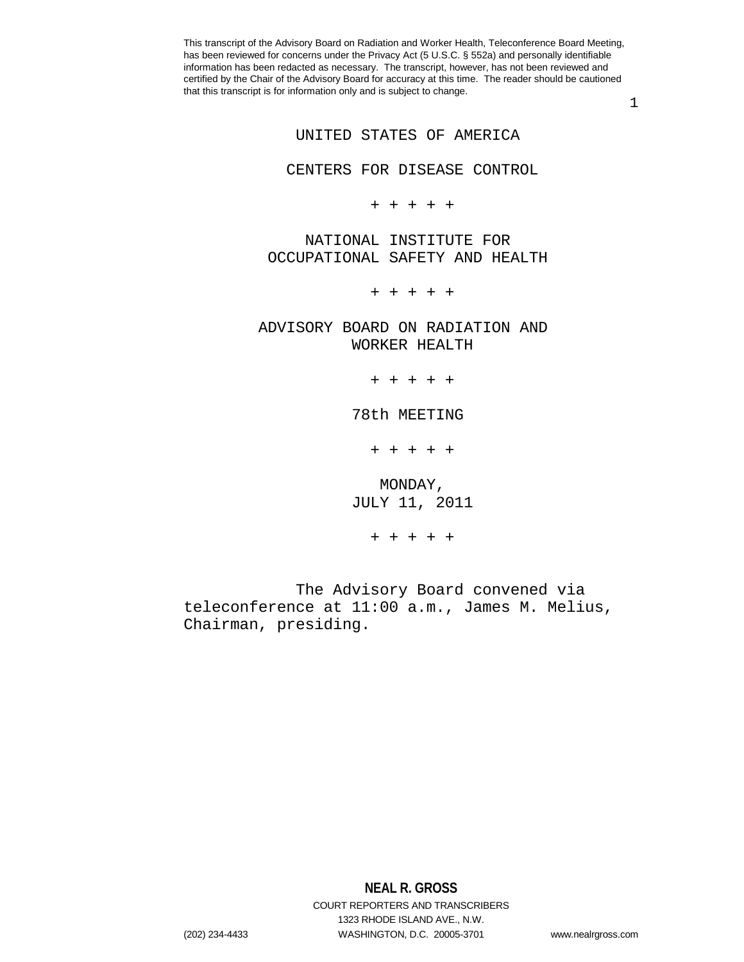1

UNITED STATES OF AMERICA

CENTERS FOR DISEASE CONTROL

+ + + + +

 NATIONAL INSTITUTE FOR OCCUPATIONAL SAFETY AND HEALTH

+ + + + +

 ADVISORY BOARD ON RADIATION AND WORKER HEALTH

+ + + + +

78th MEETING

+ + + + +

 MONDAY, JULY 11, 2011

+ + + + +

 The Advisory Board convened via teleconference at 11:00 a.m., James M. Melius, Chairman, presiding.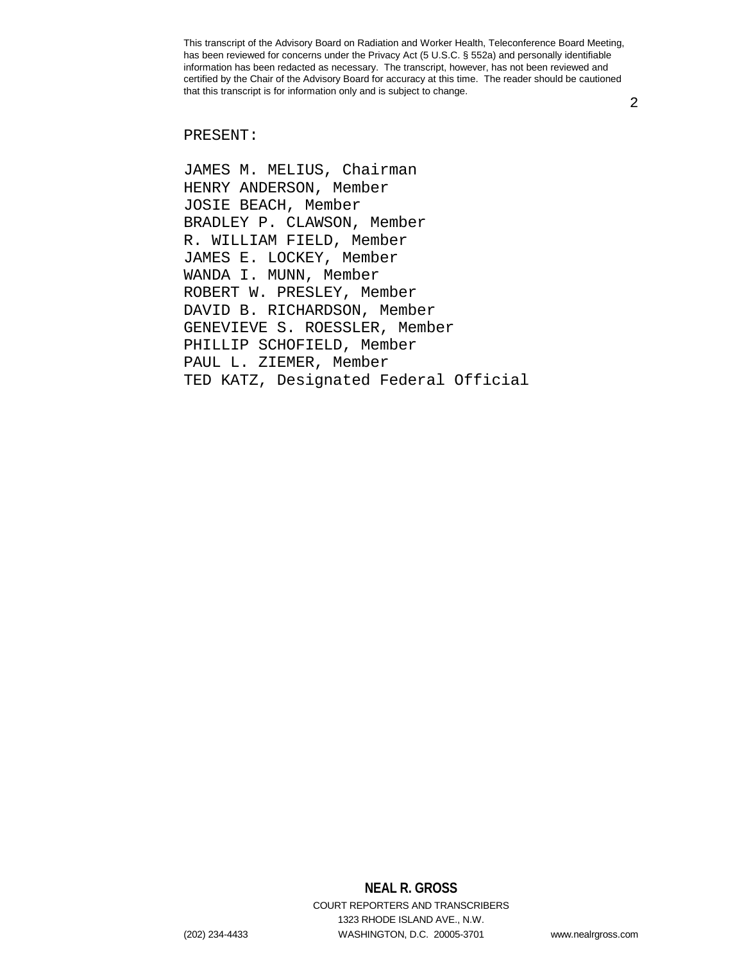2

## PRESENT:

JAMES M. MELIUS, Chairman HENRY ANDERSON, Member JOSIE BEACH, Member BRADLEY P. CLAWSON, Member R. WILLIAM FIELD, Member JAMES E. LOCKEY, Member WANDA I. MUNN, Member ROBERT W. PRESLEY, Member DAVID B. RICHARDSON, Member GENEVIEVE S. ROESSLER, Member PHILLIP SCHOFIELD, Member PAUL L. ZIEMER, Member TED KATZ, Designated Federal Official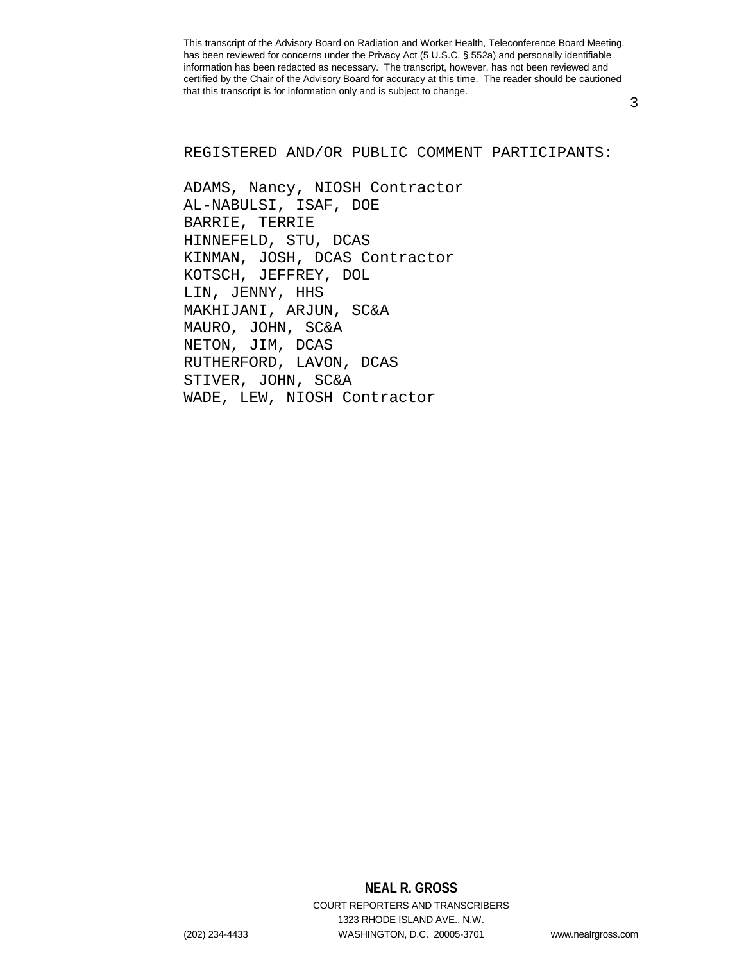3

## REGISTERED AND/OR PUBLIC COMMENT PARTICIPANTS:

ADAMS, Nancy, NIOSH Contractor AL-NABULSI, ISAF, DOE BARRIE, TERRIE HINNEFELD, STU, DCAS KINMAN, JOSH, DCAS Contractor KOTSCH, JEFFREY, DOL LIN, JENNY, HHS MAKHIJANI, ARJUN, SC&A MAURO, JOHN, SC&A NETON, JIM, DCAS RUTHERFORD, LAVON, DCAS STIVER, JOHN, SC&A WADE, LEW, NIOSH Contractor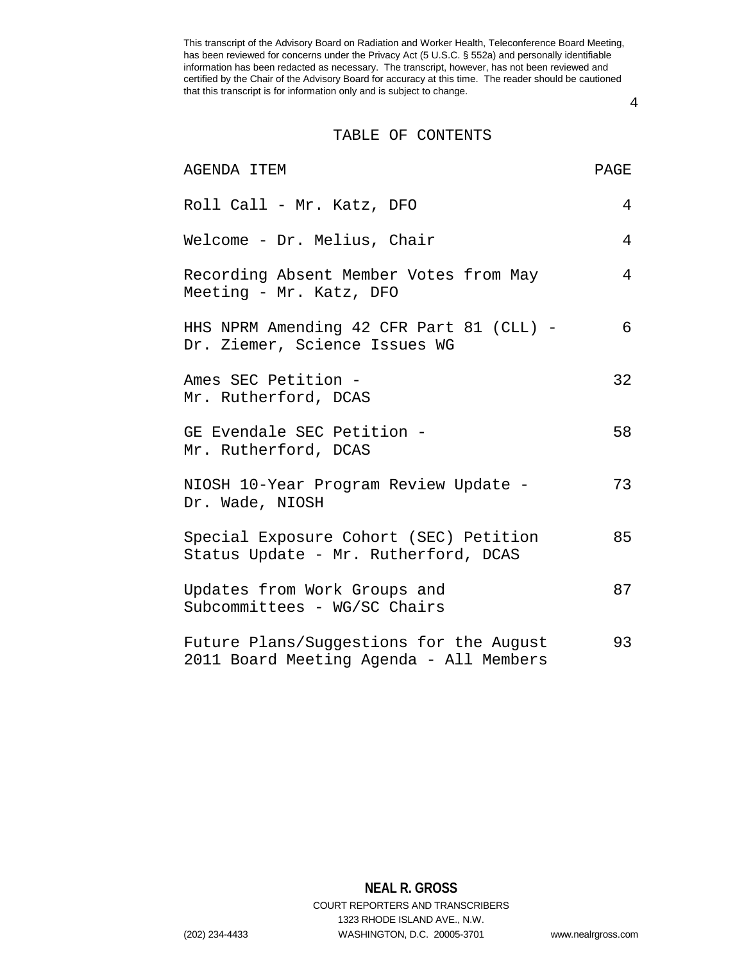4

### TABLE OF CONTENTS

| AGENDA ITEM                                                                        | PAGE |
|------------------------------------------------------------------------------------|------|
| Roll Call - Mr. Katz, DFO                                                          | 4    |
| Welcome - Dr. Melius, Chair                                                        | 4    |
| Recording Absent Member Votes from May<br>Meeting - Mr. Katz, DFO                  | 4    |
| HHS NPRM Amending 42 CFR Part 81 (CLL) -<br>Dr. Ziemer, Science Issues WG          | 6    |
| Ames SEC Petition -<br>Mr. Rutherford, DCAS                                        | 32   |
| GE Evendale SEC Petition -<br>Mr. Rutherford, DCAS                                 | 58   |
| NIOSH 10-Year Program Review Update -<br>Dr. Wade, NIOSH                           | 73   |
| Special Exposure Cohort (SEC) Petition<br>Status Update - Mr. Rutherford, DCAS     | 85   |
| Updates from Work Groups and<br>Subcommittees - WG/SC Chairs                       | 87   |
| Future Plans/Suggestions for the August<br>2011 Board Meeting Agenda - All Members | 93   |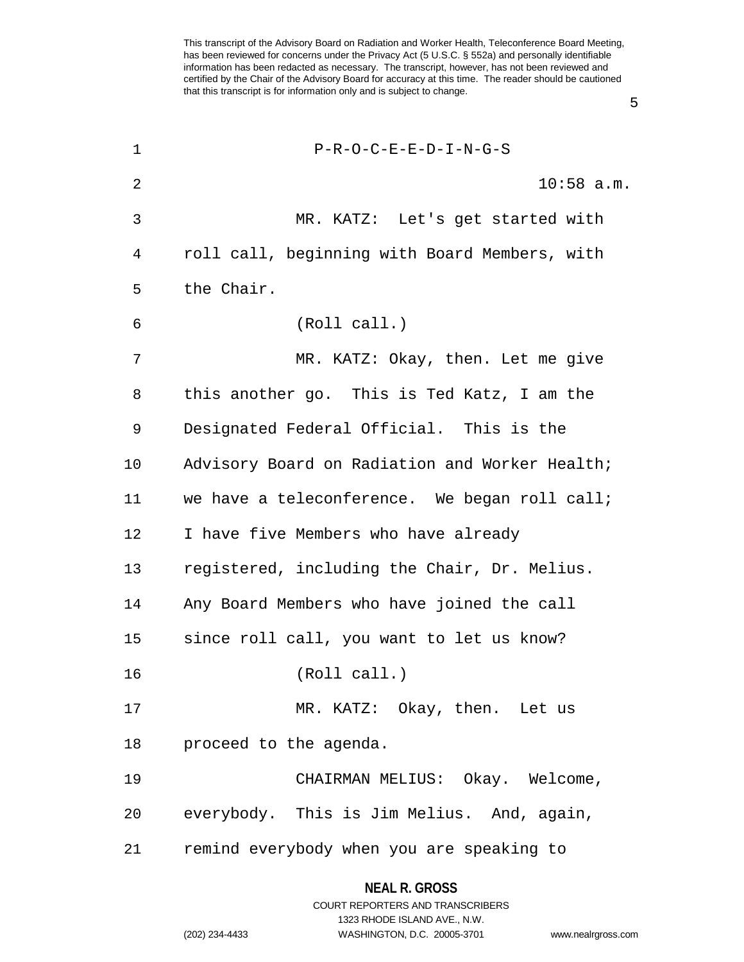1 P-R-O-C-E-E-D-I-N-G-S 2 10:58 a.m. 3 MR. KATZ: Let's get started with 4 roll call, beginning with Board Members, with 5 the Chair. 6 (Roll call.) 7 MR. KATZ: Okay, then. Let me give 8 this another go. This is Ted Katz, I am the 9 Designated Federal Official. This is the 10 Advisory Board on Radiation and Worker Health; 11 we have a teleconference. We began roll call; 12 I have five Members who have already 13 registered, including the Chair, Dr. Melius. 14 Any Board Members who have joined the call 15 since roll call, you want to let us know? 16 (Roll call.) 17 MR. KATZ: Okay, then. Let us 18 proceed to the agenda. 19 CHAIRMAN MELIUS: Okay. Welcome, 20 everybody. This is Jim Melius. And, again, 21 remind everybody when you are speaking to

5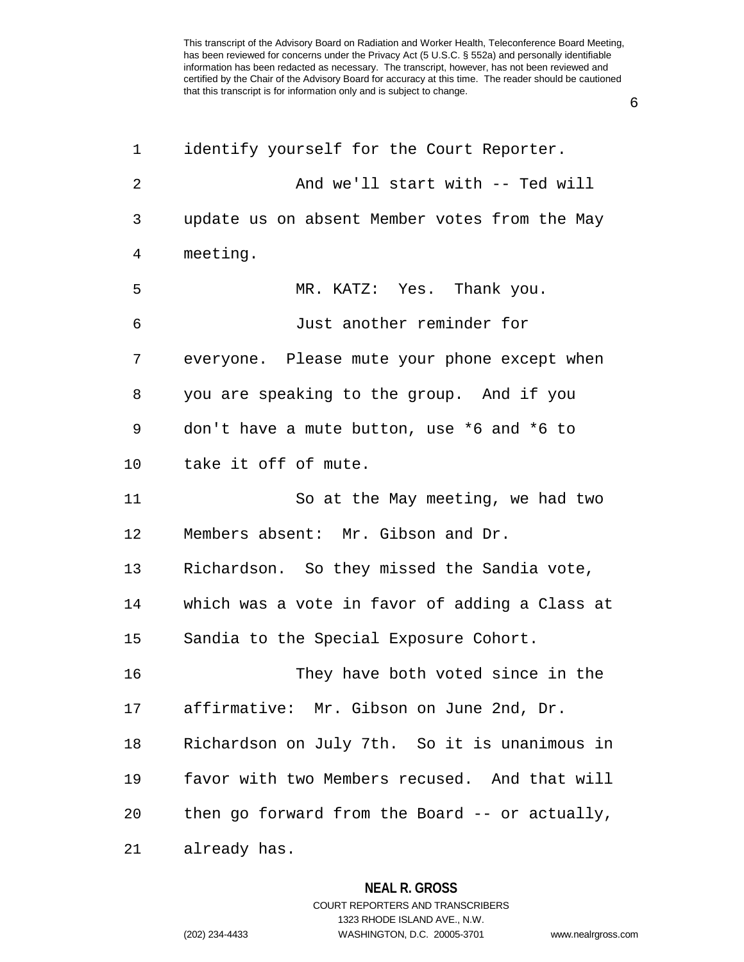6

| 1            | identify yourself for the Court Reporter.      |
|--------------|------------------------------------------------|
| $\mathbf{2}$ | And we'll start with -- Ted will               |
| 3            | update us on absent Member votes from the May  |
| 4            | meeting.                                       |
| 5            | MR. KATZ: Yes. Thank you.                      |
| 6            | Just another reminder for                      |
| 7            | everyone. Please mute your phone except when   |
| 8            | you are speaking to the group. And if you      |
| 9            | don't have a mute button, use *6 and *6 to     |
| 10           | take it off of mute.                           |
| 11           | So at the May meeting, we had two              |
| 12           | Members absent: Mr. Gibson and Dr.             |
| 13           | Richardson. So they missed the Sandia vote,    |
| 14           | which was a vote in favor of adding a Class at |
| 15           | Sandia to the Special Exposure Cohort.         |
| 16           | They have both voted since in the              |
| 17           | affirmative: Mr. Gibson on June 2nd, Dr.       |
| 18           | Richardson on July 7th. So it is unanimous in  |
| 19           | favor with two Members recused. And that will  |
| 20           | then go forward from the Board -- or actually, |
| 21           | already has.                                   |

**NEAL R. GROSS** COURT REPORTERS AND TRANSCRIBERS 1323 RHODE ISLAND AVE., N.W.

(202) 234-4433 WASHINGTON, D.C. 20005-3701 www.nealrgross.com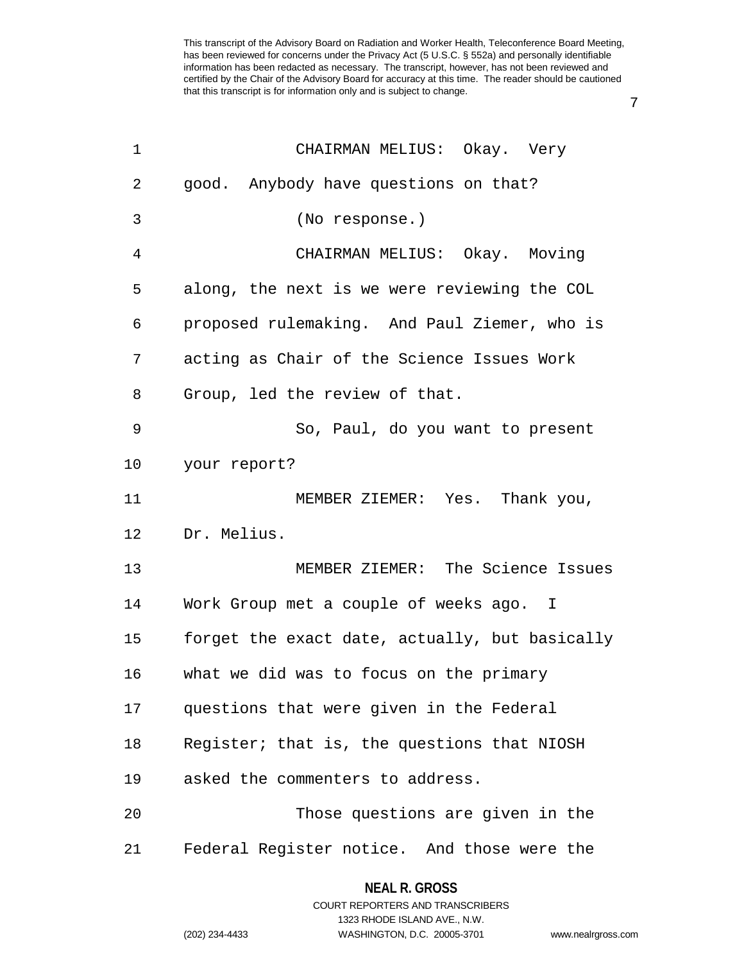7

| $\mathbf 1$    | CHAIRMAN MELIUS: Okay. Very                    |
|----------------|------------------------------------------------|
| 2              | good. Anybody have questions on that?          |
| 3              | (No response.)                                 |
| $\overline{4}$ | CHAIRMAN MELIUS: Okay. Moving                  |
| 5              | along, the next is we were reviewing the COL   |
| 6              | proposed rulemaking. And Paul Ziemer, who is   |
| 7              | acting as Chair of the Science Issues Work     |
| 8              | Group, led the review of that.                 |
| 9              | So, Paul, do you want to present               |
| 10             | your report?                                   |
| 11             | MEMBER ZIEMER: Yes. Thank you,                 |
| 12             | Dr. Melius.                                    |
| 13             | MEMBER ZIEMER: The Science Issues              |
| 14             | Work Group met a couple of weeks ago. I        |
| 15             | forget the exact date, actually, but basically |
| 16             | what we did was to focus on the primary        |
| 17             | questions that were given in the Federal       |
| 18             | Register; that is, the questions that NIOSH    |
| 19             | asked the commenters to address.               |
| 20             | Those questions are given in the               |
| 21             | Federal Register notice. And those were the    |

# **NEAL R. GROSS**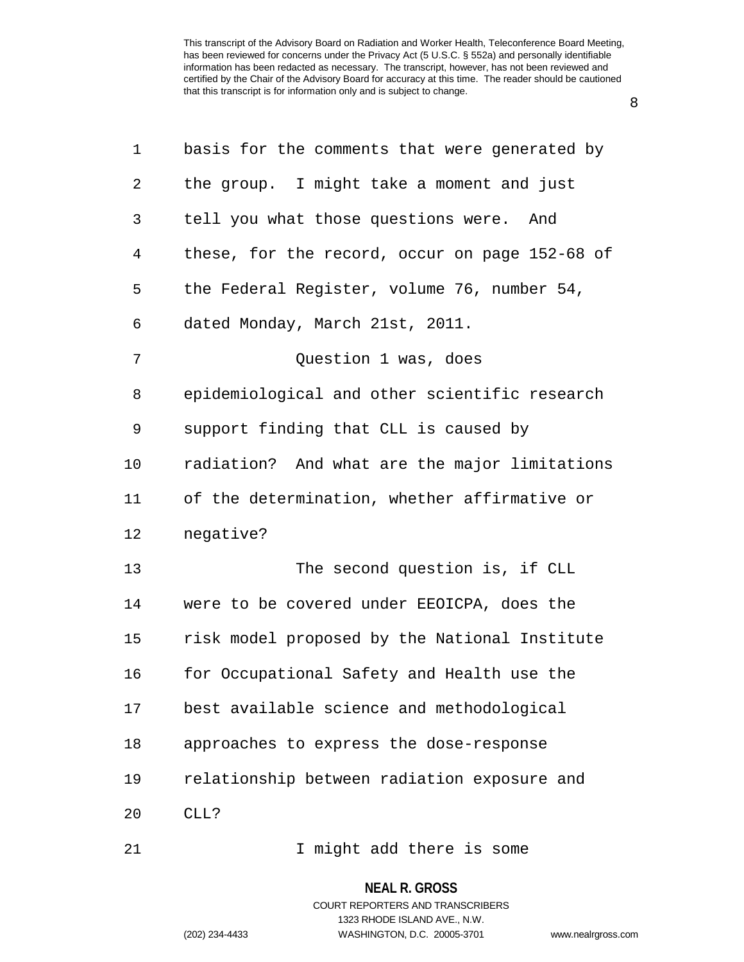8

| 1  | basis for the comments that were generated by  |
|----|------------------------------------------------|
| 2  | the group. I might take a moment and just      |
| 3  | tell you what those questions were. And        |
| 4  | these, for the record, occur on page 152-68 of |
| 5  | the Federal Register, volume 76, number 54,    |
| 6  | dated Monday, March 21st, 2011.                |
| 7  | Question 1 was, does                           |
| 8  | epidemiological and other scientific research  |
| 9  | support finding that CLL is caused by          |
| 10 | radiation? And what are the major limitations  |
| 11 | of the determination, whether affirmative or   |
| 12 | negative?                                      |
| 13 | The second question is, if CLL                 |
| 14 | were to be covered under EEOICPA, does the     |
| 15 | risk model proposed by the National Institute  |
| 16 | for Occupational Safety and Health use the     |
| 17 | best available science and methodological      |
| 18 | approaches to express the dose-response        |
| 19 | relationship between radiation exposure and    |
| 20 | CLL?                                           |
| 21 | I might add there is some                      |

**NEAL R. GROSS**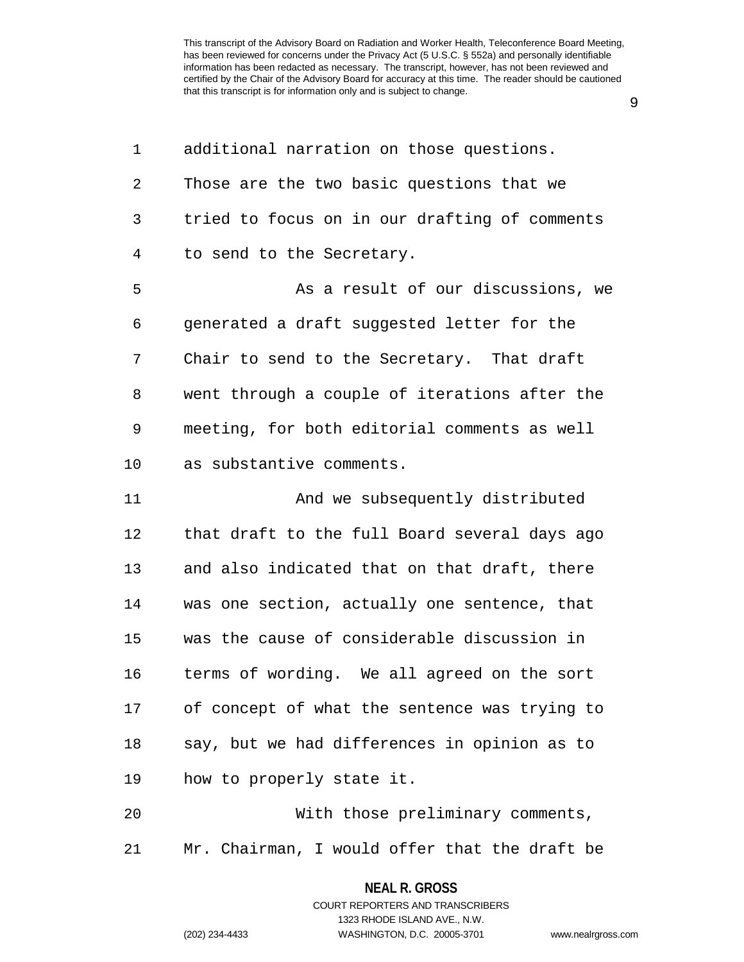9

| 1  | additional narration on those questions.      |
|----|-----------------------------------------------|
| 2  | Those are the two basic questions that we     |
| 3  | tried to focus on in our drafting of comments |
| 4  | to send to the Secretary.                     |
| 5  | As a result of our discussions, we            |
| 6  | generated a draft suggested letter for the    |
| 7  | Chair to send to the Secretary. That draft    |
| 8  | went through a couple of iterations after the |
| 9  | meeting, for both editorial comments as well  |
| 10 | as substantive comments.                      |
| 11 | And we subsequently distributed               |
| 12 | that draft to the full Board several days ago |
| 13 | and also indicated that on that draft, there  |
| 14 | was one section, actually one sentence, that  |
| 15 | was the cause of considerable discussion in   |
| 16 | terms of wording. We all agreed on the sort   |
| 17 | of concept of what the sentence was trying to |
| 18 | say, but we had differences in opinion as to  |
| 19 | how to properly state it.                     |
| 20 | With those preliminary comments,              |
| 21 | Mr. Chairman, I would offer that the draft be |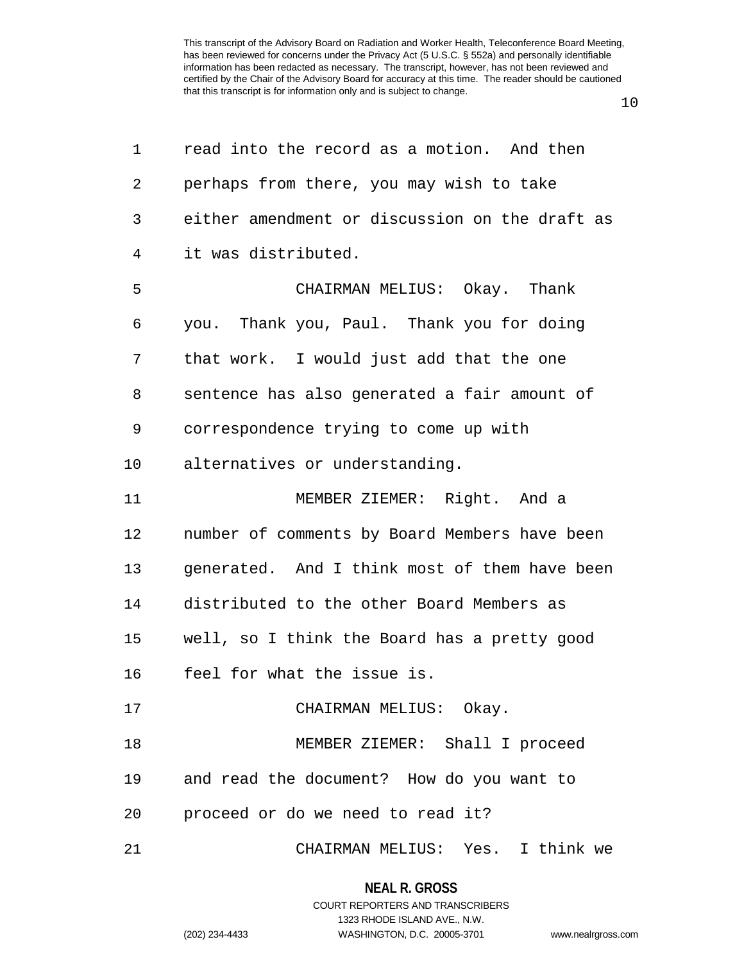10

| 1  | read into the record as a motion. And then     |
|----|------------------------------------------------|
| 2  | perhaps from there, you may wish to take       |
| 3  | either amendment or discussion on the draft as |
| 4  | it was distributed.                            |
| 5  | CHAIRMAN MELIUS: Okay. Thank                   |
| 6  | you. Thank you, Paul. Thank you for doing      |
| 7  | that work. I would just add that the one       |
| 8  | sentence has also generated a fair amount of   |
| 9  | correspondence trying to come up with          |
| 10 | alternatives or understanding.                 |
| 11 | MEMBER ZIEMER: Right. And a                    |
| 12 | number of comments by Board Members have been  |
| 13 | generated. And I think most of them have been  |
| 14 | distributed to the other Board Members as      |
| 15 | well, so I think the Board has a pretty good   |
| 16 | feel for what the issue is.                    |
| 17 | CHAIRMAN MELIUS: Okay.                         |
| 18 | MEMBER ZIEMER: Shall I proceed                 |
| 19 | and read the document? How do you want to      |
| 20 | proceed or do we need to read it?              |
| 21 | CHAIRMAN MELIUS: Yes. I think we               |

#### **NEAL R. GROSS**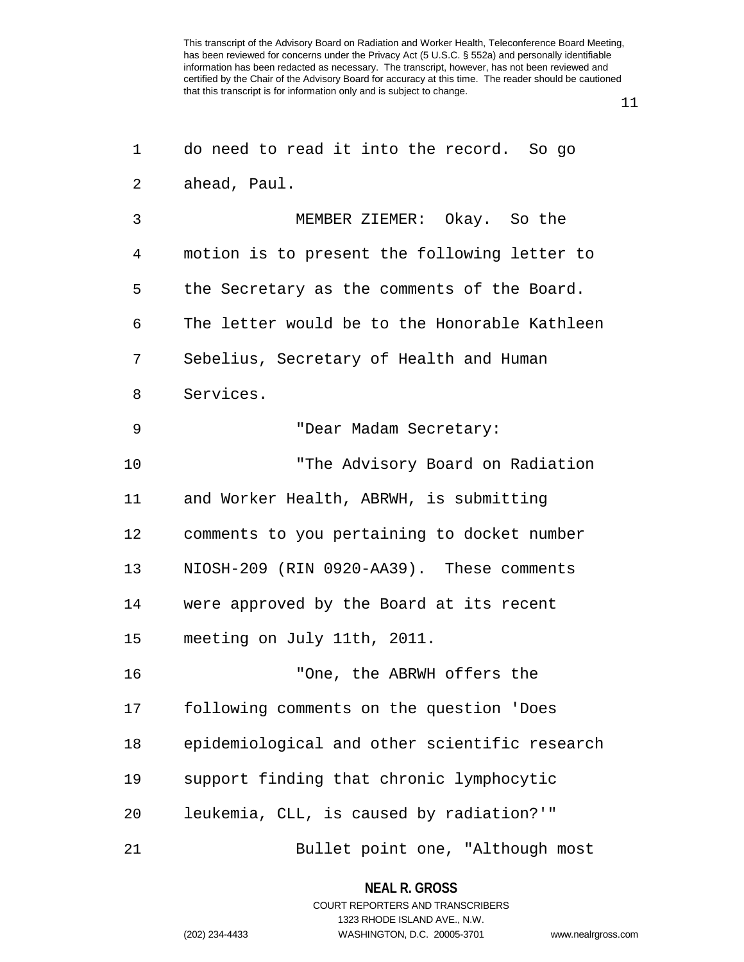11

| 1  | do need to read it into the record. So go     |
|----|-----------------------------------------------|
| 2  | ahead, Paul.                                  |
| 3  | MEMBER ZIEMER: Okay. So the                   |
| 4  | motion is to present the following letter to  |
| 5  | the Secretary as the comments of the Board.   |
| 6  | The letter would be to the Honorable Kathleen |
| 7  | Sebelius, Secretary of Health and Human       |
| 8  | Services.                                     |
| 9  | "Dear Madam Secretary:                        |
| 10 | "The Advisory Board on Radiation              |
| 11 | and Worker Health, ABRWH, is submitting       |
| 12 | comments to you pertaining to docket number   |
| 13 | NIOSH-209 (RIN 0920-AA39). These comments     |
| 14 | were approved by the Board at its recent      |
| 15 | meeting on July 11th, 2011.                   |
| 16 | "One, the ABRWH offers the                    |
| 17 | following comments on the question 'Does      |
| 18 | epidemiological and other scientific research |
| 19 | support finding that chronic lymphocytic      |
| 20 | leukemia, CLL, is caused by radiation?'"      |
| 21 | Bullet point one, "Although most              |

**NEAL R. GROSS**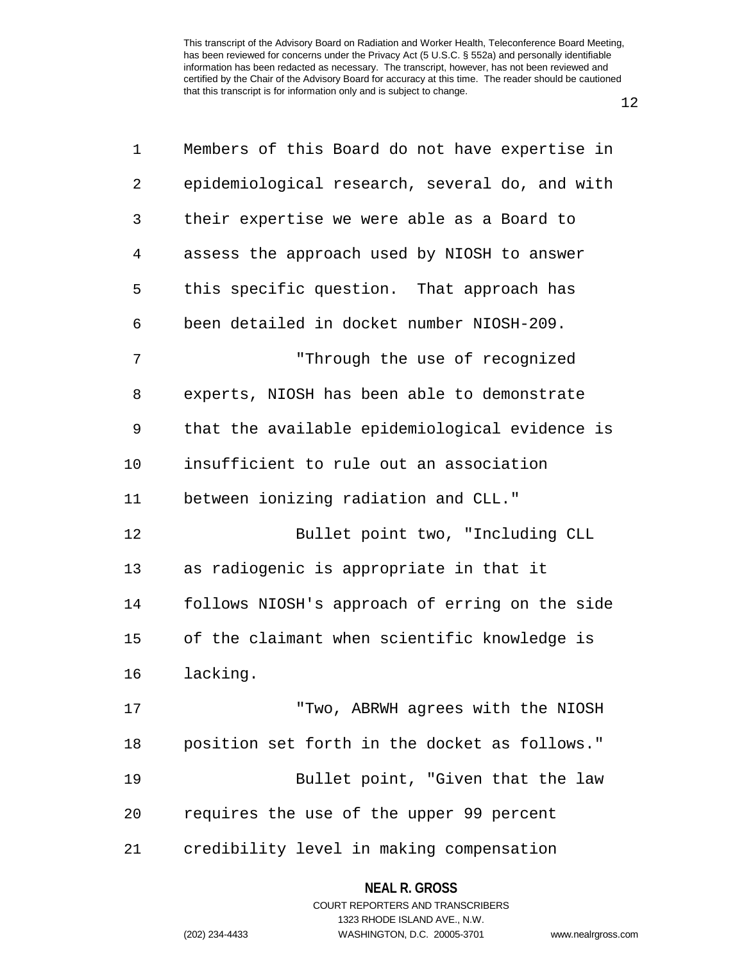12

| 1  | Members of this Board do not have expertise in |
|----|------------------------------------------------|
| 2  | epidemiological research, several do, and with |
| 3  | their expertise we were able as a Board to     |
| 4  | assess the approach used by NIOSH to answer    |
| 5  | this specific question. That approach has      |
| 6  | been detailed in docket number NIOSH-209.      |
| 7  | "Through the use of recognized                 |
| 8  | experts, NIOSH has been able to demonstrate    |
| 9  | that the available epidemiological evidence is |
| 10 | insufficient to rule out an association        |
| 11 | between ionizing radiation and CLL."           |
| 12 | Bullet point two, "Including CLL               |
| 13 | as radiogenic is appropriate in that it        |
| 14 | follows NIOSH's approach of erring on the side |
| 15 | of the claimant when scientific knowledge is   |
| 16 | lacking.                                       |
| 17 | "Two, ABRWH agrees with the NIOSH              |
| 18 | position set forth in the docket as follows."  |
| 19 | Bullet point, "Given that the law              |
| 20 | requires the use of the upper 99 percent       |
| 21 | credibility level in making compensation       |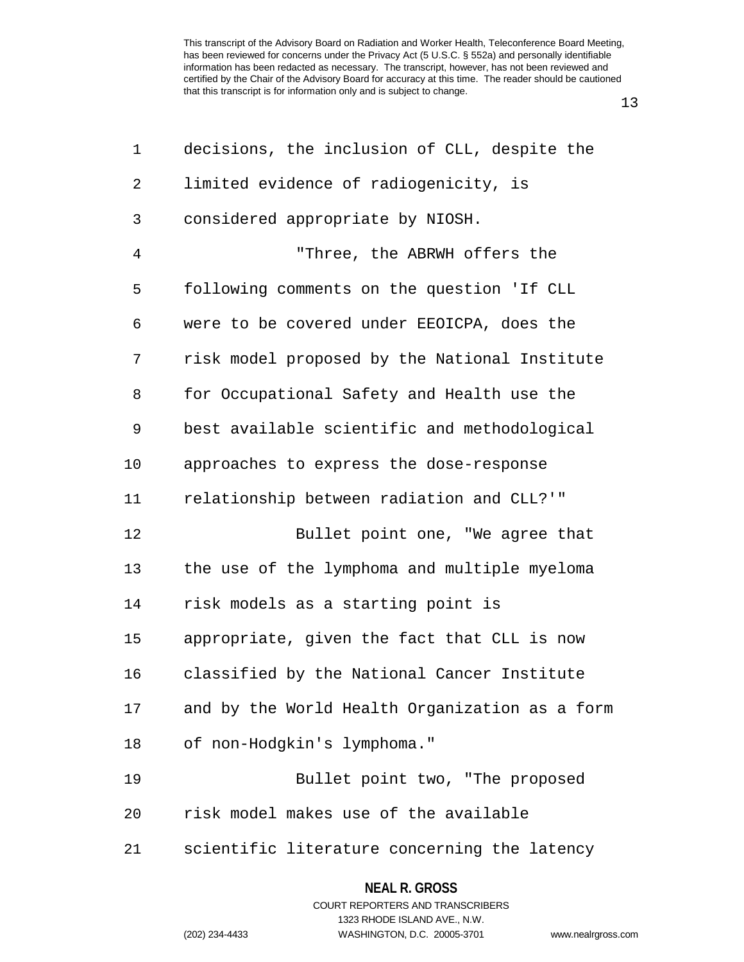13

| 1              | decisions, the inclusion of CLL, despite the   |
|----------------|------------------------------------------------|
| $\overline{2}$ | limited evidence of radiogenicity, is          |
| 3              | considered appropriate by NIOSH.               |
| $\overline{4}$ | "Three, the ABRWH offers the                   |
| 5              | following comments on the question 'If CLL     |
| 6              | were to be covered under EEOICPA, does the     |
| 7              | risk model proposed by the National Institute  |
| 8              | for Occupational Safety and Health use the     |
| 9              | best available scientific and methodological   |
| 10             | approaches to express the dose-response        |
| 11             | relationship between radiation and CLL?'"      |
| 12             | Bullet point one, "We agree that               |
| 13             | the use of the lymphoma and multiple myeloma   |
| 14             | risk models as a starting point is             |
| 15             | appropriate, given the fact that CLL is now    |
| 16             | classified by the National Cancer Institute    |
| 17             | and by the World Health Organization as a form |
| 18             | of non-Hodgkin's lymphoma."                    |
| 19             | Bullet point two, "The proposed                |
| 20             | risk model makes use of the available          |
| 21             | scientific literature concerning the latency   |

#### **NEAL R. GROSS**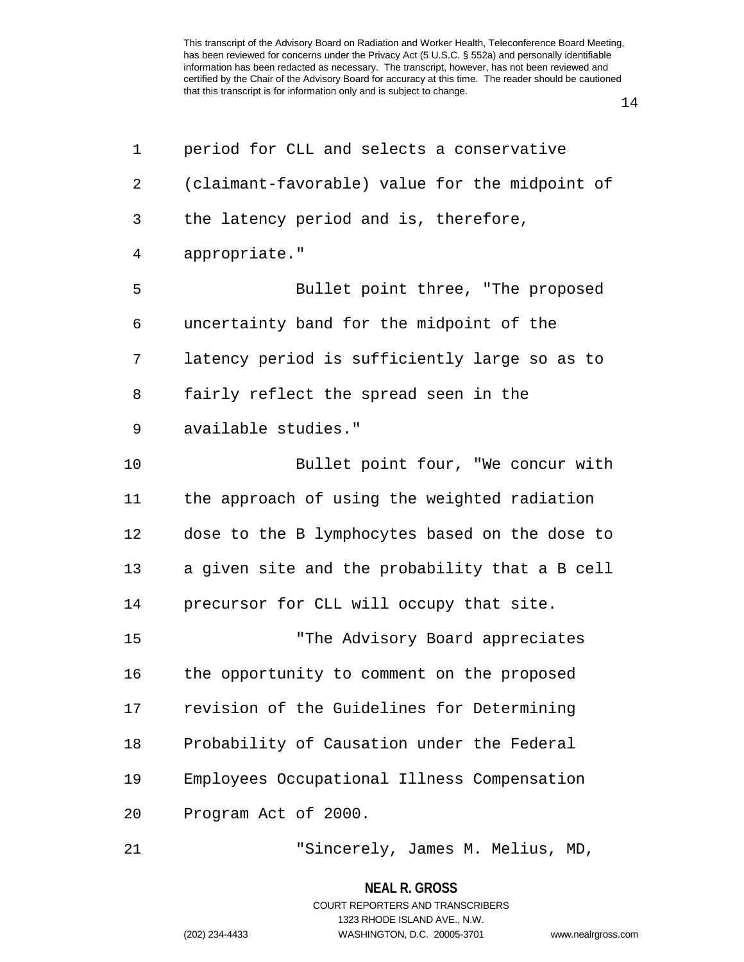14

| 1              | period for CLL and selects a conservative      |
|----------------|------------------------------------------------|
| $\overline{2}$ | (claimant-favorable) value for the midpoint of |
| 3              | the latency period and is, therefore,          |
| 4              | appropriate."                                  |
| 5              | Bullet point three, "The proposed              |
| 6              | uncertainty band for the midpoint of the       |
| 7              | latency period is sufficiently large so as to  |
| 8              | fairly reflect the spread seen in the          |
| 9              | available studies."                            |
| 10             | Bullet point four, "We concur with             |
| 11             | the approach of using the weighted radiation   |
| 12             | dose to the B lymphocytes based on the dose to |
| 13             | a given site and the probability that a B cell |
| 14             | precursor for CLL will occupy that site.       |
| 15             | "The Advisory Board appreciates                |
| 16             | the opportunity to comment on the proposed     |
| 17             | revision of the Guidelines for Determining     |
| 18             | Probability of Causation under the Federal     |
| 19             | Employees Occupational Illness Compensation    |
| 20             | Program Act of 2000.                           |
| 21             | "Sincerely, James M. Melius, MD,               |

**NEAL R. GROSS**

COURT REPORTERS AND TRANSCRIBERS 1323 RHODE ISLAND AVE., N.W.

(202) 234-4433 WASHINGTON, D.C. 20005-3701 www.nealrgross.com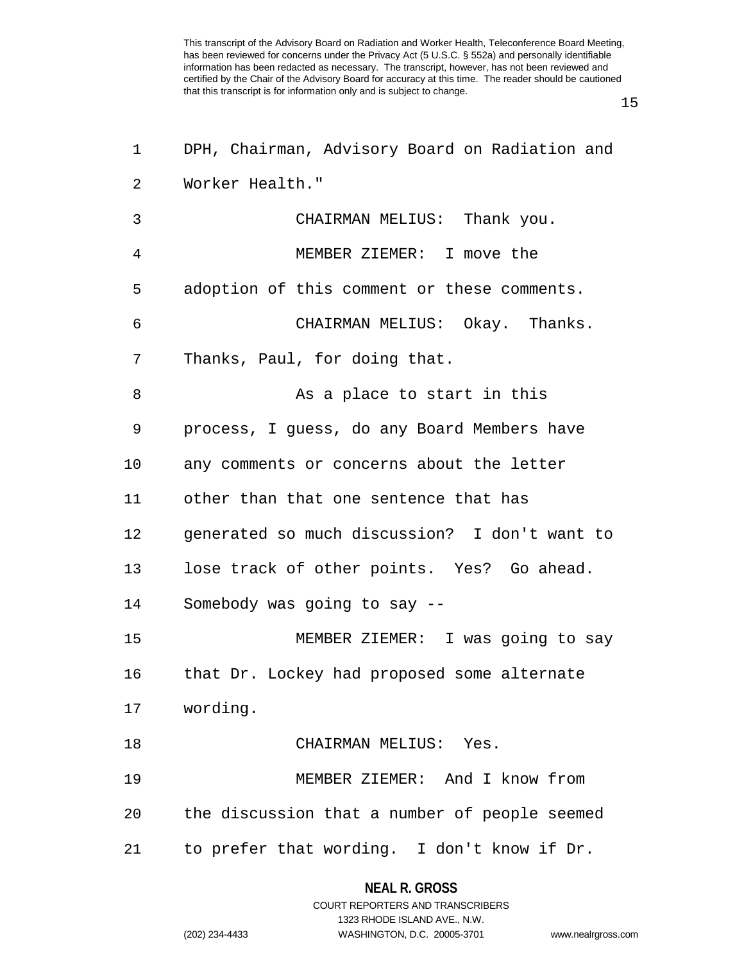15

| 1  | DPH, Chairman, Advisory Board on Radiation and |
|----|------------------------------------------------|
| 2  | Worker Health."                                |
| 3  | CHAIRMAN MELIUS: Thank you.                    |
| 4  | MEMBER ZIEMER: I move the                      |
| 5  | adoption of this comment or these comments.    |
| 6  | CHAIRMAN MELIUS: Okay. Thanks.                 |
| 7  | Thanks, Paul, for doing that.                  |
| 8  | As a place to start in this                    |
| 9  | process, I guess, do any Board Members have    |
| 10 | any comments or concerns about the letter      |
| 11 | other than that one sentence that has          |
| 12 | generated so much discussion? I don't want to  |
| 13 | lose track of other points. Yes? Go ahead.     |
| 14 | Somebody was going to say --                   |
| 15 | MEMBER ZIEMER: I was going to say              |
| 16 | that Dr. Lockey had proposed some alternate    |
| 17 | wording.                                       |
| 18 | CHAIRMAN MELIUS: Yes.                          |
| 19 | MEMBER ZIEMER: And I know from                 |
| 20 | the discussion that a number of people seemed  |
| 21 | to prefer that wording. I don't know if Dr.    |
|    |                                                |

**NEAL R. GROSS**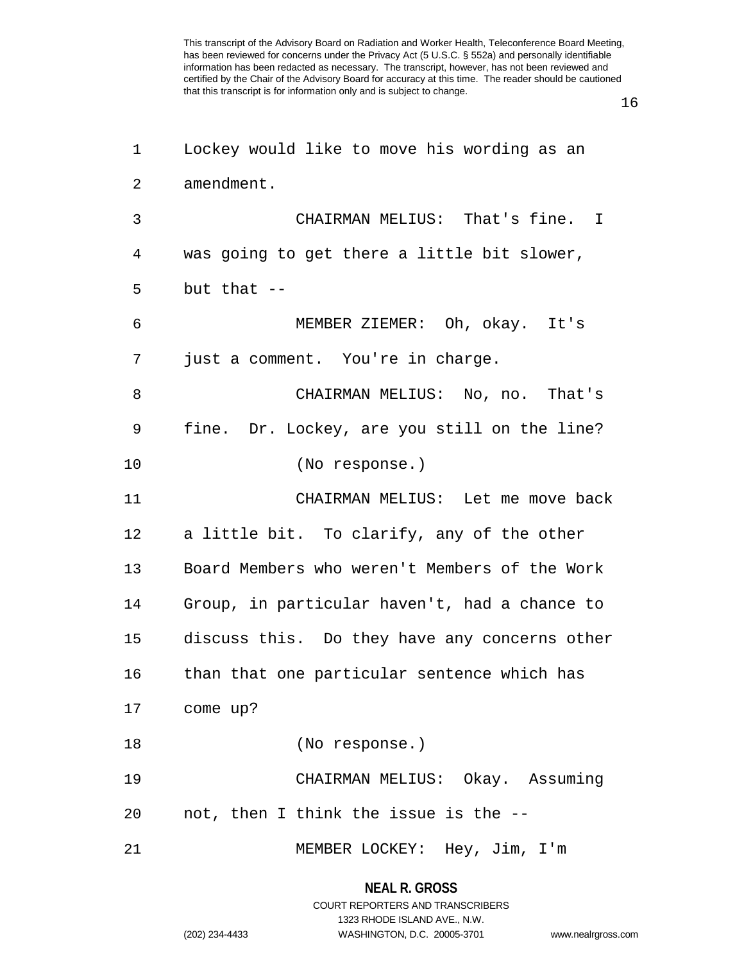16

| 1              | Lockey would like to move his wording as an   |
|----------------|-----------------------------------------------|
| $\overline{2}$ | amendment.                                    |
| 3              | CHAIRMAN MELIUS: That's fine. I               |
| 4              | was going to get there a little bit slower,   |
| 5              | but that $-$                                  |
| 6              | MEMBER ZIEMER: Oh, okay. It's                 |
| 7              | just a comment. You're in charge.             |
| 8              | CHAIRMAN MELIUS: No, no. That's               |
| 9              | fine. Dr. Lockey, are you still on the line?  |
| 10             | (No response.)                                |
| 11             | CHAIRMAN MELIUS: Let me move back             |
| 12             | a little bit. To clarify, any of the other    |
| 13             | Board Members who weren't Members of the Work |
| 14             | Group, in particular haven't, had a chance to |
| 15             | discuss this. Do they have any concerns other |
| 16             | than that one particular sentence which has   |
|                | 17 come up?                                   |
| 18             | (No response.)                                |
| 19             | CHAIRMAN MELIUS: Okay. Assuming               |
| 20             | not, then I think the issue is the --         |
| 21             | MEMBER LOCKEY: Hey, Jim, I'm                  |

### **NEAL R. GROSS**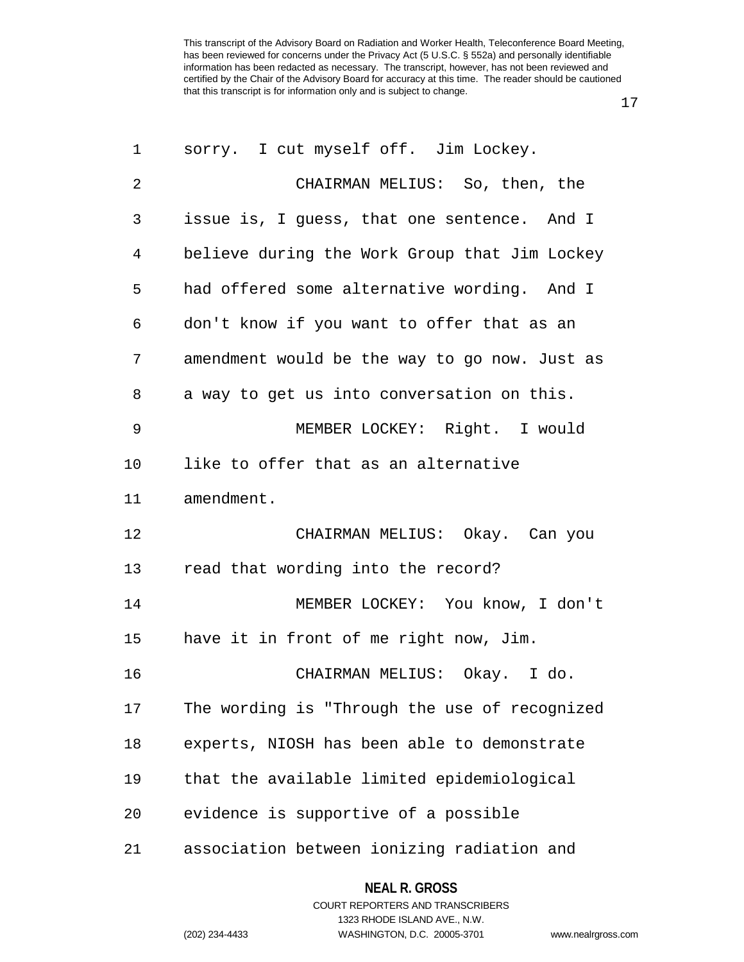17

| 1              | sorry. I cut myself off. Jim Lockey.          |
|----------------|-----------------------------------------------|
| $\overline{2}$ | CHAIRMAN MELIUS: So, then, the                |
| 3              | issue is, I guess, that one sentence. And I   |
| 4              | believe during the Work Group that Jim Lockey |
| 5              | had offered some alternative wording. And I   |
| 6              | don't know if you want to offer that as an    |
| 7              | amendment would be the way to go now. Just as |
| 8              | a way to get us into conversation on this.    |
| 9              | MEMBER LOCKEY: Right. I would                 |
| 10             | like to offer that as an alternative          |
| 11             | amendment.                                    |
| 12             | CHAIRMAN MELIUS: Okay. Can you                |
| 13             | read that wording into the record?            |
| 14             | MEMBER LOCKEY: You know, I don't              |
| 15             | have it in front of me right now, Jim.        |
| 16             | CHAIRMAN MELIUS: Okay. I do.                  |
| 17             | The wording is "Through the use of recognized |
| 18             | experts, NIOSH has been able to demonstrate   |
| 19             | that the available limited epidemiological    |
| 20             | evidence is supportive of a possible          |
| 21             | association between ionizing radiation and    |

# **NEAL R. GROSS**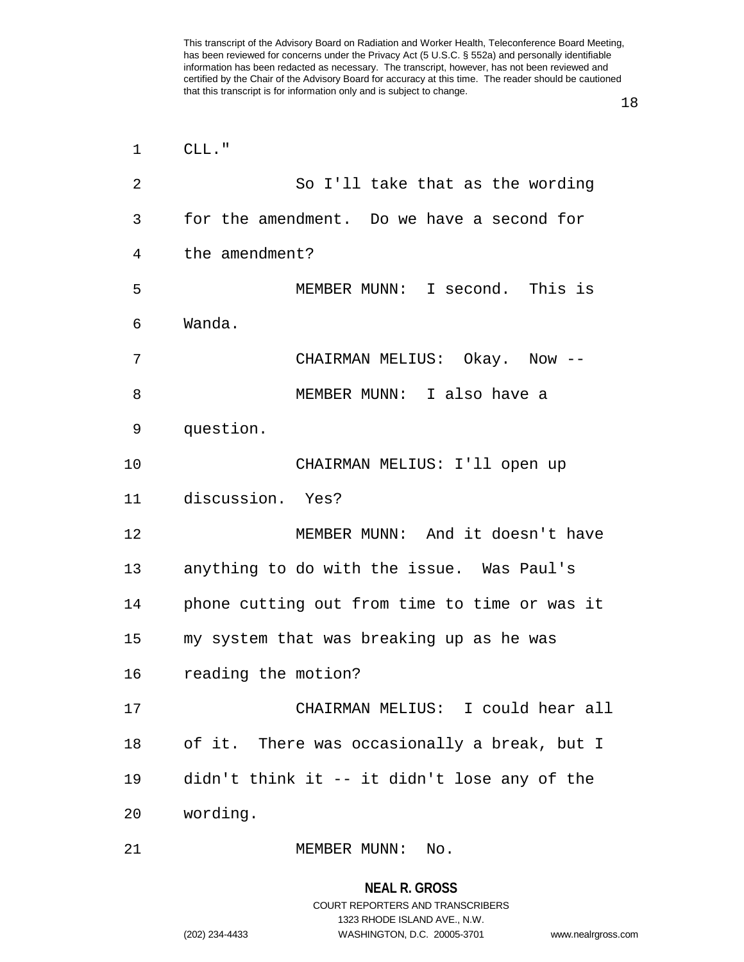18

| 1  | CLL."                                         |
|----|-----------------------------------------------|
| 2  | So I'll take that as the wording              |
| 3  | for the amendment. Do we have a second for    |
| 4  | the amendment?                                |
| 5  | MEMBER MUNN: I second. This is                |
| 6  | Wanda.                                        |
| 7  | CHAIRMAN MELIUS: Okay. Now --                 |
| 8  | MEMBER MUNN: I also have a                    |
| 9  | question.                                     |
| 10 | CHAIRMAN MELIUS: I'll open up                 |
| 11 | discussion. Yes?                              |
| 12 | MEMBER MUNN: And it doesn't have              |
| 13 | anything to do with the issue. Was Paul's     |
| 14 | phone cutting out from time to time or was it |
| 15 | my system that was breaking up as he was      |
| 16 | reading the motion?                           |
| 17 | CHAIRMAN MELIUS: I could hear all             |
| 18 | of it. There was occasionally a break, but I  |
| 19 | didn't think it -- it didn't lose any of the  |
| 20 | wording.                                      |
| 21 | MEMBER MUNN: No.                              |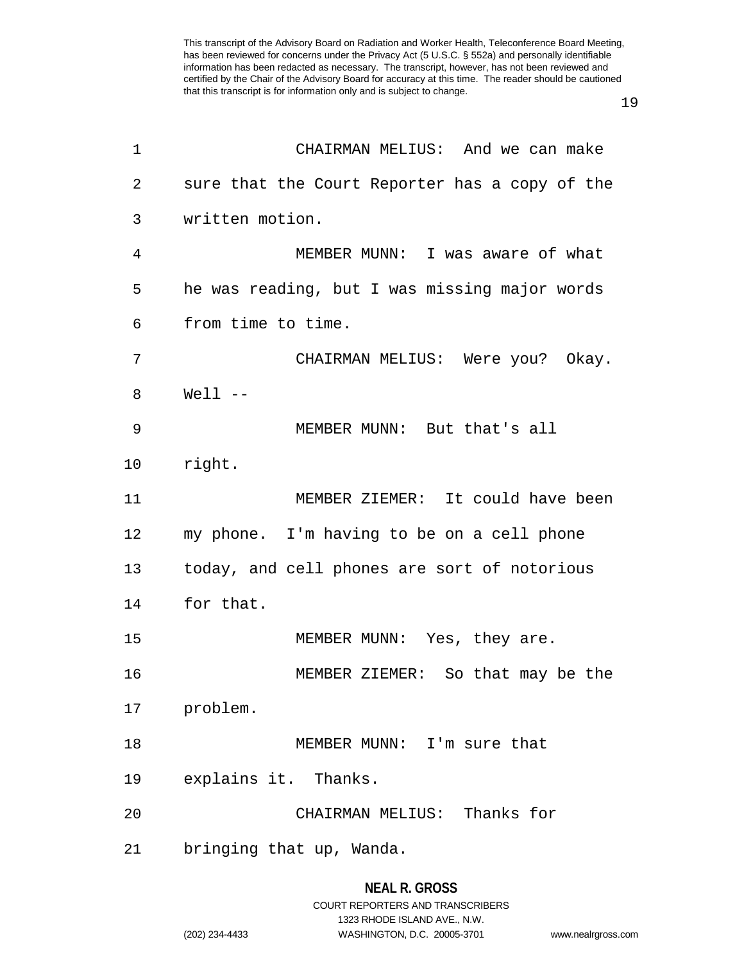19

| 1  | CHAIRMAN MELIUS: And we can make               |
|----|------------------------------------------------|
| 2  | sure that the Court Reporter has a copy of the |
| 3  | written motion.                                |
| 4  | MEMBER MUNN: I was aware of what               |
| 5  | he was reading, but I was missing major words  |
| 6  | from time to time.                             |
| 7  | CHAIRMAN MELIUS: Were you? Okay.               |
| 8  | $Well1$ --                                     |
| 9  | MEMBER MUNN: But that's all                    |
| 10 | right.                                         |
| 11 | MEMBER ZIEMER: It could have been              |
| 12 | my phone. I'm having to be on a cell phone     |
| 13 | today, and cell phones are sort of notorious   |
| 14 | for that.                                      |
| 15 | MEMBER MUNN: Yes, they are.                    |
| 16 | MEMBER ZIEMER: So that may be the              |
| 17 | problem.                                       |
| 18 | MEMBER MUNN: I'm sure that                     |
| 19 | explains it. Thanks.                           |
| 20 | CHAIRMAN MELIUS: Thanks for                    |
| 21 | bringing that up, Wanda.                       |
|    |                                                |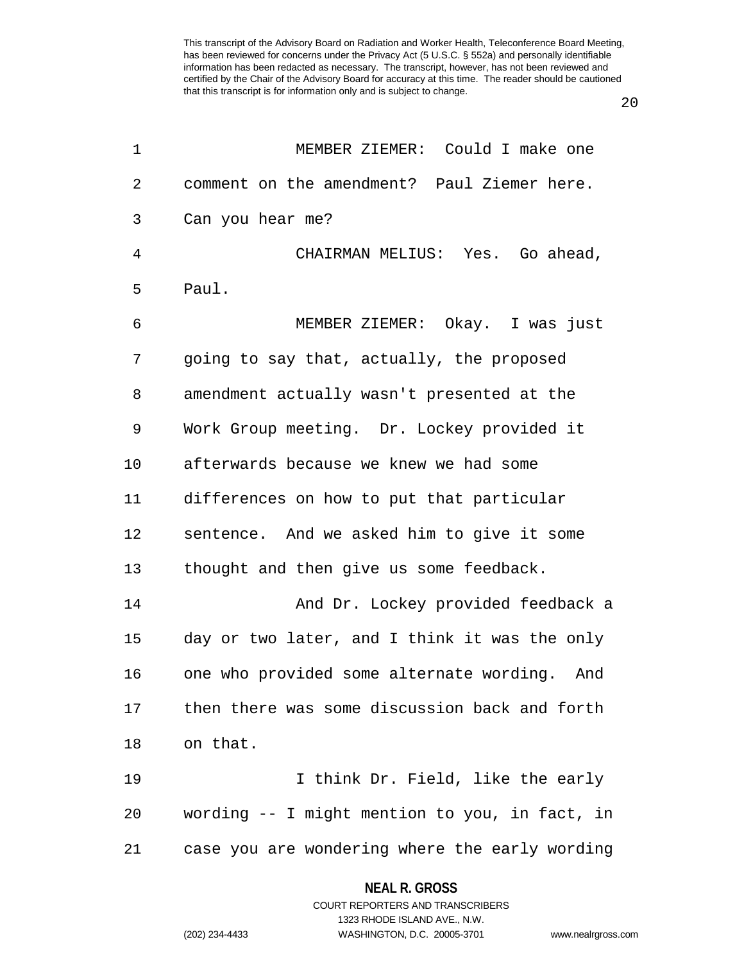20

| 1              | MEMBER ZIEMER: Could I make one                |
|----------------|------------------------------------------------|
| 2              | comment on the amendment? Paul Ziemer here.    |
| 3              | Can you hear me?                               |
| $\overline{4}$ | CHAIRMAN MELIUS: Yes. Go ahead,                |
| 5              | Paul.                                          |
| 6              | MEMBER ZIEMER: Okay. I was just                |
| 7              | going to say that, actually, the proposed      |
| 8              | amendment actually wasn't presented at the     |
| 9              | Work Group meeting. Dr. Lockey provided it     |
| 10             | afterwards because we knew we had some         |
| 11             | differences on how to put that particular      |
| 12             | sentence. And we asked him to give it some     |
| 13             | thought and then give us some feedback.        |
| 14             | And Dr. Lockey provided feedback a             |
| 15             | day or two later, and I think it was the only  |
| 16             | one who provided some alternate wording. And   |
| 17             | then there was some discussion back and forth  |
| 18             | on that.                                       |
| 19             | I think Dr. Field, like the early              |
| 20             | wording -- I might mention to you, in fact, in |
| 21             | case you are wondering where the early wording |

COURT REPORTERS AND TRANSCRIBERS 1323 RHODE ISLAND AVE., N.W. (202) 234-4433 WASHINGTON, D.C. 20005-3701 www.nealrgross.com

**NEAL R. GROSS**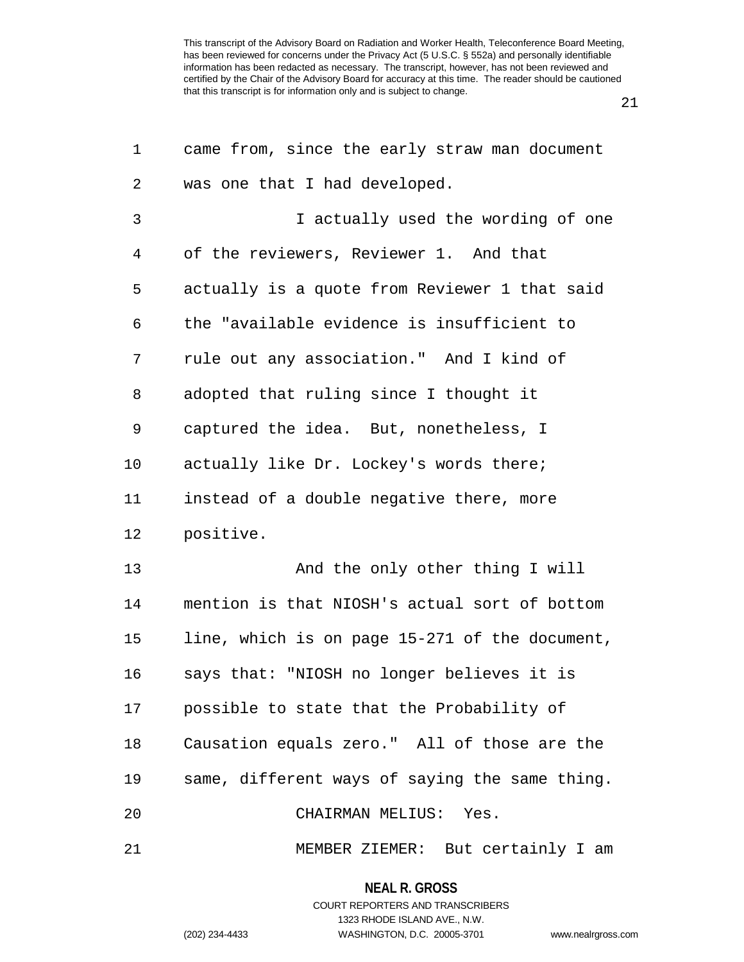| 1              | came from, since the early straw man document  |
|----------------|------------------------------------------------|
| 2              | was one that I had developed.                  |
| $\mathfrak{Z}$ | I actually used the wording of one             |
| 4              | of the reviewers, Reviewer 1. And that         |
| 5              | actually is a quote from Reviewer 1 that said  |
| 6              | the "available evidence is insufficient to     |
| 7              | rule out any association." And I kind of       |
| 8              | adopted that ruling since I thought it         |
| 9              | captured the idea. But, nonetheless, I         |
| 10             | actually like Dr. Lockey's words there;        |
| 11             | instead of a double negative there, more       |
| 12             | positive.                                      |
| 13             | And the only other thing I will                |
| 14             | mention is that NIOSH's actual sort of bottom  |
| 15             | line, which is on page 15-271 of the document, |
| 16             | says that: "NIOSH no longer believes it is     |
| 17             | possible to state that the Probability of      |
| 18             | Causation equals zero." All of those are the   |
| 19             | same, different ways of saying the same thing. |
| 20             | CHAIRMAN MELIUS: Yes.                          |
| 21             | MEMBER ZIEMER: But certainly I am              |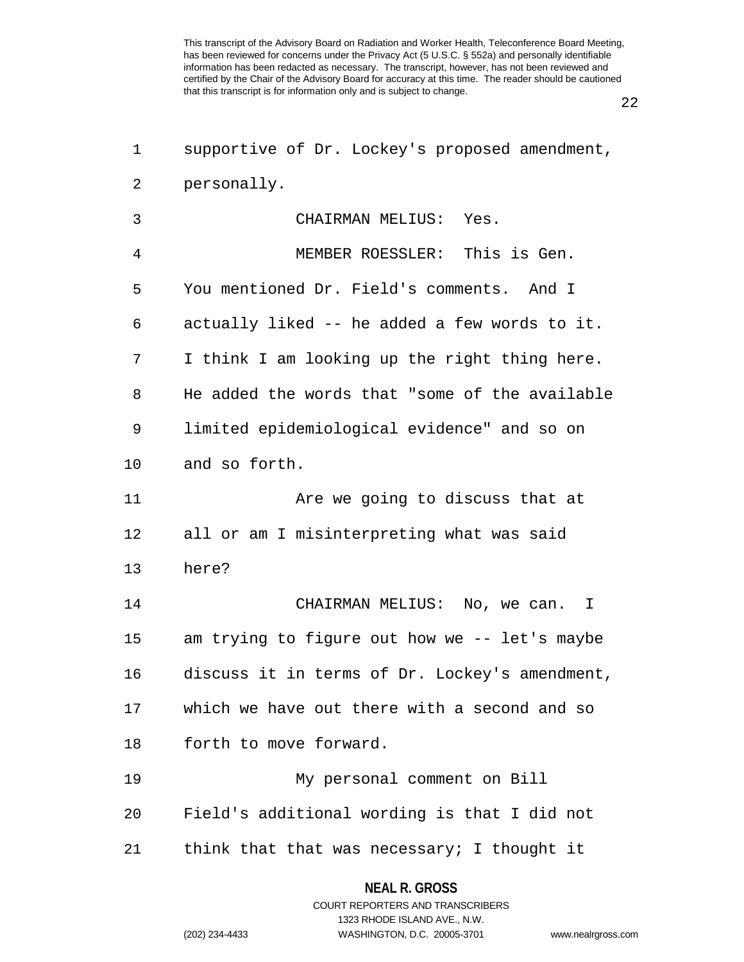22

| 1              | supportive of Dr. Lockey's proposed amendment, |
|----------------|------------------------------------------------|
| 2              | personally.                                    |
| 3              | CHAIRMAN MELIUS: Yes.                          |
| $\overline{4}$ | MEMBER ROESSLER: This is Gen.                  |
| 5              | You mentioned Dr. Field's comments. And I      |
| 6              | actually liked -- he added a few words to it.  |
| 7              | I think I am looking up the right thing here.  |
| 8              | He added the words that "some of the available |
| 9              | limited epidemiological evidence" and so on    |
| 10             | and so forth.                                  |
| 11             | Are we going to discuss that at                |
| 12             | all or am I misinterpreting what was said      |
| 13             | here?                                          |
| 14             | CHAIRMAN MELIUS: No, we can.<br>I.             |
| 15             | am trying to figure out how we -- let's maybe  |
| 16             | discuss it in terms of Dr. Lockey's amendment, |
| 17             | which we have out there with a second and so   |
| 18             | forth to move forward.                         |
| 19             | My personal comment on Bill                    |
| 20             | Field's additional wording is that I did not   |
| 21             | think that that was necessary; I thought it    |

**NEAL R. GROSS** COURT REPORTERS AND TRANSCRIBERS

1323 RHODE ISLAND AVE., N.W.

(202) 234-4433 WASHINGTON, D.C. 20005-3701 www.nealrgross.com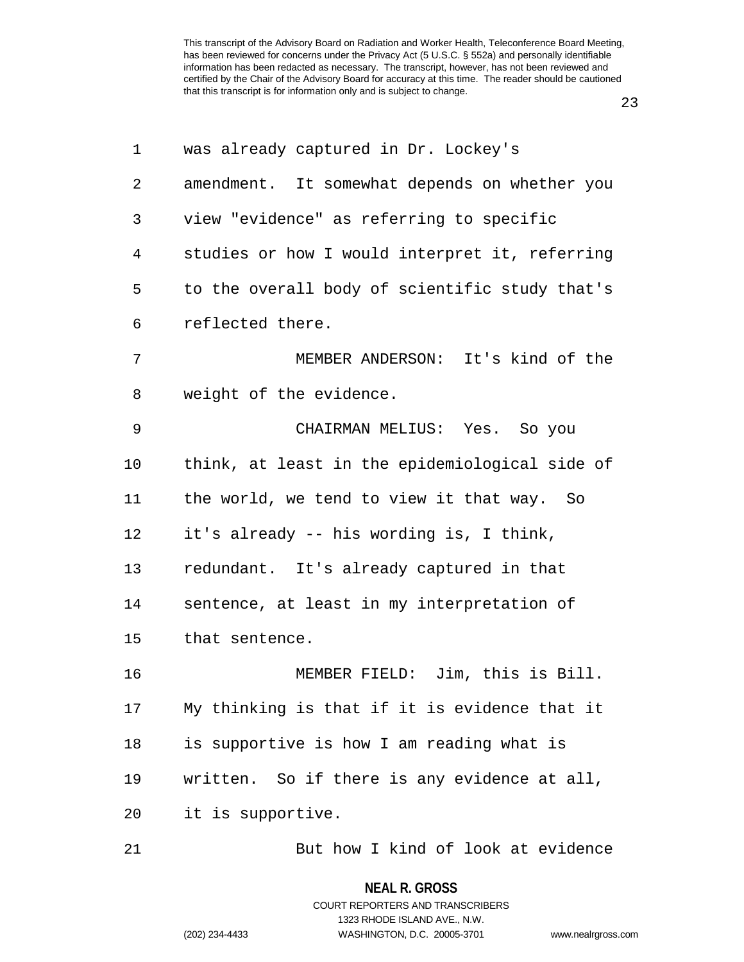| $\mathbf 1$ | was already captured in Dr. Lockey's           |
|-------------|------------------------------------------------|
| 2           | amendment. It somewhat depends on whether you  |
| 3           | view "evidence" as referring to specific       |
| 4           | studies or how I would interpret it, referring |
| 5           | to the overall body of scientific study that's |
| 6           | reflected there.                               |
| 7           | MEMBER ANDERSON: It's kind of the              |
| 8           | weight of the evidence.                        |
| 9           | CHAIRMAN MELIUS: Yes. So you                   |
| 10          | think, at least in the epidemiological side of |
| 11          | the world, we tend to view it that way. So     |
| 12          | it's already -- his wording is, I think,       |
| 13          | redundant. It's already captured in that       |
| 14          | sentence, at least in my interpretation of     |
| 15          | that sentence.                                 |
| 16          | Jim, this is Bill.<br>MEMBER FIELD:            |
| 17          | My thinking is that if it is evidence that it  |
| 18          | is supportive is how I am reading what is      |
| 19          | written. So if there is any evidence at all,   |
| 20          | it is supportive.                              |
| 21          | But how I kind of look at evidence             |

# **NEAL R. GROSS**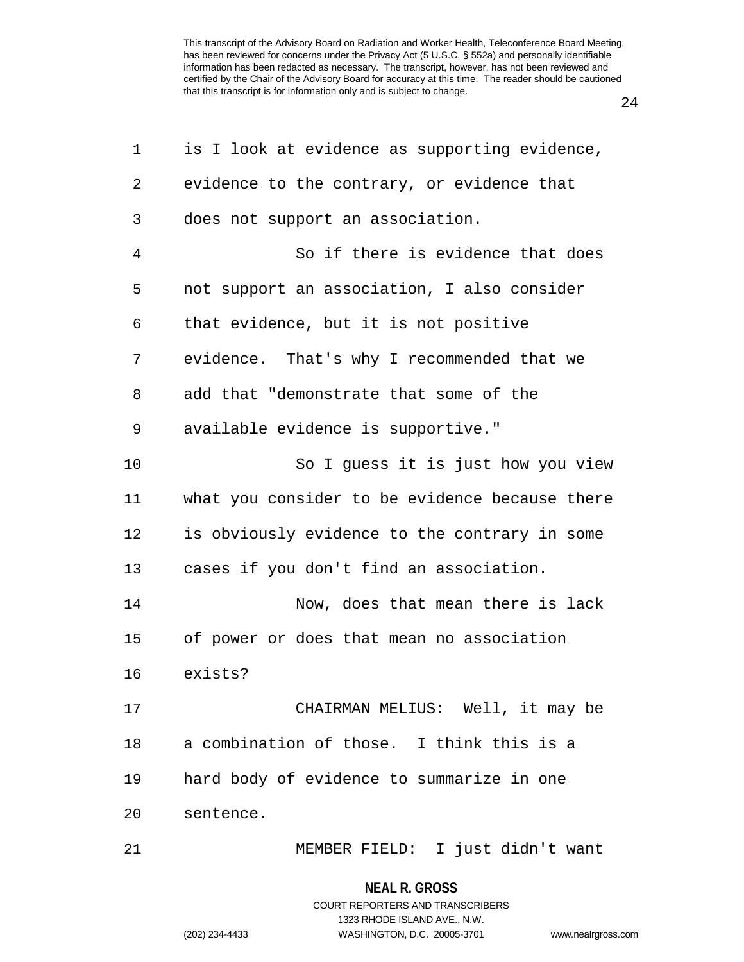24

| 1  | is I look at evidence as supporting evidence,  |
|----|------------------------------------------------|
| 2  | evidence to the contrary, or evidence that     |
| 3  | does not support an association.               |
| 4  | So if there is evidence that does              |
| 5  | not support an association, I also consider    |
| 6  | that evidence, but it is not positive          |
| 7  | evidence. That's why I recommended that we     |
| 8  | add that "demonstrate that some of the         |
| 9  | available evidence is supportive."             |
| 10 | So I guess it is just how you view             |
| 11 | what you consider to be evidence because there |
| 12 | is obviously evidence to the contrary in some  |
| 13 | cases if you don't find an association.        |
| 14 | Now, does that mean there is lack              |
| 15 | of power or does that mean no association      |
| 16 | exists?                                        |
| 17 | CHAIRMAN MELIUS: Well, it may be               |
| 18 | a combination of those. I think this is a      |
| 19 | hard body of evidence to summarize in one      |
| 20 | sentence.                                      |
| 21 | MEMBER FIELD: I just didn't want               |

## **NEAL R. GROSS**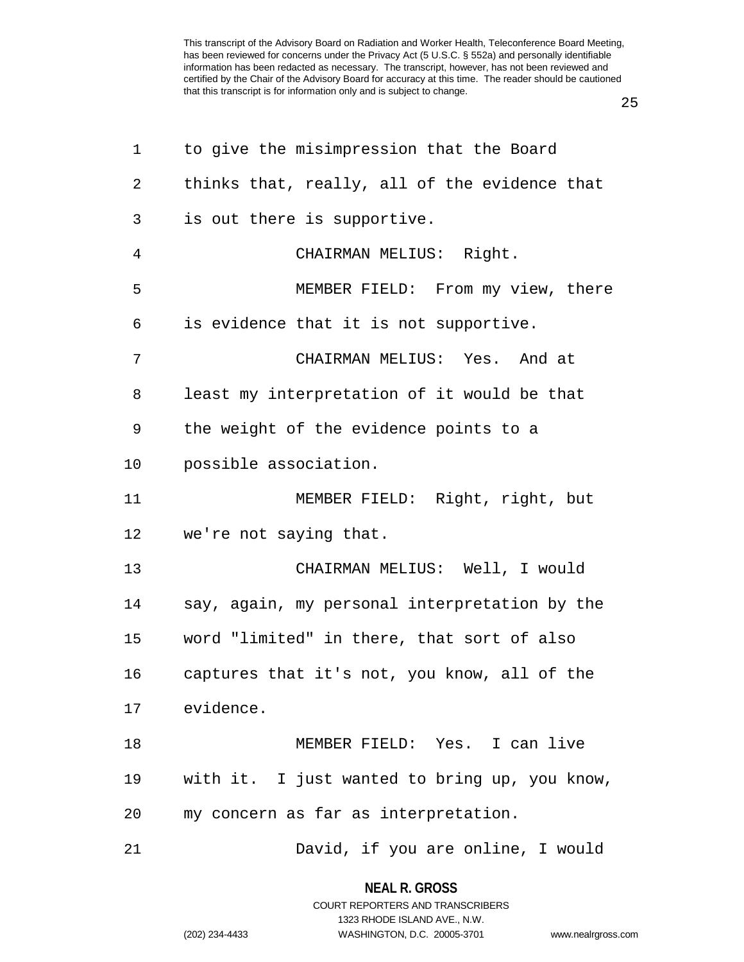25

| 1              | to give the misimpression that the Board      |
|----------------|-----------------------------------------------|
| 2              | thinks that, really, all of the evidence that |
| 3              | is out there is supportive.                   |
| $\overline{4}$ | CHAIRMAN MELIUS: Right.                       |
| 5              | MEMBER FIELD: From my view, there             |
| 6              | is evidence that it is not supportive.        |
| 7              | CHAIRMAN MELIUS: Yes. And at                  |
| 8              | least my interpretation of it would be that   |
| 9              | the weight of the evidence points to a        |
| 10             | possible association.                         |
| 11             | MEMBER FIELD: Right, right, but               |
| 12             | we're not saying that.                        |
| 13             | CHAIRMAN MELIUS: Well, I would                |
| 14             | say, again, my personal interpretation by the |
| 15             | word "limited" in there, that sort of also    |
| 16             | captures that it's not, you know, all of the  |
| 17             | evidence.                                     |
| 18             | MEMBER FIELD: Yes. I can live                 |
| 19             | with it. I just wanted to bring up, you know, |
| 20             | my concern as far as interpretation.          |
| 21             | David, if you are online, I would             |

**NEAL R. GROSS** COURT REPORTERS AND TRANSCRIBERS

1323 RHODE ISLAND AVE., N.W.

(202) 234-4433 WASHINGTON, D.C. 20005-3701 www.nealrgross.com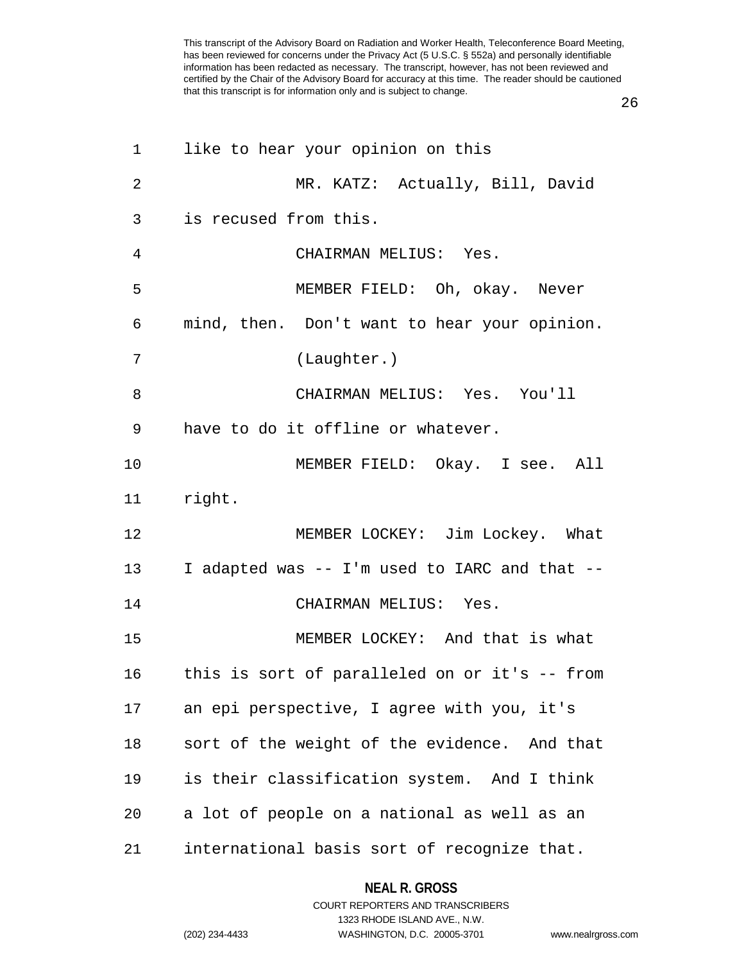26

| 1  | like to hear your opinion on this             |
|----|-----------------------------------------------|
| 2  | MR. KATZ: Actually, Bill, David               |
| 3  | is recused from this.                         |
| 4  | CHAIRMAN MELIUS: Yes.                         |
| 5  | MEMBER FIELD: Oh, okay. Never                 |
| 6  | mind, then. Don't want to hear your opinion.  |
| 7  | (Laughter.)                                   |
| 8  | CHAIRMAN MELIUS: Yes. You'll                  |
| 9  | have to do it offline or whatever.            |
| 10 | MEMBER FIELD: Okay. I see. All                |
| 11 | right.                                        |
| 12 | MEMBER LOCKEY: Jim Lockey. What               |
| 13 | I adapted was -- I'm used to IARC and that -- |
| 14 | CHAIRMAN MELIUS: Yes.                         |
| 15 | MEMBER LOCKEY: And that is what               |
| 16 | this is sort of paralleled on or it's -- from |
| 17 | an epi perspective, I agree with you, it's    |
| 18 | sort of the weight of the evidence. And that  |
| 19 | is their classification system. And I think   |
| 20 | a lot of people on a national as well as an   |
| 21 | international basis sort of recognize that.   |

**NEAL R. GROSS** COURT REPORTERS AND TRANSCRIBERS

1323 RHODE ISLAND AVE., N.W.

(202) 234-4433 WASHINGTON, D.C. 20005-3701 www.nealrgross.com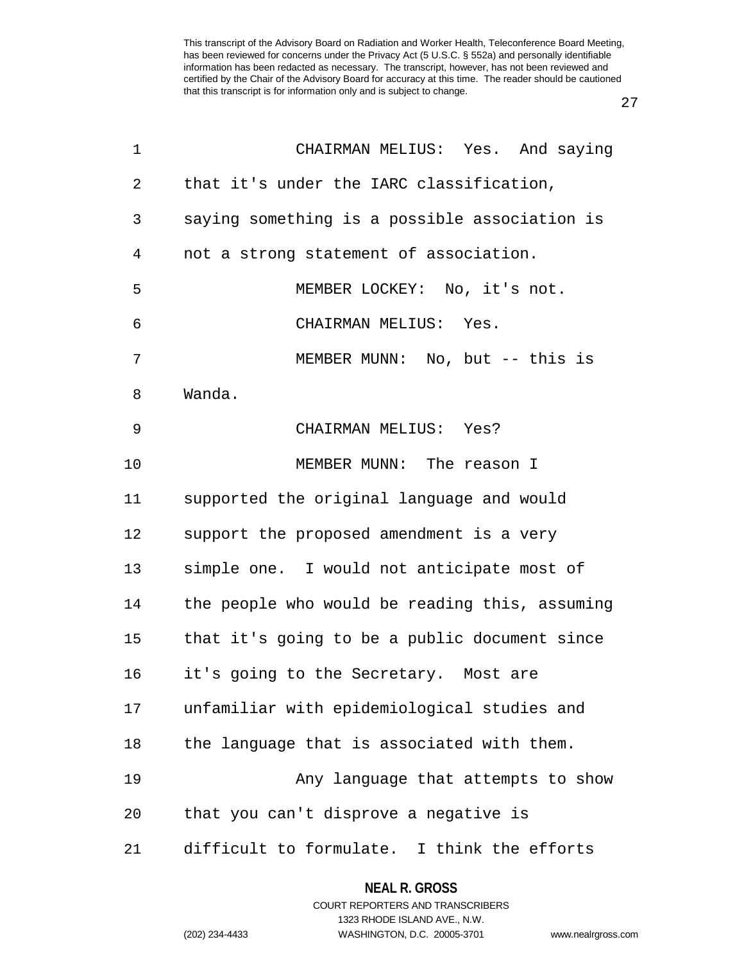27

| 1              | CHAIRMAN MELIUS: Yes. And saying               |
|----------------|------------------------------------------------|
| 2              | that it's under the IARC classification,       |
| 3              | saying something is a possible association is  |
| $\overline{4}$ | not a strong statement of association.         |
| 5              | MEMBER LOCKEY: No, it's not.                   |
| 6              | CHAIRMAN MELIUS: Yes.                          |
| 7              | MEMBER MUNN: No, but -- this is                |
| 8              | Wanda.                                         |
| 9              | CHAIRMAN MELIUS: Yes?                          |
| 10             | MEMBER MUNN: The reason I                      |
| 11             | supported the original language and would      |
| 12             | support the proposed amendment is a very       |
| 13             | simple one. I would not anticipate most of     |
| 14             | the people who would be reading this, assuming |
| 15             | that it's going to be a public document since  |
| 16             | it's going to the Secretary. Most are          |
| 17             | unfamiliar with epidemiological studies and    |
| 18             | the language that is associated with them.     |
| 19             | Any language that attempts to show             |
| 20             | that you can't disprove a negative is          |
| 21             | difficult to formulate. I think the efforts    |

### **NEAL R. GROSS**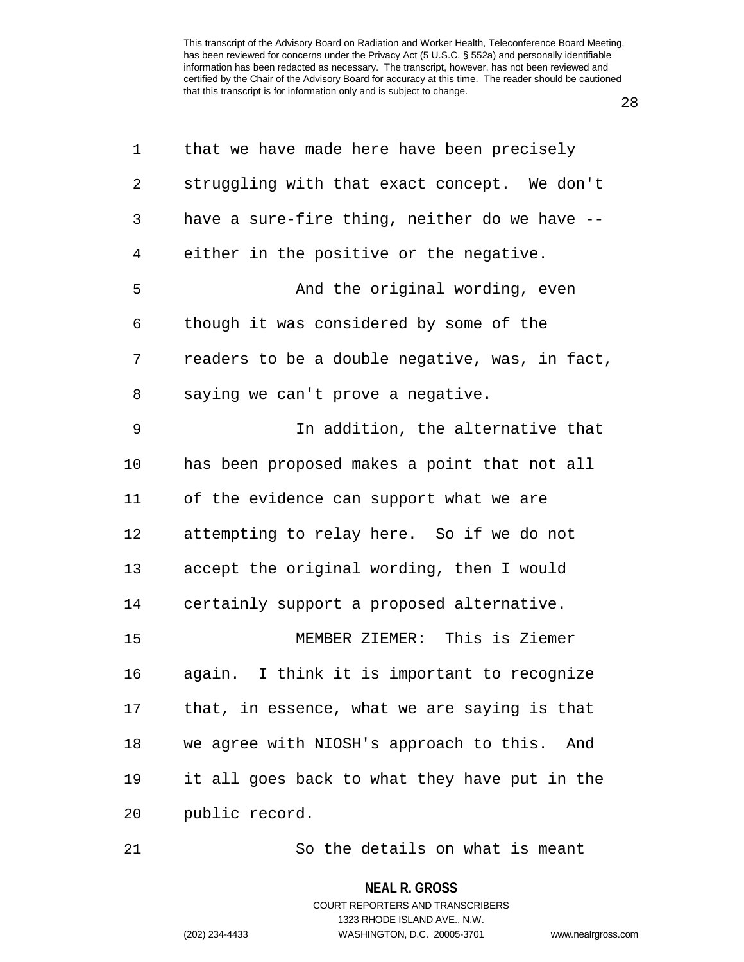28

| 1              | that we have made here have been precisely     |
|----------------|------------------------------------------------|
| $\overline{2}$ | struggling with that exact concept. We don't   |
| 3              | have a sure-fire thing, neither do we have --  |
| 4              | either in the positive or the negative.        |
| 5              | And the original wording, even                 |
| 6              | though it was considered by some of the        |
| 7              | readers to be a double negative, was, in fact, |
| 8              | saying we can't prove a negative.              |
| 9              | In addition, the alternative that              |
| 10             | has been proposed makes a point that not all   |
| 11             | of the evidence can support what we are        |
| 12             | attempting to relay here. So if we do not      |
| 13             | accept the original wording, then I would      |
| 14             | certainly support a proposed alternative.      |
| 15             | MEMBER ZIEMER: This is Ziemer                  |
| 16             | again. I think it is important to recognize    |
| 17             | that, in essence, what we are saying is that   |
| 18             | we agree with NIOSH's approach to this. And    |
| 19             | it all goes back to what they have put in the  |
| 20             | public record.                                 |
|                |                                                |

21 So the details on what is meant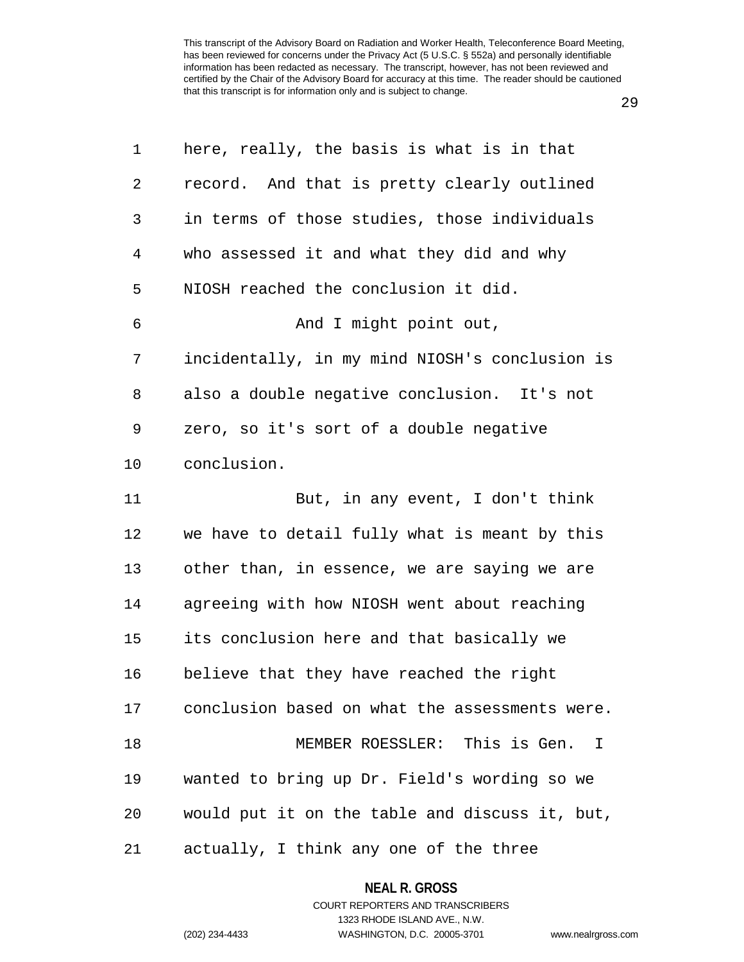29

| 1  | here, really, the basis is what is in that        |
|----|---------------------------------------------------|
| 2  | record. And that is pretty clearly outlined       |
| 3  | in terms of those studies, those individuals      |
| 4  | who assessed it and what they did and why         |
| 5  | NIOSH reached the conclusion it did.              |
| 6  | And I might point out,                            |
| 7  | incidentally, in my mind NIOSH's conclusion is    |
| 8  | also a double negative conclusion. It's not       |
| 9  | zero, so it's sort of a double negative           |
| 10 | conclusion.                                       |
| 11 | But, in any event, I don't think                  |
| 12 | we have to detail fully what is meant by this     |
| 13 | other than, in essence, we are saying we are      |
| 14 | agreeing with how NIOSH went about reaching       |
| 15 | its conclusion here and that basically we         |
| 16 | believe that they have reached the right          |
|    | 17 conclusion based on what the assessments were. |
| 18 | MEMBER ROESSLER: This is Gen.<br>I.               |
| 19 | wanted to bring up Dr. Field's wording so we      |
| 20 | would put it on the table and discuss it, but,    |
| 21 | actually, I think any one of the three            |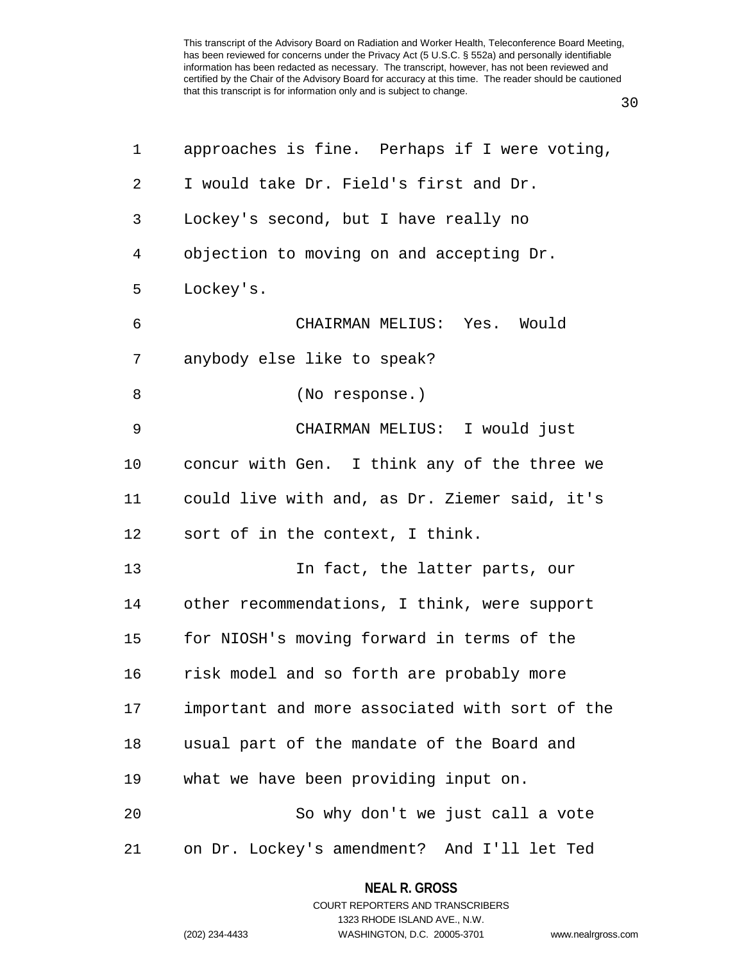| ۰.<br>i<br>v<br>۰.<br>. .<br>× |  |
|--------------------------------|--|
|--------------------------------|--|

| $\mathbf 1$    | approaches is fine. Perhaps if I were voting,  |
|----------------|------------------------------------------------|
| 2              | I would take Dr. Field's first and Dr.         |
| 3              | Lockey's second, but I have really no          |
| $\overline{4}$ | objection to moving on and accepting Dr.       |
| 5              | Lockey's.                                      |
| 6              | CHAIRMAN MELIUS: Yes. Would                    |
| 7              | anybody else like to speak?                    |
| 8              | (No response.)                                 |
| 9              | CHAIRMAN MELIUS: I would just                  |
| 10             | concur with Gen. I think any of the three we   |
| 11             | could live with and, as Dr. Ziemer said, it's  |
| 12             | sort of in the context, I think.               |
| 13             | In fact, the latter parts, our                 |
| 14             | other recommendations, I think, were support   |
| 15             | for NIOSH's moving forward in terms of the     |
| 16             | risk model and so forth are probably more      |
| 17             | important and more associated with sort of the |
| 18             | usual part of the mandate of the Board and     |
| 19             | what we have been providing input on.          |
| 20             | So why don't we just call a vote               |
| 21             | on Dr. Lockey's amendment? And I'll let Ted    |

## **NEAL R. GROSS** COURT REPORTERS AND TRANSCRIBERS

1323 RHODE ISLAND AVE., N.W. (202) 234-4433 WASHINGTON, D.C. 20005-3701 www.nealrgross.com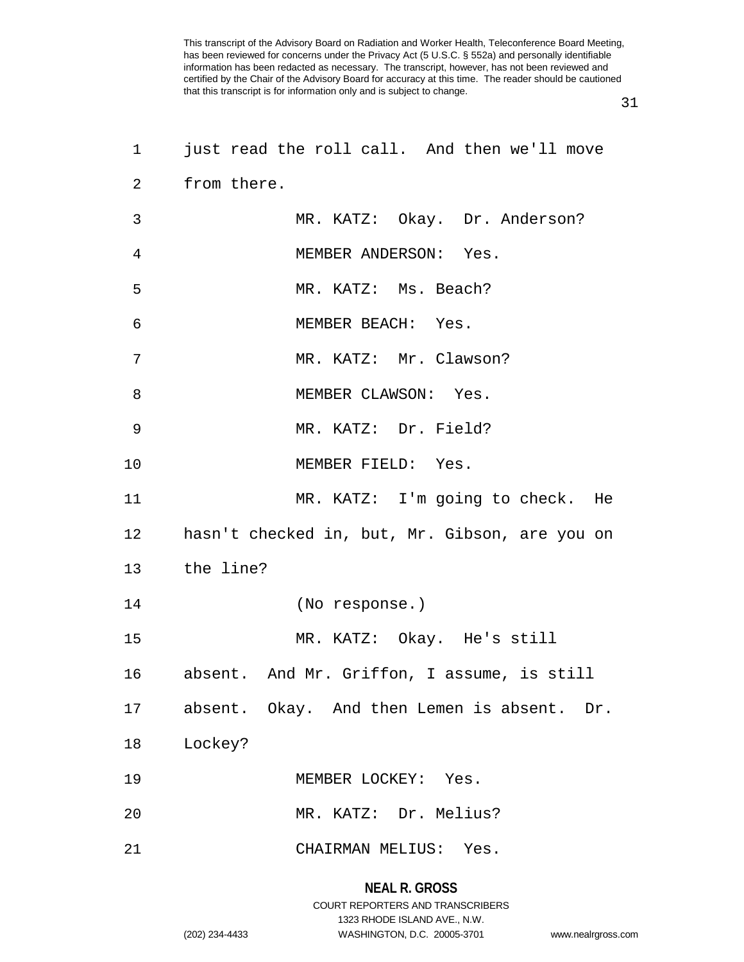31

| $\mathbf 1$    | just read the roll call. And then we'll move   |
|----------------|------------------------------------------------|
| 2              | from there.                                    |
| $\mathbf{3}$   | MR. KATZ: Okay. Dr. Anderson?                  |
| $\overline{4}$ | MEMBER ANDERSON: Yes.                          |
| 5              | MR. KATZ: Ms. Beach?                           |
| 6              | MEMBER BEACH: Yes.                             |
| 7              | MR. KATZ: Mr. Clawson?                         |
| 8              | MEMBER CLAWSON: Yes.                           |
| 9              | MR. KATZ: Dr. Field?                           |
| 10             | MEMBER FIELD: Yes.                             |
| 11             | MR. KATZ: I'm going to check. He               |
| 12             | hasn't checked in, but, Mr. Gibson, are you on |
| 13             | the line?                                      |
| 14             | (No response.)                                 |
| 15             | MR. KATZ: Okay. He's still                     |
|                | 16 absent. And Mr. Griffon, I assume, is still |
|                | 17 absent. Okay. And then Lemen is absent. Dr. |
| 18             | Lockey?                                        |
| 19             | MEMBER LOCKEY: Yes.                            |
| 20             | MR. KATZ: Dr. Melius?                          |
| 21             | CHAIRMAN MELIUS: Yes.                          |

## **NEAL R. GROSS**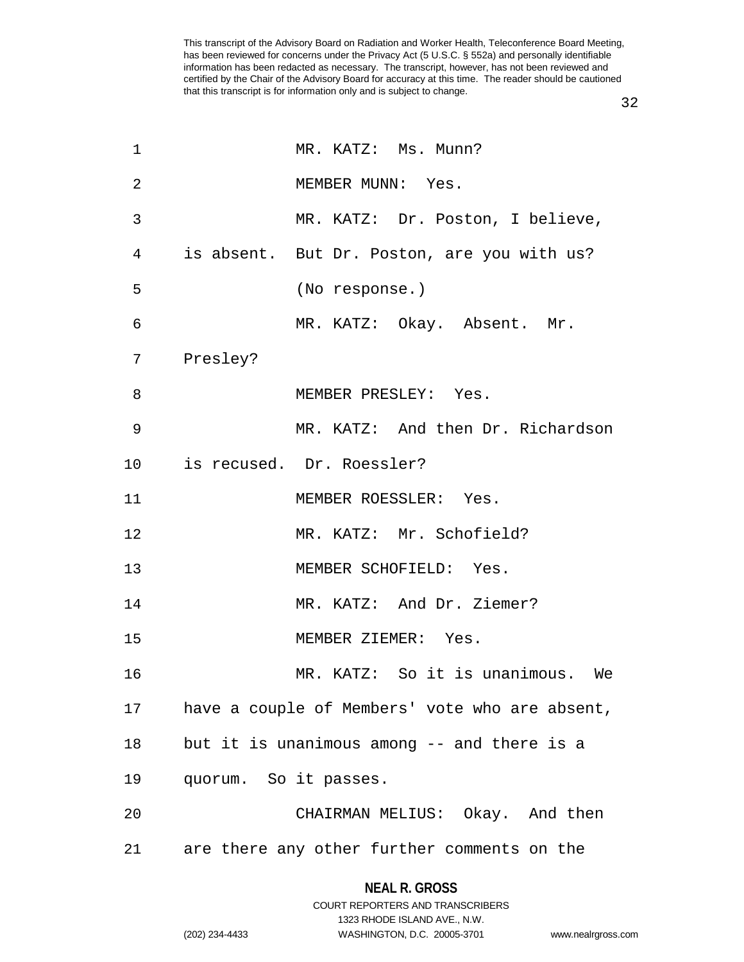32

| 1               |                       | MR. KATZ: Ms. Munn?                            |
|-----------------|-----------------------|------------------------------------------------|
| $\overline{2}$  |                       | MEMBER MUNN: Yes.                              |
| 3               |                       | MR. KATZ: Dr. Poston, I believe,               |
| 4               |                       | is absent. But Dr. Poston, are you with us?    |
| 5               |                       | (No response.)                                 |
| $\epsilon$      |                       | MR. KATZ: Okay. Absent. Mr.                    |
| 7               | Presley?              |                                                |
| 8               |                       | MEMBER PRESLEY: Yes.                           |
| 9               |                       | MR. KATZ: And then Dr. Richardson              |
| 10 <sub>o</sub> |                       | is recused. Dr. Roessler?                      |
| 11              |                       | MEMBER ROESSLER: Yes.                          |
| 12              |                       | MR. KATZ: Mr. Schofield?                       |
| 13              |                       | MEMBER SCHOFIELD: Yes.                         |
| 14              |                       | MR. KATZ: And Dr. Ziemer?                      |
| 15              |                       | MEMBER ZIEMER: Yes.                            |
| 16              |                       | MR. KATZ: So it is unanimous. We               |
| 17              |                       | have a couple of Members' vote who are absent, |
| 18              |                       | but it is unanimous among -- and there is a    |
| 19              | quorum. So it passes. |                                                |
| 20              |                       | CHAIRMAN MELIUS: Okay. And then                |
| 21              |                       | are there any other further comments on the    |

## **NEAL R. GROSS** COURT REPORTERS AND TRANSCRIBERS

1323 RHODE ISLAND AVE., N.W. (202) 234-4433 WASHINGTON, D.C. 20005-3701 www.nealrgross.com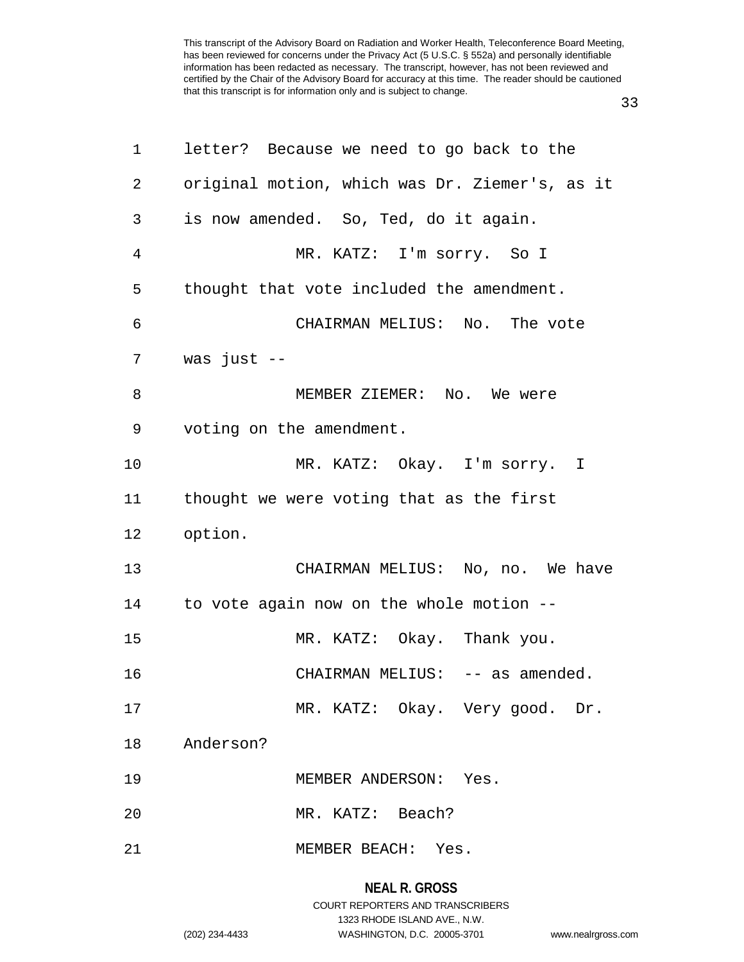33

| 1              | letter? Because we need to go back to the      |
|----------------|------------------------------------------------|
| 2              | original motion, which was Dr. Ziemer's, as it |
| 3              | is now amended. So, Ted, do it again.          |
| $\overline{4}$ | MR. KATZ: I'm sorry. So I                      |
| 5              | thought that vote included the amendment.      |
| 6              | CHAIRMAN MELIUS: No. The vote                  |
| 7              | was just $--$                                  |
| 8              | MEMBER ZIEMER: No. We were                     |
| 9              | voting on the amendment.                       |
| 10             | MR. KATZ: Okay. I'm sorry. I                   |
| 11             | thought we were voting that as the first       |
| 12             | option.                                        |
| 13             | CHAIRMAN MELIUS: No, no. We have               |
| 14             | to vote again now on the whole motion --       |
| 15             | MR. KATZ: Okay. Thank you.                     |
| 16             | CHAIRMAN MELIUS: -- as amended.                |
| 17             | MR. KATZ: Okay. Very good. Dr.                 |
| 18             | Anderson?                                      |
| 19             | MEMBER ANDERSON: Yes.                          |
| 20             | MR. KATZ: Beach?                               |
| 21             | MEMBER BEACH: Yes.                             |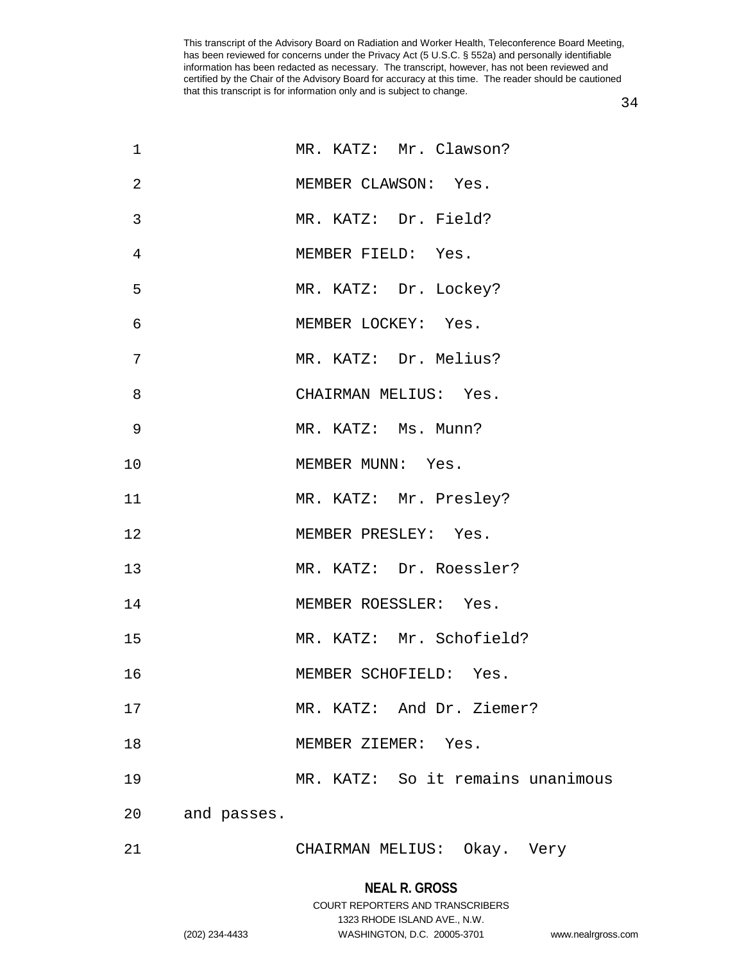| 1  |             | MR. KATZ: Mr. Clawson?            |
|----|-------------|-----------------------------------|
| 2  |             | MEMBER CLAWSON: Yes.              |
| 3  |             | MR. KATZ: Dr. Field?              |
| 4  |             | MEMBER FIELD: Yes.                |
| 5  |             | MR. KATZ: Dr. Lockey?             |
| 6  |             | MEMBER LOCKEY: Yes.               |
| 7  |             | MR. KATZ: Dr. Melius?             |
| 8  |             | CHAIRMAN MELIUS: Yes.             |
| 9  |             | MR. KATZ: Ms. Munn?               |
| 10 |             | MEMBER MUNN: Yes.                 |
| 11 |             | MR. KATZ: Mr. Presley?            |
| 12 |             | MEMBER PRESLEY: Yes.              |
| 13 |             | MR. KATZ: Dr. Roessler?           |
| 14 |             | MEMBER ROESSLER: Yes.             |
| 15 |             | MR. KATZ: Mr. Schofield?          |
| 16 |             | MEMBER SCHOFIELD: Yes.            |
| 17 |             | MR. KATZ: And Dr. Ziemer?         |
| 18 |             | MEMBER ZIEMER: Yes.               |
| 19 |             | MR. KATZ: So it remains unanimous |
| 20 | and passes. |                                   |
| 21 |             | CHAIRMAN MELIUS: Okay. Very       |

34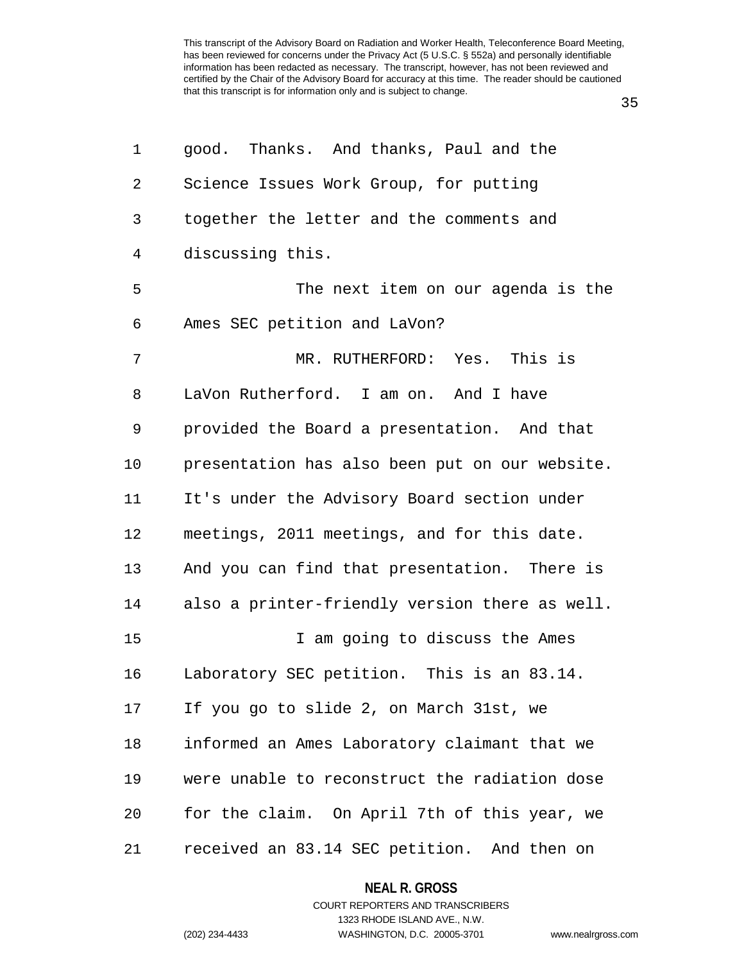1 good. Thanks. And thanks, Paul and the 2 Science Issues Work Group, for putting 3 together the letter and the comments and 4 discussing this. 5 The next item on our agenda is the 6 Ames SEC petition and LaVon? 7 MR. RUTHERFORD: Yes. This is 8 LaVon Rutherford. I am on. And I have 9 provided the Board a presentation. And that 10 presentation has also been put on our website. 11 It's under the Advisory Board section under 12 meetings, 2011 meetings, and for this date. 13 And you can find that presentation. There is 14 also a printer-friendly version there as well. 15 I am going to discuss the Ames 16 Laboratory SEC petition. This is an 83.14. 17 If you go to slide 2, on March 31st, we 18 informed an Ames Laboratory claimant that we 19 were unable to reconstruct the radiation dose 20 for the claim. On April 7th of this year, we 21 received an 83.14 SEC petition. And then on

> COURT REPORTERS AND TRANSCRIBERS 1323 RHODE ISLAND AVE., N.W.

**NEAL R. GROSS**

(202) 234-4433 WASHINGTON, D.C. 20005-3701 www.nealrgross.com

35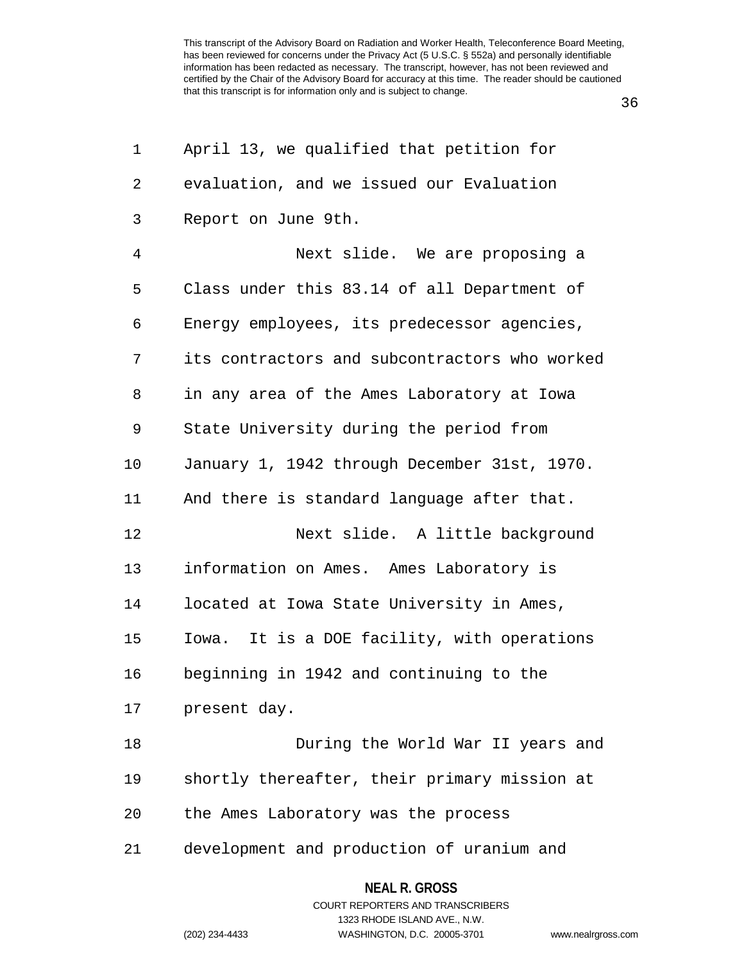36

| 1  | April 13, we qualified that petition for      |  |  |
|----|-----------------------------------------------|--|--|
| 2  | evaluation, and we issued our Evaluation      |  |  |
| 3  | Report on June 9th.                           |  |  |
| 4  | Next slide. We are proposing a                |  |  |
| 5  | Class under this 83.14 of all Department of   |  |  |
| 6  | Energy employees, its predecessor agencies,   |  |  |
| 7  | its contractors and subcontractors who worked |  |  |
| 8  | in any area of the Ames Laboratory at Iowa    |  |  |
| 9  | State University during the period from       |  |  |
| 10 | January 1, 1942 through December 31st, 1970.  |  |  |
| 11 | And there is standard language after that.    |  |  |
| 12 | Next slide. A little background               |  |  |
| 13 | information on Ames. Ames Laboratory is       |  |  |
| 14 | located at Iowa State University in Ames,     |  |  |
| 15 | Iowa. It is a DOE facility, with operations   |  |  |
| 16 | beginning in 1942 and continuing to the       |  |  |
| 17 | present day.                                  |  |  |
| 18 | During the World War II years and             |  |  |
| 19 | shortly thereafter, their primary mission at  |  |  |
| 20 | the Ames Laboratory was the process           |  |  |
| 21 | development and production of uranium and     |  |  |

**NEAL R. GROSS**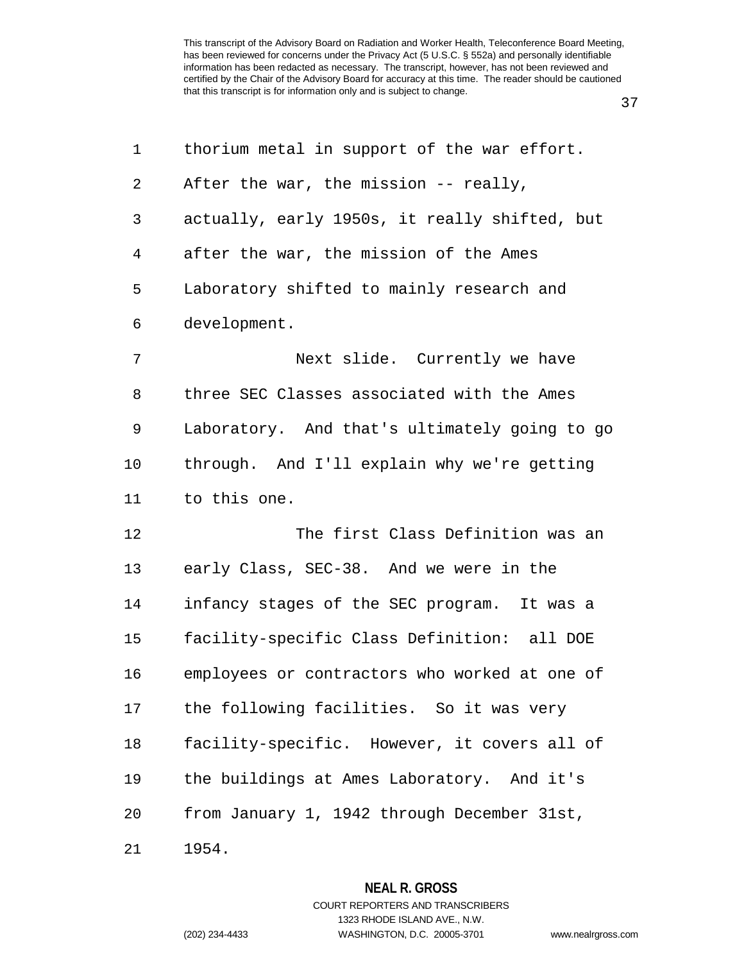| ۰<br>i<br>v<br>× |  |
|------------------|--|
|------------------|--|

| 1              | thorium metal in support of the war effort.   |
|----------------|-----------------------------------------------|
| $\overline{2}$ | After the war, the mission -- really,         |
| 3              | actually, early 1950s, it really shifted, but |
| 4              | after the war, the mission of the Ames        |
| 5              | Laboratory shifted to mainly research and     |
| 6              | development.                                  |
| 7              | Next slide. Currently we have                 |
| 8              | three SEC Classes associated with the Ames    |
| 9              | Laboratory. And that's ultimately going to go |
| 10             | through. And I'll explain why we're getting   |
| 11             | to this one.                                  |
| 12             | The first Class Definition was an             |
| 13             | early Class, SEC-38. And we were in the       |
| 14             | infancy stages of the SEC program. It was a   |
| 15             | facility-specific Class Definition: all DOE   |
| 16             | employees or contractors who worked at one of |
| 17             | the following facilities. So it was very      |
| 18             | facility-specific. However, it covers all of  |
| 19             | the buildings at Ames Laboratory. And it's    |
| 20             | from January 1, 1942 through December 31st,   |
| 21             | 1954.                                         |

COURT REPORTERS AND TRANSCRIBERS

**NEAL R. GROSS**

1323 RHODE ISLAND AVE., N.W.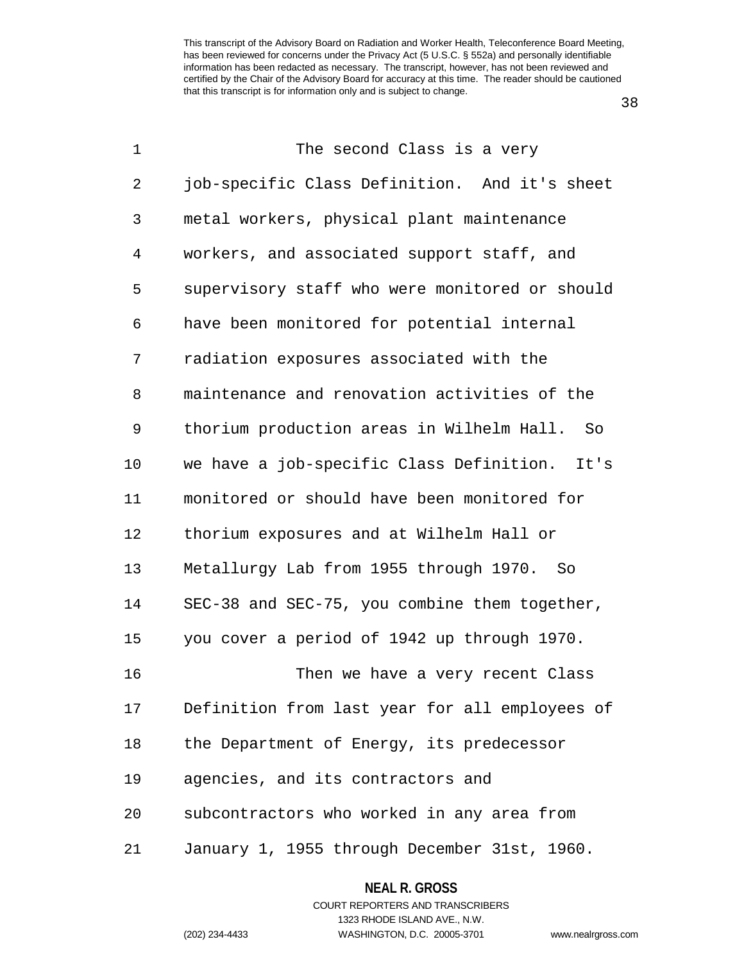38

| 1  | The second Class is a very                      |
|----|-------------------------------------------------|
| 2  | job-specific Class Definition. And it's sheet   |
| 3  | metal workers, physical plant maintenance       |
| 4  | workers, and associated support staff, and      |
| 5  | supervisory staff who were monitored or should  |
| 6  | have been monitored for potential internal      |
| 7  | radiation exposures associated with the         |
| 8  | maintenance and renovation activities of the    |
| 9  | thorium production areas in Wilhelm Hall.<br>So |
| 10 | we have a job-specific Class Definition. It's   |
| 11 | monitored or should have been monitored for     |
| 12 | thorium exposures and at Wilhelm Hall or        |
| 13 | Metallurgy Lab from 1955 through 1970. So       |
| 14 | SEC-38 and SEC-75, you combine them together,   |
| 15 | you cover a period of 1942 up through 1970.     |
| 16 | Then we have a very recent Class                |
| 17 | Definition from last year for all employees of  |
| 18 | the Department of Energy, its predecessor       |
| 19 | agencies, and its contractors and               |
| 20 | subcontractors who worked in any area from      |
| 21 | January 1, 1955 through December 31st, 1960.    |

**NEAL R. GROSS**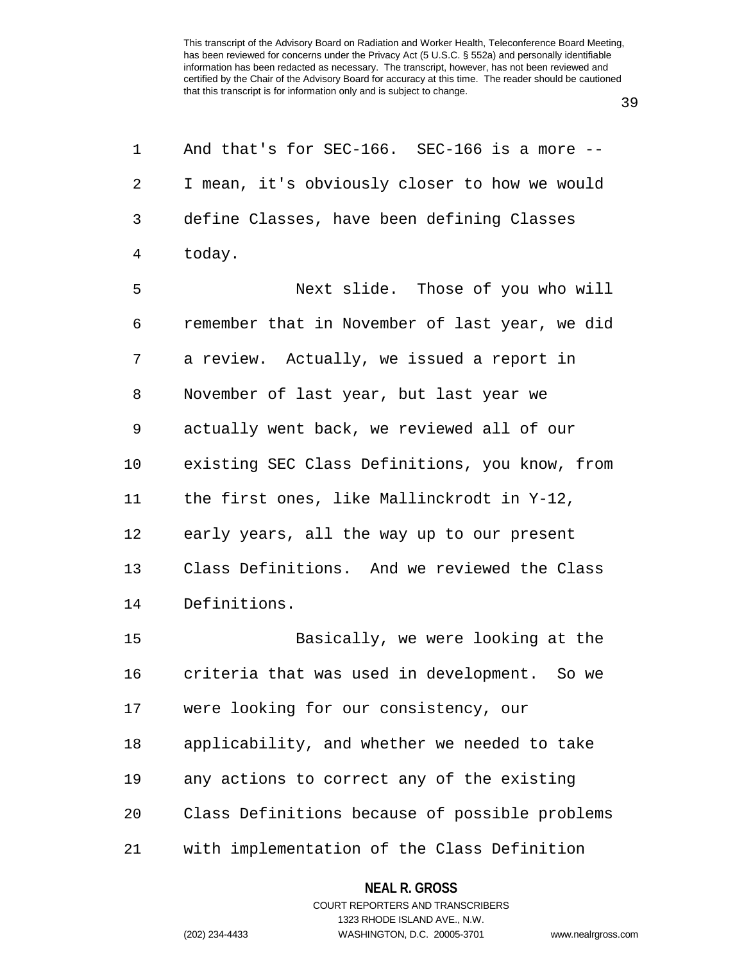1 And that's for SEC-166. SEC-166 is a more --

39

| 2  | I mean, it's obviously closer to how we would  |
|----|------------------------------------------------|
| 3  | define Classes, have been defining Classes     |
| 4  | today.                                         |
| 5  | Next slide. Those of you who will              |
| 6  | remember that in November of last year, we did |
| 7  | a review. Actually, we issued a report in      |
| 8  | November of last year, but last year we        |
| 9  | actually went back, we reviewed all of our     |
| 10 | existing SEC Class Definitions, you know, from |
| 11 | the first ones, like Mallinckrodt in Y-12,     |
| 12 | early years, all the way up to our present     |
| 13 | Class Definitions. And we reviewed the Class   |
| 14 | Definitions.                                   |
| 15 | Basically, we were looking at the              |
| 16 | criteria that was used in development. So we   |
| 17 | were looking for our consistency, our          |
| 18 | applicability, and whether we needed to take   |
| 19 | any actions to correct any of the existing     |
| 20 | Class Definitions because of possible problems |
| 21 | with implementation of the Class Definition    |

**NEAL R. GROSS** COURT REPORTERS AND TRANSCRIBERS

1323 RHODE ISLAND AVE., N.W.

(202) 234-4433 WASHINGTON, D.C. 20005-3701 www.nealrgross.com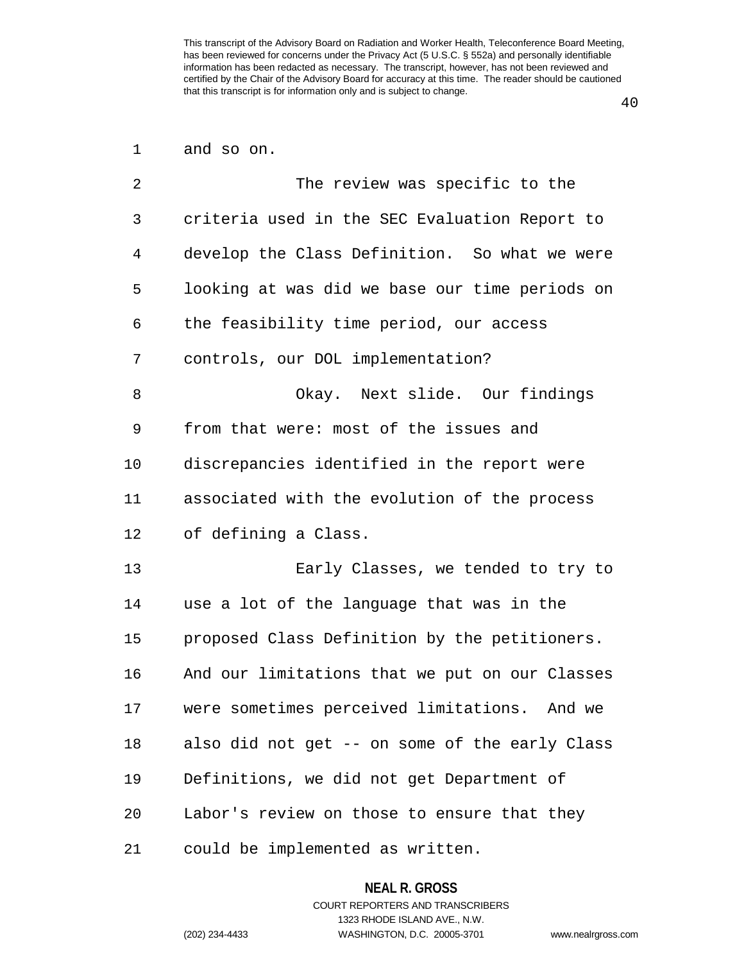40

| and so on. |  |
|------------|--|
|            |  |

| 2  | The review was specific to the                  |
|----|-------------------------------------------------|
| 3  | criteria used in the SEC Evaluation Report to   |
| 4  | develop the Class Definition. So what we were   |
| 5  | looking at was did we base our time periods on  |
| 6  | the feasibility time period, our access         |
| 7  | controls, our DOL implementation?               |
| 8  | Okay. Next slide. Our findings                  |
| 9  | from that were: most of the issues and          |
| 10 | discrepancies identified in the report were     |
| 11 | associated with the evolution of the process    |
| 12 | of defining a Class.                            |
| 13 | Early Classes, we tended to try to              |
| 14 | use a lot of the language that was in the       |
| 15 | proposed Class Definition by the petitioners.   |
| 16 | And our limitations that we put on our Classes  |
| 17 | were sometimes perceived limitations.<br>And we |
| 18 | also did not get -- on some of the early Class  |
| 19 | Definitions, we did not get Department of       |
| 20 | Labor's review on those to ensure that they     |
| 21 | could be implemented as written.                |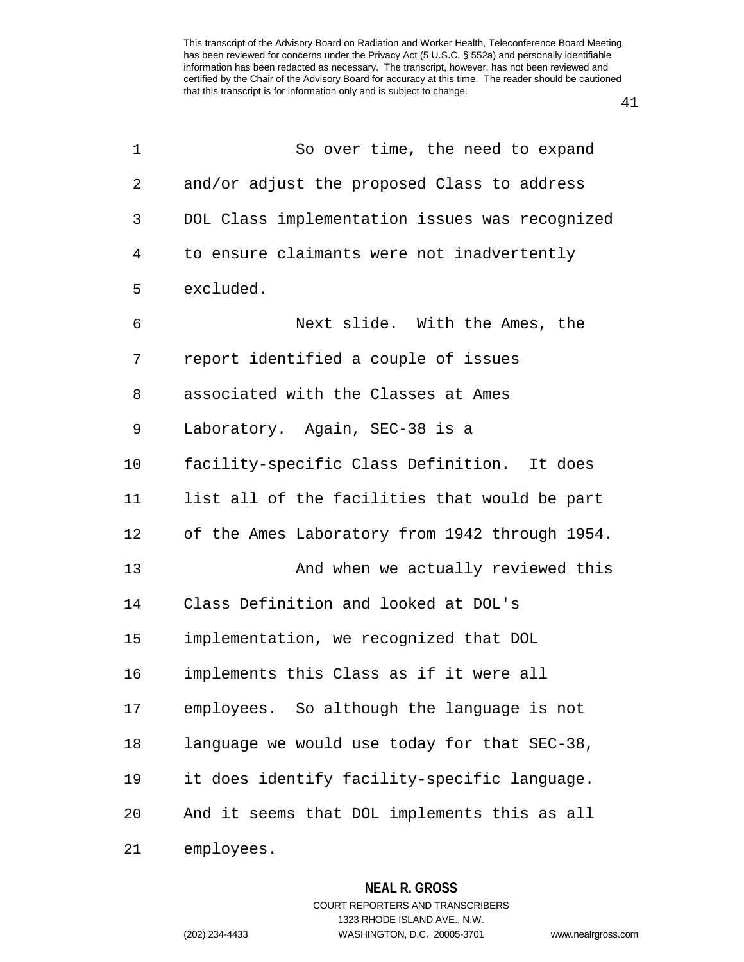41

| 1  | So over time, the need to expand               |
|----|------------------------------------------------|
| 2  | and/or adjust the proposed Class to address    |
| 3  | DOL Class implementation issues was recognized |
| 4  | to ensure claimants were not inadvertently     |
| 5  | excluded.                                      |
| 6  | Next slide. With the Ames, the                 |
| 7  | report identified a couple of issues           |
| 8  | associated with the Classes at Ames            |
| 9  | Laboratory. Again, SEC-38 is a                 |
| 10 | facility-specific Class Definition. It does    |
| 11 | list all of the facilities that would be part  |
| 12 | of the Ames Laboratory from 1942 through 1954. |
| 13 | And when we actually reviewed this             |
| 14 | Class Definition and looked at DOL's           |
| 15 | implementation, we recognized that DOL         |
| 16 | implements this Class as if it were all        |
| 17 | employees. So although the language is not     |
| 18 | language we would use today for that SEC-38,   |
| 19 | it does identify facility-specific language.   |
| 20 | And it seems that DOL implements this as all   |
| 21 | employees.                                     |

**NEAL R. GROSS** COURT REPORTERS AND TRANSCRIBERS 1323 RHODE ISLAND AVE., N.W.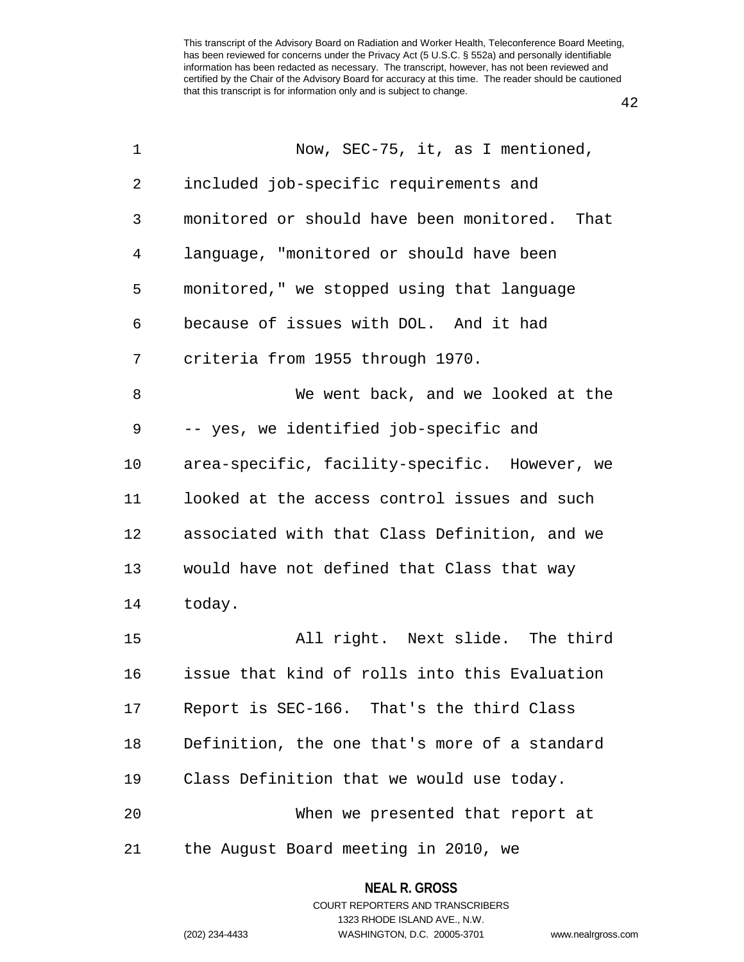42

| 1  | Now, SEC-75, it, as I mentioned,                 |
|----|--------------------------------------------------|
| 2  | included job-specific requirements and           |
| 3  | monitored or should have been monitored.<br>That |
| 4  | language, "monitored or should have been         |
| 5  | monitored," we stopped using that language       |
| 6  | because of issues with DOL. And it had           |
| 7  | criteria from 1955 through 1970.                 |
| 8  | We went back, and we looked at the               |
| 9  | -- yes, we identified job-specific and           |
| 10 | area-specific, facility-specific. However, we    |
| 11 | looked at the access control issues and such     |
| 12 | associated with that Class Definition, and we    |
| 13 | would have not defined that Class that way       |
| 14 | today.                                           |
| 15 | All right. Next slide. The third                 |
| 16 | issue that kind of rolls into this Evaluation    |
| 17 | Report is SEC-166. That's the third Class        |
| 18 | Definition, the one that's more of a standard    |
| 19 | Class Definition that we would use today.        |
| 20 | When we presented that report at                 |
| 21 | the August Board meeting in 2010, we             |
|    |                                                  |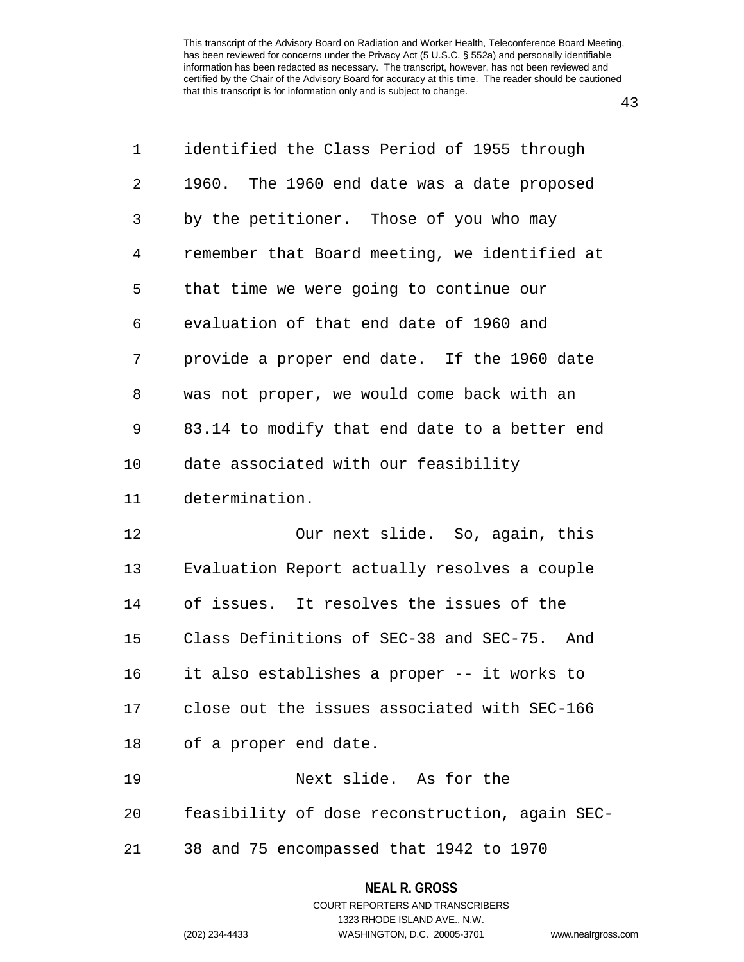43

| 1              | identified the Class Period of 1955 through    |
|----------------|------------------------------------------------|
| $\overline{2}$ | 1960. The 1960 end date was a date proposed    |
| 3              | by the petitioner. Those of you who may        |
| 4              | remember that Board meeting, we identified at  |
| 5              | that time we were going to continue our        |
| 6              | evaluation of that end date of 1960 and        |
| 7              | provide a proper end date. If the 1960 date    |
| 8              | was not proper, we would come back with an     |
| 9              | 83.14 to modify that end date to a better end  |
| 10             | date associated with our feasibility           |
| 11             | determination.                                 |
| 12             | Our next slide. So, again, this                |
| 13             | Evaluation Report actually resolves a couple   |
| 14             | of issues. It resolves the issues of the       |
| 15             | Class Definitions of SEC-38 and SEC-75. And    |
| 16             | it also establishes a proper -- it works to    |
| 17             | close out the issues associated with SEC-166   |
| 18             | of a proper end date.                          |
| 19             | Next slide. As for the                         |
| 20             | feasibility of dose reconstruction, again SEC- |
| 21             | 38 and 75 encompassed that 1942 to 1970        |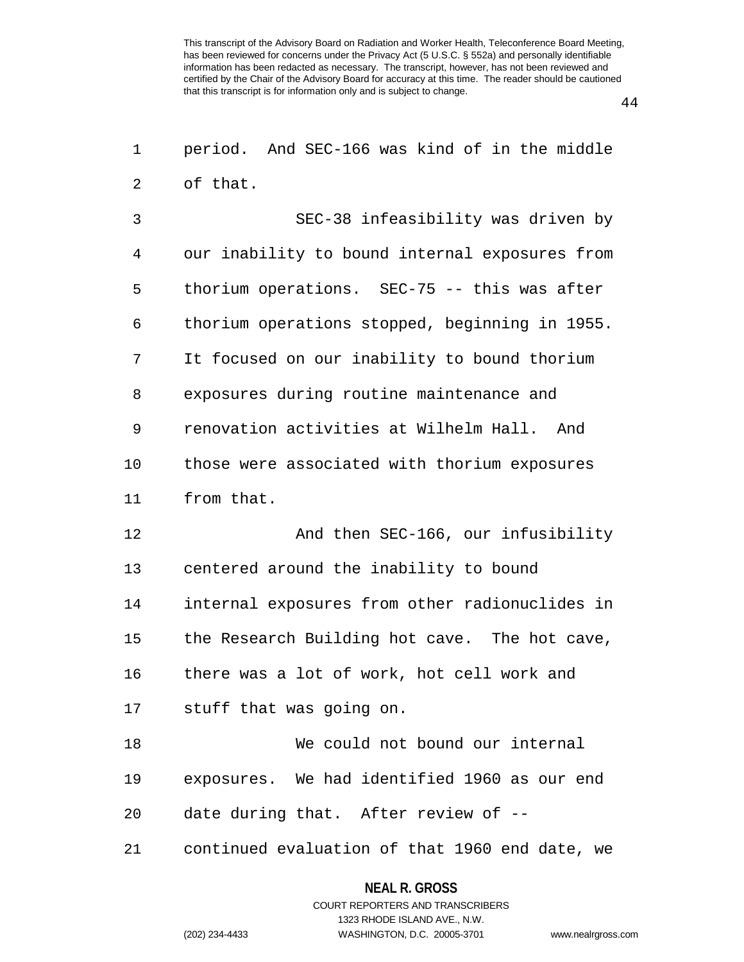44

| 1  | period. And SEC-166 was kind of in the middle  |
|----|------------------------------------------------|
| 2  | of that.                                       |
| 3  | SEC-38 infeasibility was driven by             |
| 4  | our inability to bound internal exposures from |
| 5  | thorium operations. SEC-75 -- this was after   |
| 6  | thorium operations stopped, beginning in 1955. |
| 7  | It focused on our inability to bound thorium   |
| 8  | exposures during routine maintenance and       |
| 9  | renovation activities at Wilhelm Hall. And     |
| 10 | those were associated with thorium exposures   |
| 11 | from that.                                     |
| 12 | And then SEC-166, our infusibility             |
| 13 | centered around the inability to bound         |
| 14 | internal exposures from other radionuclides in |
| 15 | the Research Building hot cave. The hot cave,  |
| 16 | there was a lot of work, hot cell work and     |
| 17 | stuff that was going on.                       |
| 18 | We could not bound our internal                |
| 19 | exposures. We had identified 1960 as our end   |
| 20 | date during that. After review of --           |
| 21 | continued evaluation of that 1960 end date, we |

### **NEAL R. GROSS**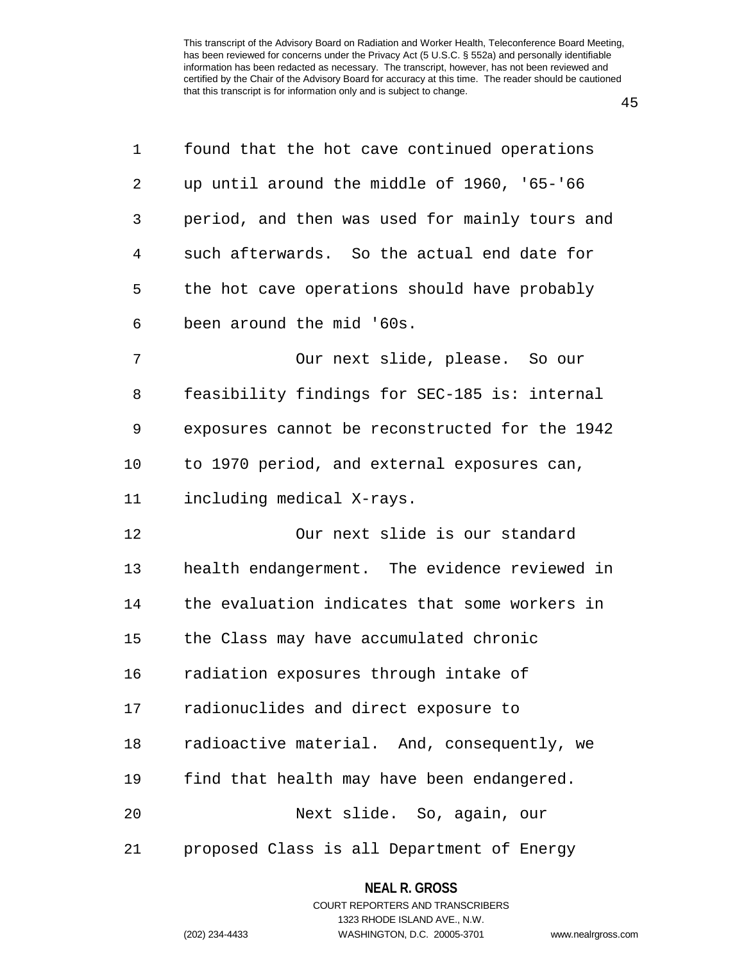| 1  | found that the hot cave continued operations   |
|----|------------------------------------------------|
| 2  | up until around the middle of 1960, '65-'66    |
| 3  | period, and then was used for mainly tours and |
| 4  | such afterwards. So the actual end date for    |
| 5  | the hot cave operations should have probably   |
| 6  | been around the mid '60s.                      |
| 7  | Our next slide, please. So our                 |
| 8  | feasibility findings for SEC-185 is: internal  |
| 9  | exposures cannot be reconstructed for the 1942 |
| 10 | to 1970 period, and external exposures can,    |
| 11 | including medical X-rays.                      |
| 12 | Our next slide is our standard                 |
| 13 | health endangerment. The evidence reviewed in  |
| 14 | the evaluation indicates that some workers in  |
| 15 | the Class may have accumulated chronic         |
| 16 | radiation exposures through intake of          |
| 17 | radionuclides and direct exposure to           |
| 18 | radioactive material. And, consequently, we    |
| 19 | find that health may have been endangered.     |
| 20 | Next slide. So, again, our                     |
| 21 | proposed Class is all Department of Energy     |

**NEAL R. GROSS** COURT REPORTERS AND TRANSCRIBERS 1323 RHODE ISLAND AVE., N.W. (202) 234-4433 WASHINGTON, D.C. 20005-3701 www.nealrgross.com

45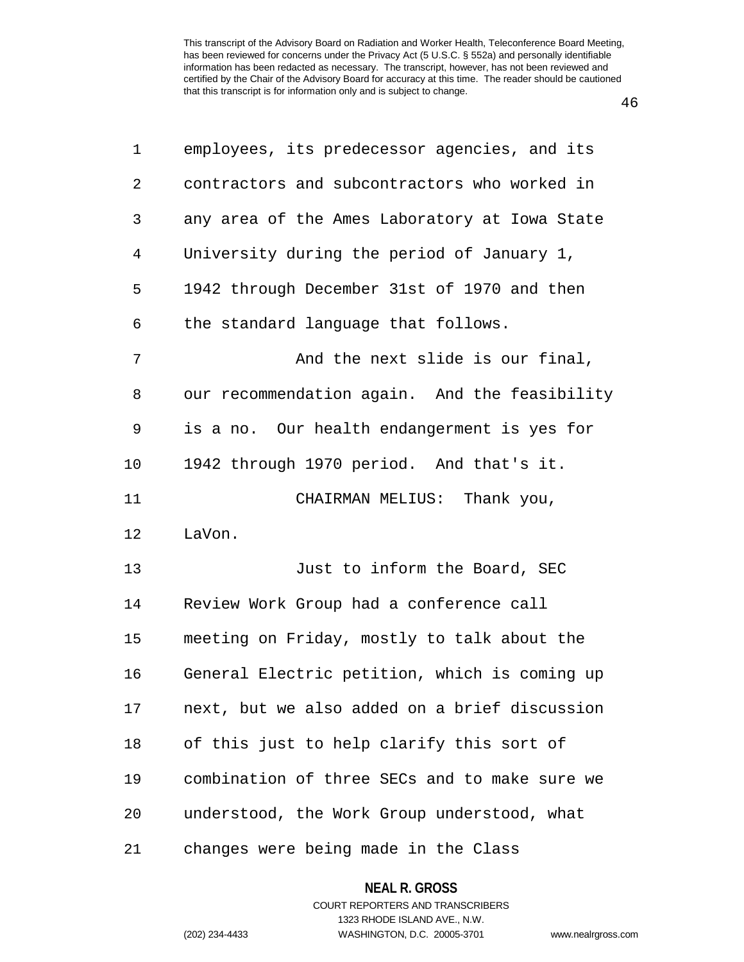46

| 1              | employees, its predecessor agencies, and its  |
|----------------|-----------------------------------------------|
| 2              | contractors and subcontractors who worked in  |
| 3              | any area of the Ames Laboratory at Iowa State |
| $\overline{4}$ | University during the period of January 1,    |
| 5              | 1942 through December 31st of 1970 and then   |
| 6              | the standard language that follows.           |
| 7              | And the next slide is our final,              |
| 8              | our recommendation again. And the feasibility |
| 9              | is a no. Our health endangerment is yes for   |
| 10             | 1942 through 1970 period. And that's it.      |
| 11             | CHAIRMAN MELIUS: Thank you,                   |
| 12             | LaVon.                                        |
| 13             | Just to inform the Board, SEC                 |
| 14             | Review Work Group had a conference call       |
| 15             | meeting on Friday, mostly to talk about the   |
| 16             | General Electric petition, which is coming up |
| 17             | next, but we also added on a brief discussion |
| 18             | of this just to help clarify this sort of     |
| 19             | combination of three SECs and to make sure we |
| 20             | understood, the Work Group understood, what   |
| 21             | changes were being made in the Class          |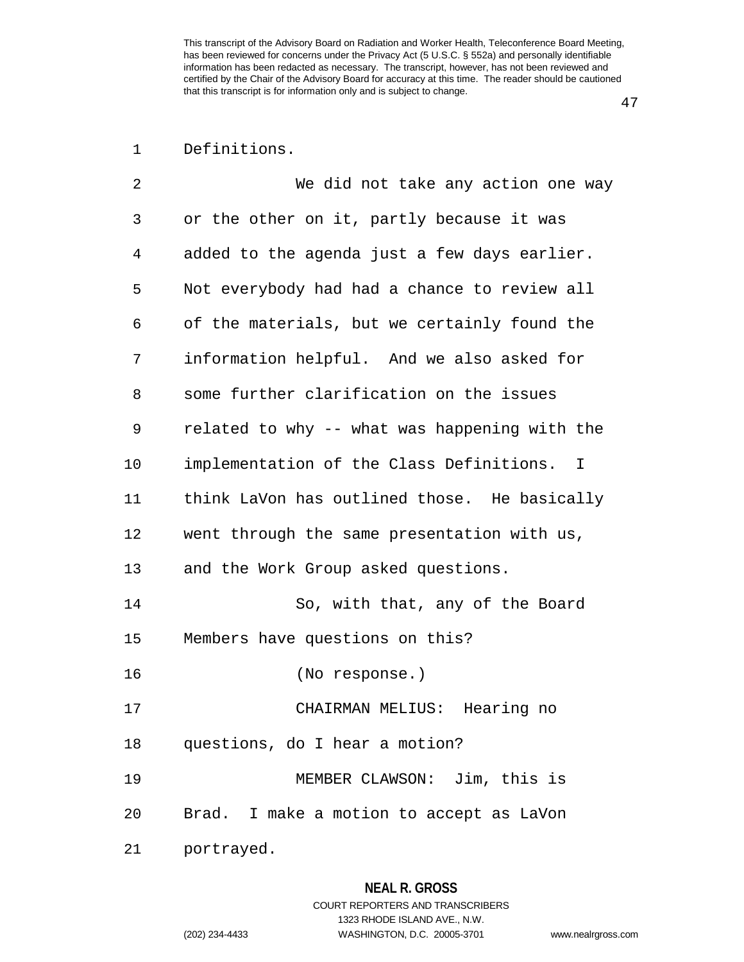47

# 1 Definitions.

| 2  | We did not take any action one way            |
|----|-----------------------------------------------|
| 3  | or the other on it, partly because it was     |
| 4  | added to the agenda just a few days earlier.  |
| 5  | Not everybody had had a chance to review all  |
| 6  | of the materials, but we certainly found the  |
| 7  | information helpful. And we also asked for    |
| 8  | some further clarification on the issues      |
| 9  | related to why -- what was happening with the |
| 10 | implementation of the Class Definitions. I    |
| 11 | think LaVon has outlined those. He basically  |
| 12 | went through the same presentation with us,   |
| 13 | and the Work Group asked questions.           |
| 14 | So, with that, any of the Board               |
| 15 | Members have questions on this?               |
| 16 | (No response.)                                |
| 17 | CHAIRMAN MELIUS: Hearing no                   |
| 18 | questions, do I hear a motion?                |
| 19 | MEMBER CLAWSON: Jim, this is                  |
| 20 | Brad. I make a motion to accept as LaVon      |
| 21 | portrayed.                                    |

1323 RHODE ISLAND AVE., N.W.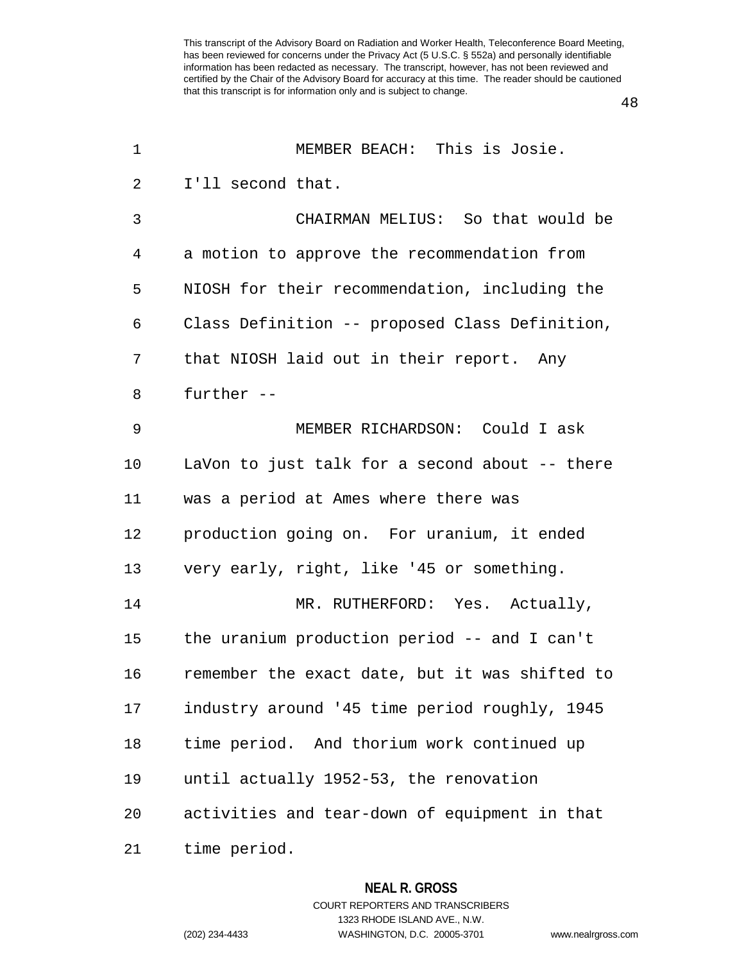48

| 1              | MEMBER BEACH: This is Josie.                   |
|----------------|------------------------------------------------|
| $\overline{2}$ | I'll second that.                              |
| 3              | CHAIRMAN MELIUS: So that would be              |
| 4              | a motion to approve the recommendation from    |
| 5              | NIOSH for their recommendation, including the  |
| 6              | Class Definition -- proposed Class Definition, |
| 7              | that NIOSH laid out in their report. Any       |
| 8              | further --                                     |
| 9              | MEMBER RICHARDSON: Could I ask                 |
| 10             | LaVon to just talk for a second about -- there |
| 11             | was a period at Ames where there was           |
| 12             | production going on. For uranium, it ended     |
| 13             | very early, right, like '45 or something.      |
| 14             | MR. RUTHERFORD: Yes. Actually,                 |
| 15             | the uranium production period $-$ and I can't  |
| 16             | remember the exact date, but it was shifted to |
| 17             | industry around '45 time period roughly, 1945  |
| 18             | time period. And thorium work continued up     |
| 19             | until actually 1952-53, the renovation         |
| 20             | activities and tear-down of equipment in that  |
| 21             | time period.                                   |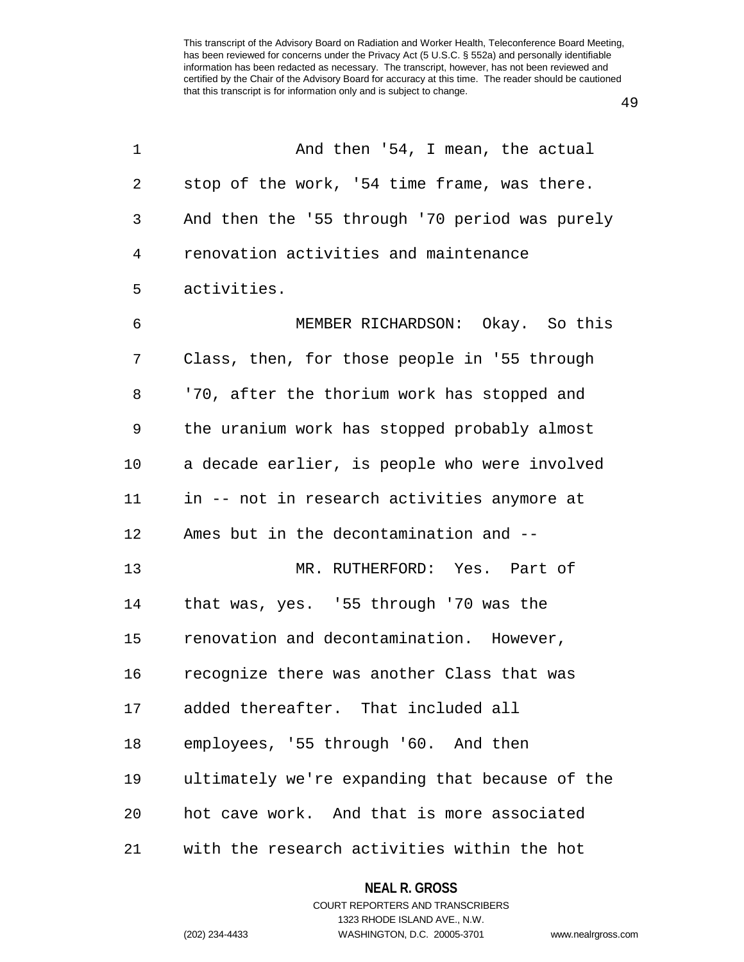1 And then '54, I mean, the actual

2 stop of the work, '54 time frame, was there. 3 And then the '55 through '70 period was purely 4 renovation activities and maintenance 5 activities. 6 MEMBER RICHARDSON: Okay. So this 7 Class, then, for those people in '55 through 8 '70, after the thorium work has stopped and 9 the uranium work has stopped probably almost 10 a decade earlier, is people who were involved 11 in -- not in research activities anymore at 12 Ames but in the decontamination and -- 13 MR. RUTHERFORD: Yes. Part of 14 that was, yes. '55 through '70 was the 15 renovation and decontamination. However, 16 recognize there was another Class that was 17 added thereafter. That included all 18 employees, '55 through '60. And then 19 ultimately we're expanding that because of the 20 hot cave work. And that is more associated 21 with the research activities within the hot

49

**NEAL R. GROSS**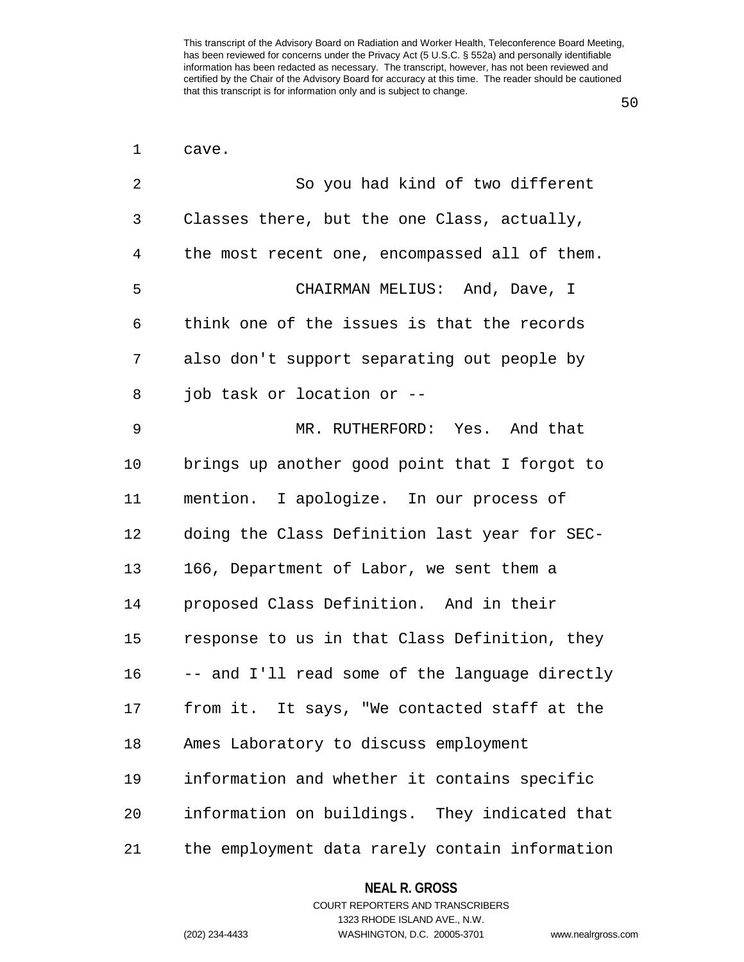50

| 1  | cave.                                          |
|----|------------------------------------------------|
| 2  | So you had kind of two different               |
| 3  | Classes there, but the one Class, actually,    |
| 4  | the most recent one, encompassed all of them.  |
| 5  | CHAIRMAN MELIUS: And, Dave, I                  |
| 6  | think one of the issues is that the records    |
| 7  | also don't support separating out people by    |
| 8  | job task or location or --                     |
| 9  | MR. RUTHERFORD: Yes. And that                  |
| 10 | brings up another good point that I forgot to  |
| 11 | mention. I apologize. In our process of        |
| 12 | doing the Class Definition last year for SEC-  |
| 13 | 166, Department of Labor, we sent them a       |
| 14 | proposed Class Definition. And in their        |
| 15 | response to us in that Class Definition, they  |
| 16 | -- and I'll read some of the language directly |
| 17 | from it. It says, "We contacted staff at the   |
| 18 | Ames Laboratory to discuss employment          |
| 19 | information and whether it contains specific   |
| 20 | information on buildings. They indicated that  |
| 21 | the employment data rarely contain information |

**NEAL R. GROSS**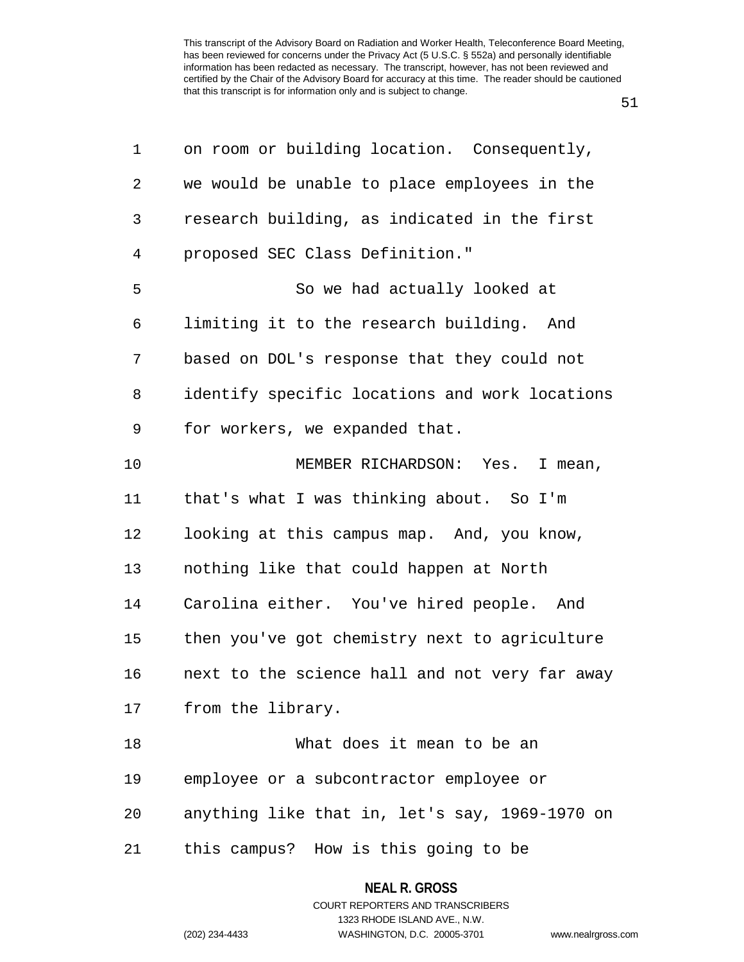51

| 1              | on room or building location. Consequently,    |
|----------------|------------------------------------------------|
| $\overline{2}$ | we would be unable to place employees in the   |
| 3              | research building, as indicated in the first   |
| $\overline{4}$ | proposed SEC Class Definition."                |
| 5              | So we had actually looked at                   |
| 6              | limiting it to the research building. And      |
| 7              | based on DOL's response that they could not    |
| 8              | identify specific locations and work locations |
| $\mathsf 9$    | for workers, we expanded that.                 |
| 10             | MEMBER RICHARDSON: Yes. I mean,                |
| 11             | that's what I was thinking about. So I'm       |
| 12             | looking at this campus map. And, you know,     |
| 13             | nothing like that could happen at North        |
| 14             | Carolina either. You've hired people. And      |
| 15             | then you've got chemistry next to agriculture  |
| 16             | next to the science hall and not very far away |
| 17             | from the library.                              |
| 18             | What does it mean to be an                     |
| 19             | employee or a subcontractor employee or        |
| 20             | anything like that in, let's say, 1969-1970 on |
| 21             | this campus? How is this going to be           |

# **NEAL R. GROSS** COURT REPORTERS AND TRANSCRIBERS 1323 RHODE ISLAND AVE., N.W.

(202) 234-4433 WASHINGTON, D.C. 20005-3701 www.nealrgross.com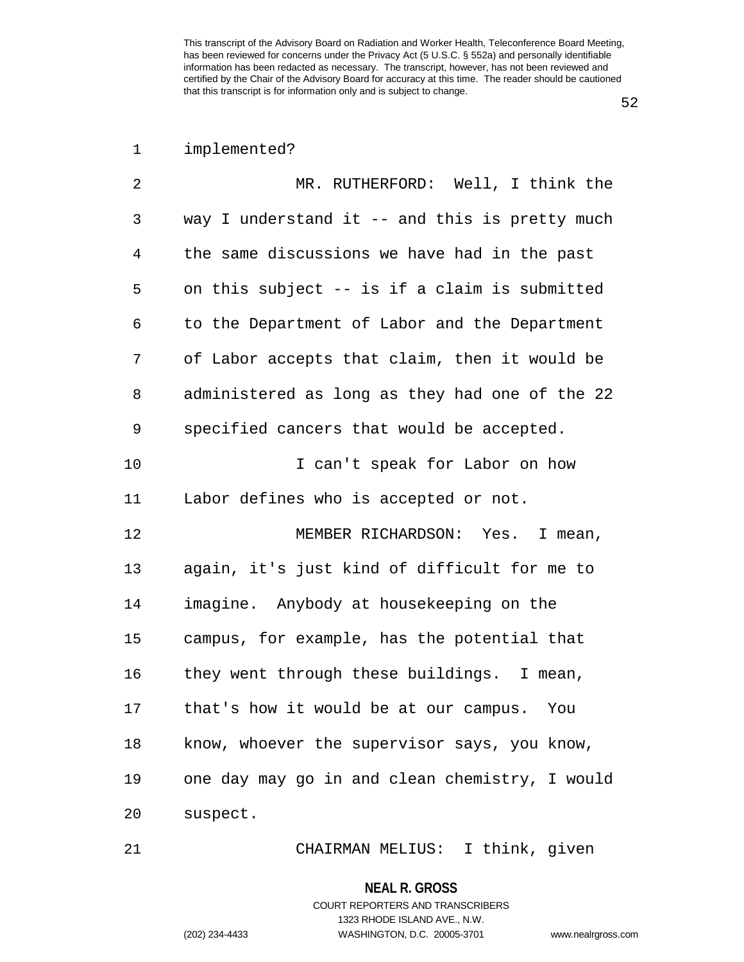52

# 1 implemented?

| 2            | MR. RUTHERFORD: Well, I think the              |
|--------------|------------------------------------------------|
| $\mathbf{3}$ | way I understand it -- and this is pretty much |
| 4            | the same discussions we have had in the past   |
| 5            | on this subject -- is if a claim is submitted  |
| 6            | to the Department of Labor and the Department  |
| 7            | of Labor accepts that claim, then it would be  |
| 8            | administered as long as they had one of the 22 |
| 9            | specified cancers that would be accepted.      |
| 10           | I can't speak for Labor on how                 |
| 11           | Labor defines who is accepted or not.          |
| 12           | MEMBER RICHARDSON: Yes. I mean,                |
| 13           | again, it's just kind of difficult for me to   |
| 14           | imagine. Anybody at housekeeping on the        |
| 15           | campus, for example, has the potential that    |
| 16           | they went through these buildings. I mean,     |
| 17           | that's how it would be at our campus. You      |
| 18           | know, whoever the supervisor says, you know,   |
| 19           | one day may go in and clean chemistry, I would |
| 20           | suspect.                                       |

21 CHAIRMAN MELIUS: I think, given

**NEAL R. GROSS**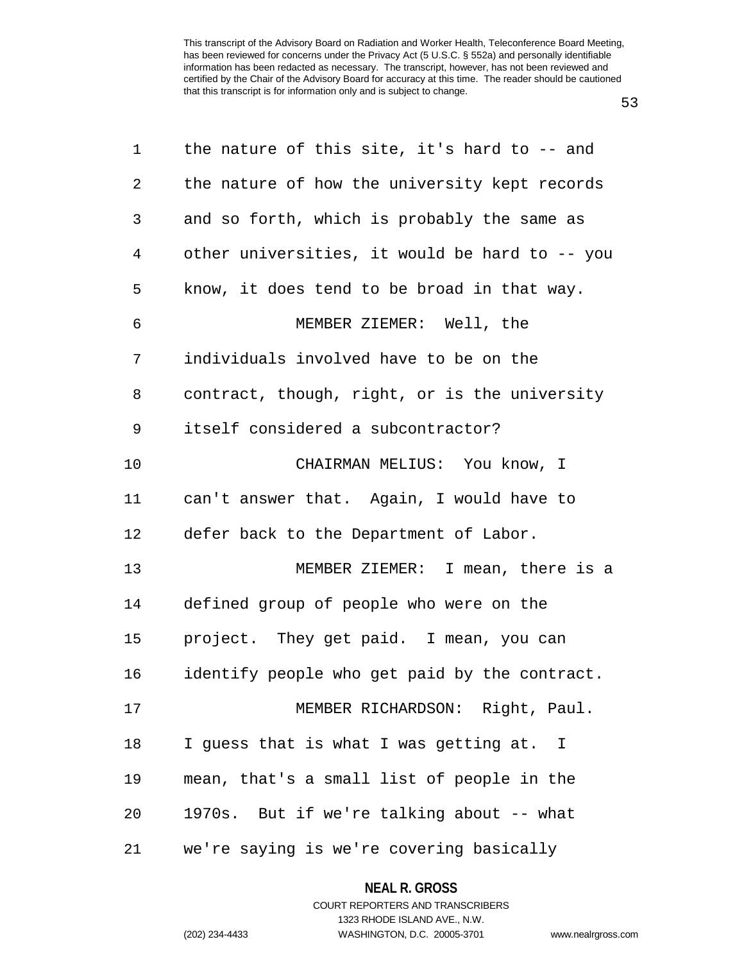53

| 1            | the nature of this site, it's hard to $-$ and  |
|--------------|------------------------------------------------|
| $\mathbf{2}$ | the nature of how the university kept records  |
| 3            | and so forth, which is probably the same as    |
| 4            | other universities, it would be hard to -- you |
| 5            | know, it does tend to be broad in that way.    |
| 6            | MEMBER ZIEMER: Well, the                       |
| 7            | individuals involved have to be on the         |
| 8            | contract, though, right, or is the university  |
| 9            | itself considered a subcontractor?             |
| 10           | CHAIRMAN MELIUS: You know, I                   |
| 11           | can't answer that. Again, I would have to      |
| 12           | defer back to the Department of Labor.         |
| 13           | MEMBER ZIEMER: I mean, there is a              |
| 14           | defined group of people who were on the        |
| 15           | project. They get paid. I mean, you can        |
| 16           | identify people who get paid by the contract.  |
| 17           | MEMBER RICHARDSON: Right, Paul.                |
| 18           | I guess that is what I was getting at. I       |
| 19           | mean, that's a small list of people in the     |
| 20           | 1970s. But if we're talking about -- what      |
| 21           | we're saying is we're covering basically       |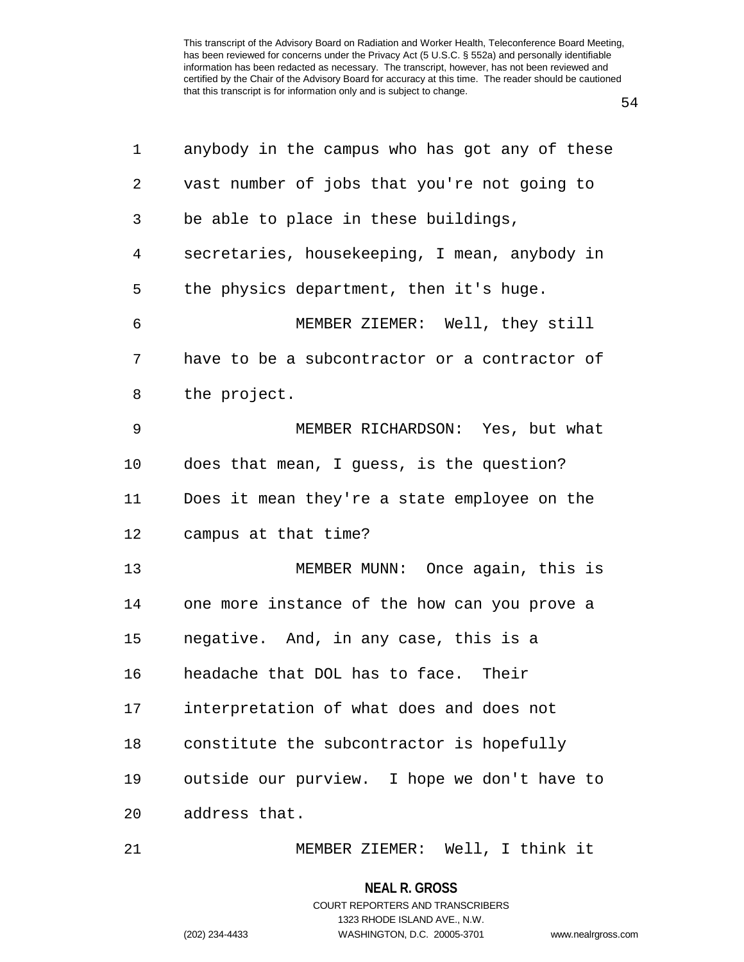54

| 1              | anybody in the campus who has got any of these |
|----------------|------------------------------------------------|
| 2              | vast number of jobs that you're not going to   |
| 3              | be able to place in these buildings,           |
| $\overline{4}$ | secretaries, housekeeping, I mean, anybody in  |
| 5              | the physics department, then it's huge.        |
| 6              | MEMBER ZIEMER: Well, they still                |
| 7              | have to be a subcontractor or a contractor of  |
| 8              | the project.                                   |
| 9              | MEMBER RICHARDSON: Yes, but what               |
| 10             | does that mean, I guess, is the question?      |
| 11             | Does it mean they're a state employee on the   |
| 12             | campus at that time?                           |
| 13             | MEMBER MUNN: Once again, this is               |
| 14             | one more instance of the how can you prove a   |
| 15             | negative. And, in any case, this is a          |
| 16             | headache that DOL has to face. Their           |
| 17             | interpretation of what does and does not       |
| 18             | constitute the subcontractor is hopefully      |
| 19             | outside our purview. I hope we don't have to   |
| 20             | address that.                                  |
| 21             | MEMBER ZIEMER: Well, I think it                |

**NEAL R. GROSS** COURT REPORTERS AND TRANSCRIBERS

1323 RHODE ISLAND AVE., N.W.

(202) 234-4433 WASHINGTON, D.C. 20005-3701 www.nealrgross.com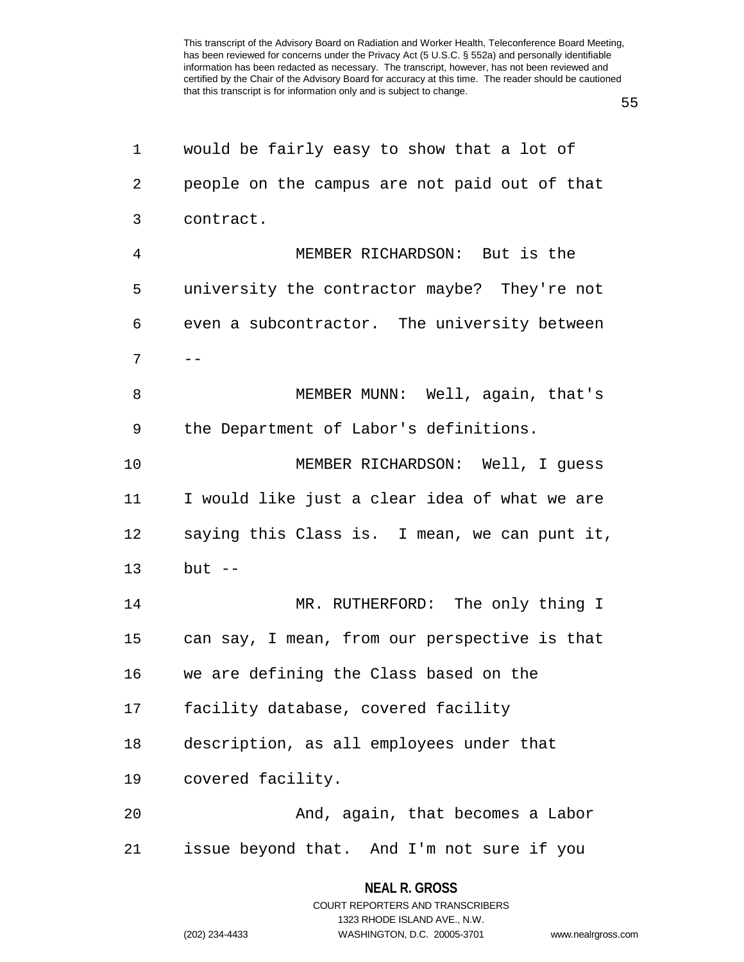55

| 1  | would be fairly easy to show that a lot of    |
|----|-----------------------------------------------|
| 2  | people on the campus are not paid out of that |
| 3  | contract.                                     |
| 4  | MEMBER RICHARDSON: But is the                 |
| 5  | university the contractor maybe? They're not  |
| 6  | even a subcontractor. The university between  |
| 7  |                                               |
| 8  | MEMBER MUNN: Well, again, that's              |
| 9  | the Department of Labor's definitions.        |
| 10 | MEMBER RICHARDSON: Well, I guess              |
| 11 | I would like just a clear idea of what we are |
| 12 | saying this Class is. I mean, we can punt it, |
| 13 | $but --$                                      |
| 14 | MR. RUTHERFORD: The only thing I              |
| 15 | can say, I mean, from our perspective is that |
| 16 | we are defining the Class based on the        |
| 17 | facility database, covered facility           |
| 18 | description, as all employees under that      |
| 19 | covered facility.                             |
| 20 | And, again, that becomes a Labor              |
| 21 | issue beyond that. And I'm not sure if you    |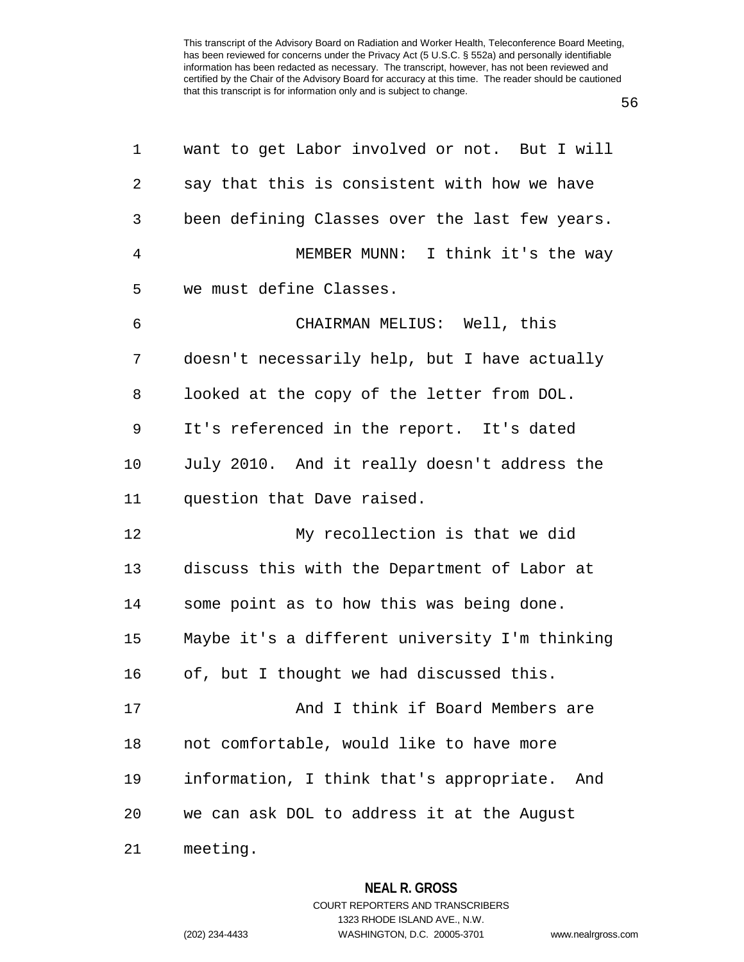56

| 1              | want to get Labor involved or not. But I will   |
|----------------|-------------------------------------------------|
| $\overline{2}$ | say that this is consistent with how we have    |
| $\mathfrak{Z}$ | been defining Classes over the last few years.  |
| 4              | MEMBER MUNN: I think it's the way               |
| 5              | we must define Classes.                         |
| 6              | CHAIRMAN MELIUS: Well, this                     |
| 7              | doesn't necessarily help, but I have actually   |
| 8              | looked at the copy of the letter from DOL.      |
| 9              | It's referenced in the report. It's dated       |
| 10             | July 2010. And it really doesn't address the    |
| 11             | question that Dave raised.                      |
| 12             | My recollection is that we did                  |
| 13             | discuss this with the Department of Labor at    |
| 14             | some point as to how this was being done.       |
| 15             | Maybe it's a different university I'm thinking  |
| 16             | of, but I thought we had discussed this.        |
| 17             | And I think if Board Members are                |
| 18             | not comfortable, would like to have more        |
| 19             | information, I think that's appropriate.<br>And |
| 20             | we can ask DOL to address it at the August      |
| 21             | meeting.                                        |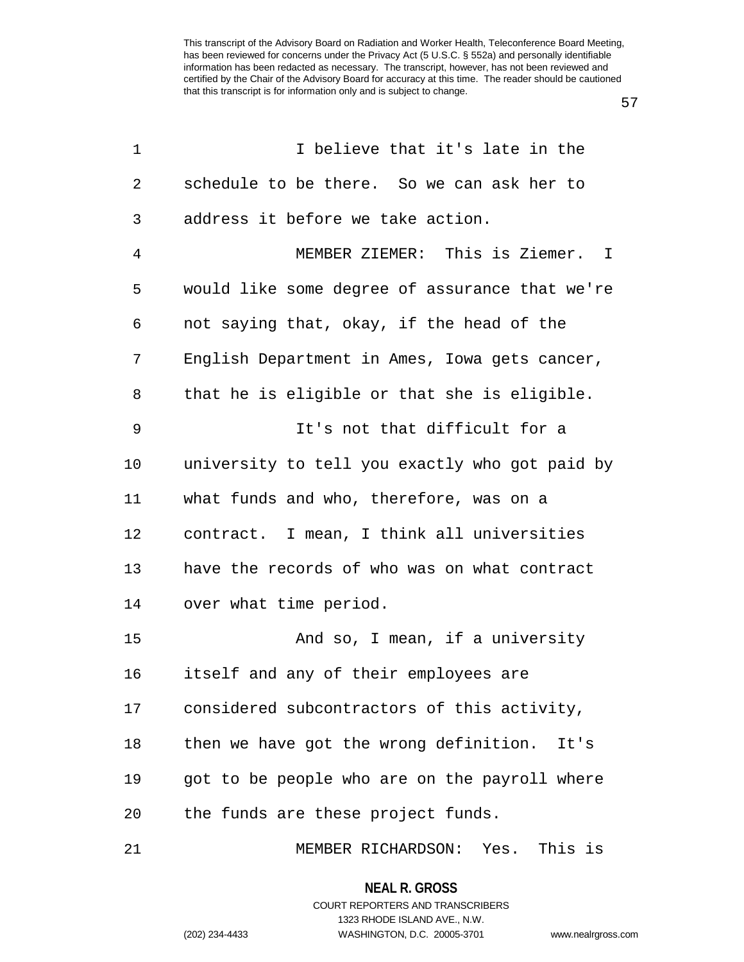57

| 1      | I believe that it's late in the                |
|--------|------------------------------------------------|
| 2      | schedule to be there. So we can ask her to     |
| 3      | address it before we take action.              |
| 4      | MEMBER ZIEMER: This is Ziemer. I               |
| 5      | would like some degree of assurance that we're |
| 6      | not saying that, okay, if the head of the      |
| 7      | English Department in Ames, Iowa gets cancer,  |
| 8      | that he is eligible or that she is eligible.   |
| 9      | It's not that difficult for a                  |
| 10     | university to tell you exactly who got paid by |
| 11     | what funds and who, therefore, was on a        |
| 12     | contract. I mean, I think all universities     |
| 13     | have the records of who was on what contract   |
| 14     | over what time period.                         |
| 15     | And so, I mean, if a university                |
| 16     | itself and any of their employees are          |
| 17     | considered subcontractors of this activity,    |
| $18\,$ | then we have got the wrong definition. It's    |
| 19     | got to be people who are on the payroll where  |
| 20     | the funds are these project funds.             |
| 21     | MEMBER RICHARDSON: Yes. This is                |

**NEAL R. GROSS** COURT REPORTERS AND TRANSCRIBERS

1323 RHODE ISLAND AVE., N.W.

(202) 234-4433 WASHINGTON, D.C. 20005-3701 www.nealrgross.com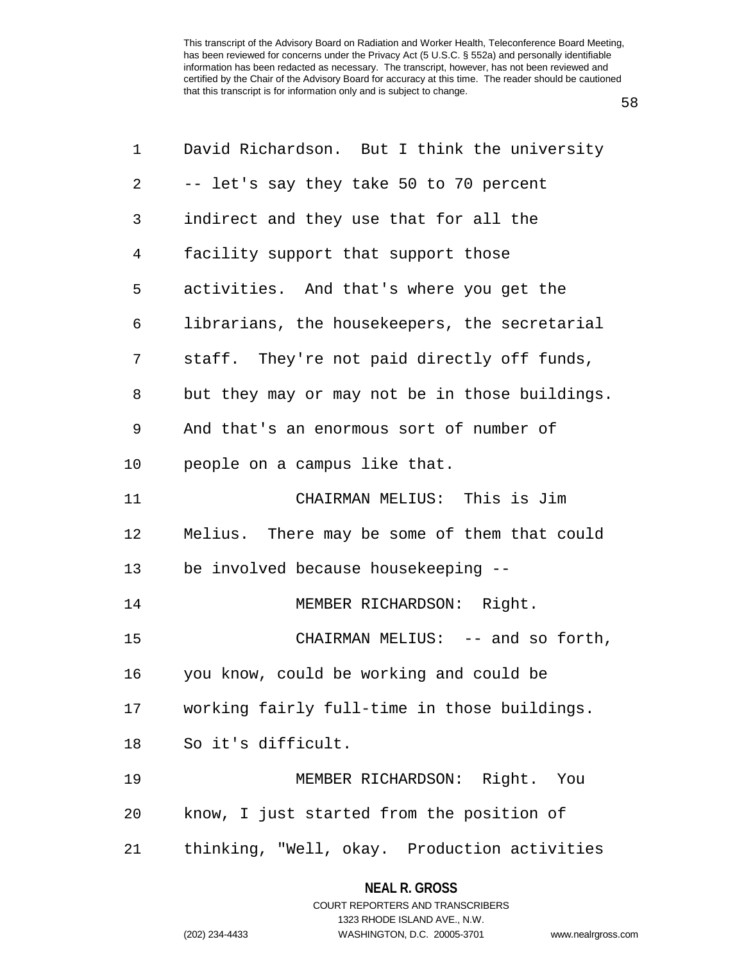58

| 1              | David Richardson. But I think the university   |
|----------------|------------------------------------------------|
| $\overline{2}$ | -- let's say they take 50 to 70 percent        |
| 3              | indirect and they use that for all the         |
| 4              | facility support that support those            |
| 5              | activities. And that's where you get the       |
| 6              | librarians, the housekeepers, the secretarial  |
| 7              | staff. They're not paid directly off funds,    |
| 8              | but they may or may not be in those buildings. |
| 9              | And that's an enormous sort of number of       |
| 10             | people on a campus like that.                  |
| 11             | CHAIRMAN MELIUS: This is Jim                   |
| 12             | Melius. There may be some of them that could   |
| 13             | be involved because housekeeping --            |
| 14             | MEMBER RICHARDSON: Right.                      |
| 15             | CHAIRMAN MELIUS: -- and so forth,              |
| 16             | you know, could be working and could be        |
| 17             | working fairly full-time in those buildings.   |
| 18             | So it's difficult.                             |
| 19             | MEMBER RICHARDSON: Right. You                  |
| 20             | know, I just started from the position of      |
| 21             | thinking, "Well, okay. Production activities   |

#### **NEAL R. GROSS**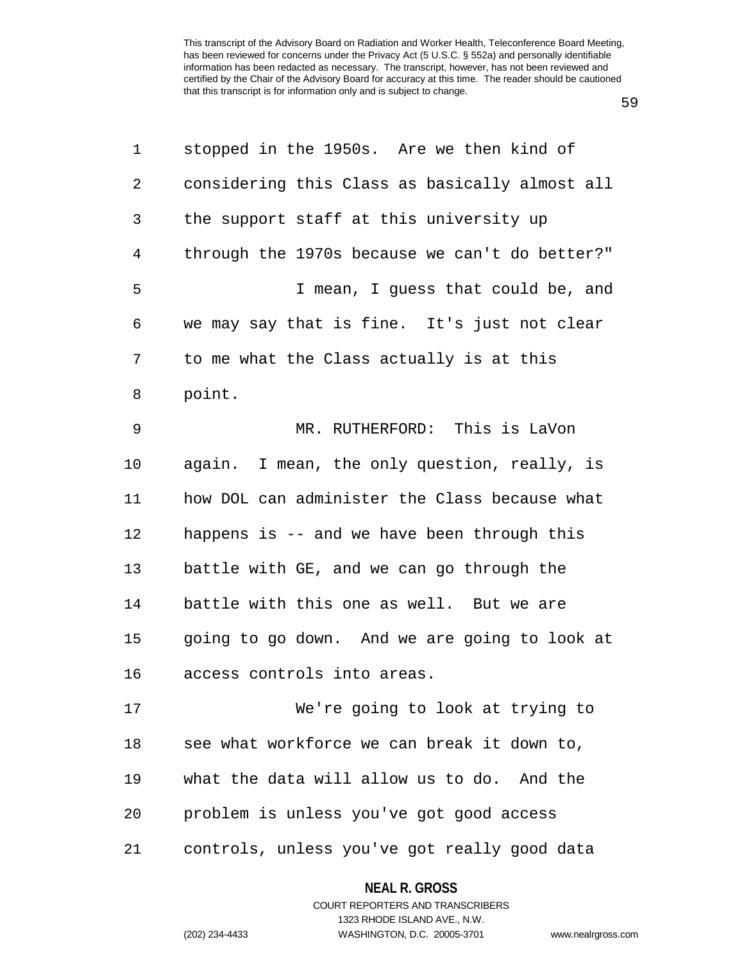59

| 1              | stopped in the 1950s. Are we then kind of      |
|----------------|------------------------------------------------|
| $\overline{2}$ | considering this Class as basically almost all |
| 3              | the support staff at this university up        |
| $\overline{4}$ | through the 1970s because we can't do better?" |
| 5              | I mean, I guess that could be, and             |
| 6              | we may say that is fine. It's just not clear   |
| 7              | to me what the Class actually is at this       |
| 8              | point.                                         |
| 9              | MR. RUTHERFORD: This is LaVon                  |
| 10             | again. I mean, the only question, really, is   |
| 11             | how DOL can administer the Class because what  |
| 12             | happens is -- and we have been through this    |
| 13             | battle with GE, and we can go through the      |
| 14             | battle with this one as well. But we are       |
| 15             | going to go down. And we are going to look at  |
| 16             | access controls into areas.                    |
| 17             | We're going to look at trying to               |
| 18             | see what workforce we can break it down to,    |
| 19             | what the data will allow us to do. And the     |
| 20             | problem is unless you've got good access       |
| 21             | controls, unless you've got really good data   |

**NEAL R. GROSS** COURT REPORTERS AND TRANSCRIBERS

1323 RHODE ISLAND AVE., N.W.

(202) 234-4433 WASHINGTON, D.C. 20005-3701 www.nealrgross.com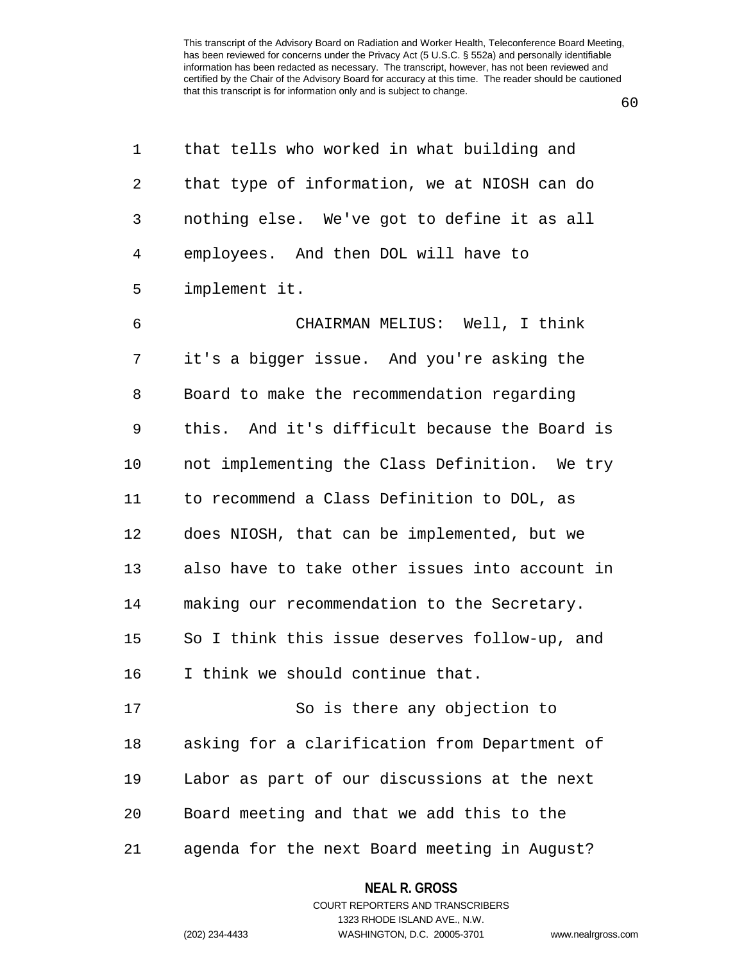| 1  | that tells who worked in what building and     |
|----|------------------------------------------------|
| 2  | that type of information, we at NIOSH can do   |
| 3  | nothing else. We've got to define it as all    |
| 4  | employees. And then DOL will have to           |
| 5  | implement it.                                  |
| 6  | CHAIRMAN MELIUS: Well, I think                 |
| 7  | it's a bigger issue. And you're asking the     |
| 8  | Board to make the recommendation regarding     |
| 9  | this. And it's difficult because the Board is  |
| 10 | not implementing the Class Definition. We try  |
| 11 | to recommend a Class Definition to DOL, as     |
| 12 | does NIOSH, that can be implemented, but we    |
| 13 | also have to take other issues into account in |
| 14 | making our recommendation to the Secretary.    |
| 15 | So I think this issue deserves follow-up, and  |
| 16 | I think we should continue that.               |
| 17 | So is there any objection to                   |
| 18 | asking for a clarification from Department of  |
| 19 | Labor as part of our discussions at the next   |
| 20 | Board meeting and that we add this to the      |
| 21 | agenda for the next Board meeting in August?   |

60

**NEAL R. GROSS**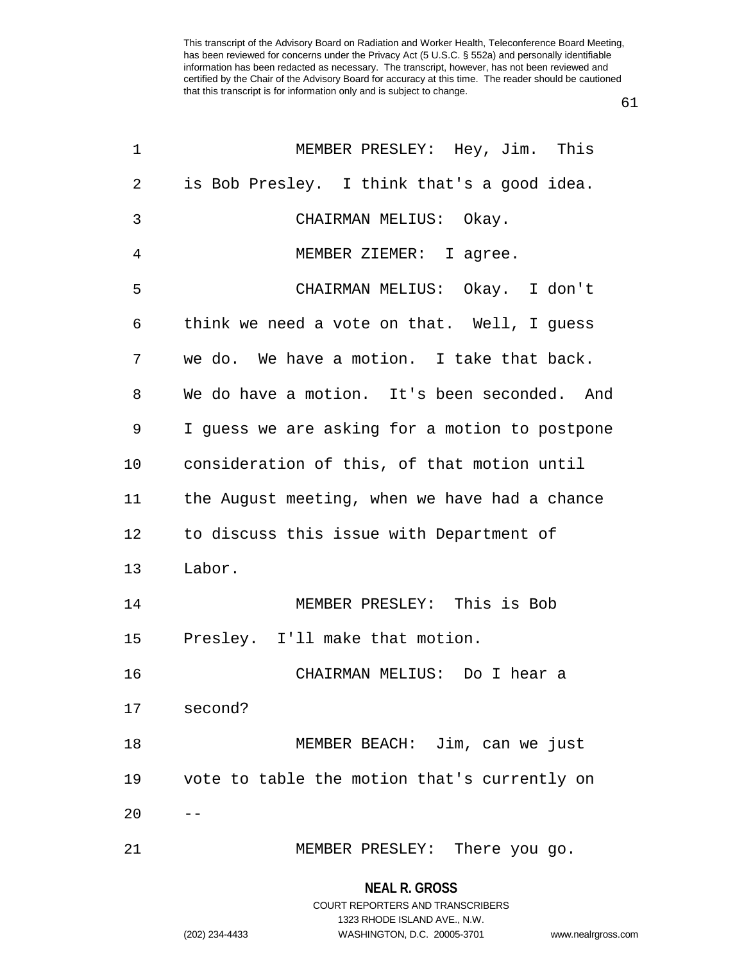61

| $\mathbf 1$ | MEMBER PRESLEY: Hey, Jim. This                 |
|-------------|------------------------------------------------|
| 2           | is Bob Presley. I think that's a good idea.    |
| 3           | CHAIRMAN MELIUS: Okay.                         |
| 4           | MEMBER ZIEMER: I agree.                        |
| 5           | CHAIRMAN MELIUS: Okay. I don't                 |
| 6           | think we need a vote on that. Well, I guess    |
| 7           | we do. We have a motion. I take that back.     |
| 8           | We do have a motion. It's been seconded. And   |
| 9           | I guess we are asking for a motion to postpone |
| 10          | consideration of this, of that motion until    |
| 11          | the August meeting, when we have had a chance  |
| 12          | to discuss this issue with Department of       |
| 13          | Labor.                                         |
| 14          | MEMBER PRESLEY: This is Bob                    |
| 15          | Presley. I'll make that motion.                |
| 16          | CHAIRMAN MELIUS: Do I hear a                   |
| 17          | second?                                        |
| 18          | MEMBER BEACH: Jim, can we just                 |
| 19          | vote to table the motion that's currently on   |
| 20          |                                                |
| 21          | MEMBER PRESLEY: There you go.                  |

### **NEAL R. GROSS**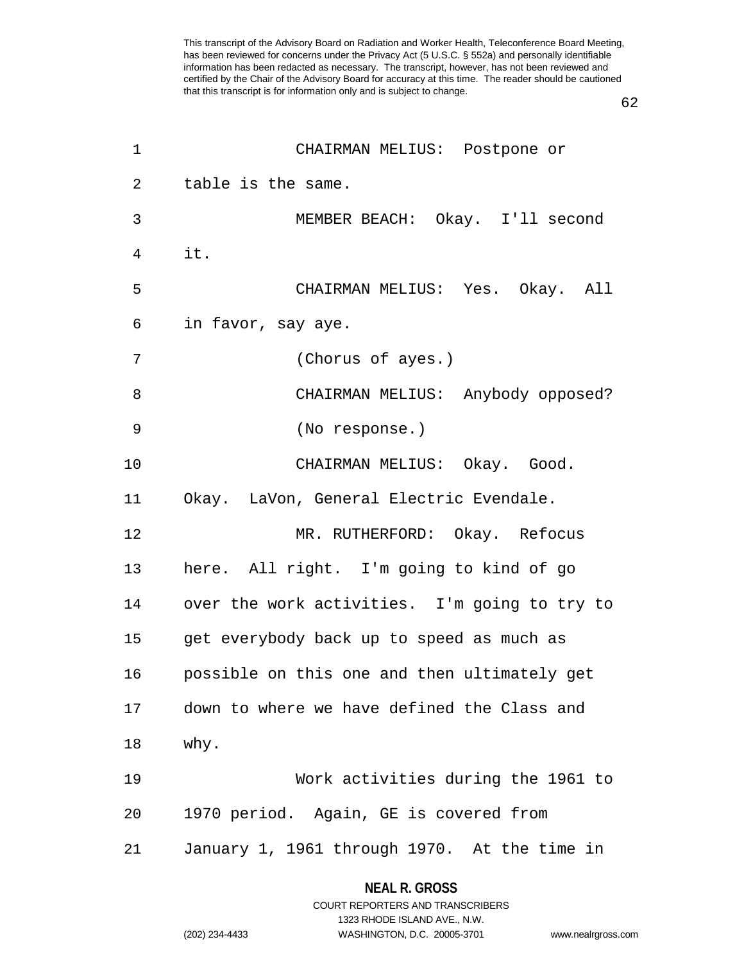62

| 1  | CHAIRMAN MELIUS: Postpone or                  |
|----|-----------------------------------------------|
| 2  | table is the same.                            |
| 3  | MEMBER BEACH: Okay. I'll second               |
| 4  | it.                                           |
| 5  | CHAIRMAN MELIUS: Yes. Okay. All               |
| 6  | in favor, say aye.                            |
| 7  | (Chorus of ayes.)                             |
| 8  | CHAIRMAN MELIUS: Anybody opposed?             |
| 9  | (No response.)                                |
| 10 | CHAIRMAN MELIUS: Okay. Good.                  |
| 11 | Okay. LaVon, General Electric Evendale.       |
| 12 | MR. RUTHERFORD: Okay. Refocus                 |
| 13 | here. All right. I'm going to kind of go      |
| 14 | over the work activities. I'm going to try to |
| 15 | get everybody back up to speed as much as     |
| 16 | possible on this one and then ultimately get  |
| 17 | down to where we have defined the Class and   |
| 18 | why.                                          |
| 19 | Work activities during the 1961 to            |
| 20 | 1970 period. Again, GE is covered from        |
| 21 | January 1, 1961 through 1970. At the time in  |
|    |                                               |

**NEAL R. GROSS** COURT REPORTERS AND TRANSCRIBERS

1323 RHODE ISLAND AVE., N.W.

(202) 234-4433 WASHINGTON, D.C. 20005-3701 www.nealrgross.com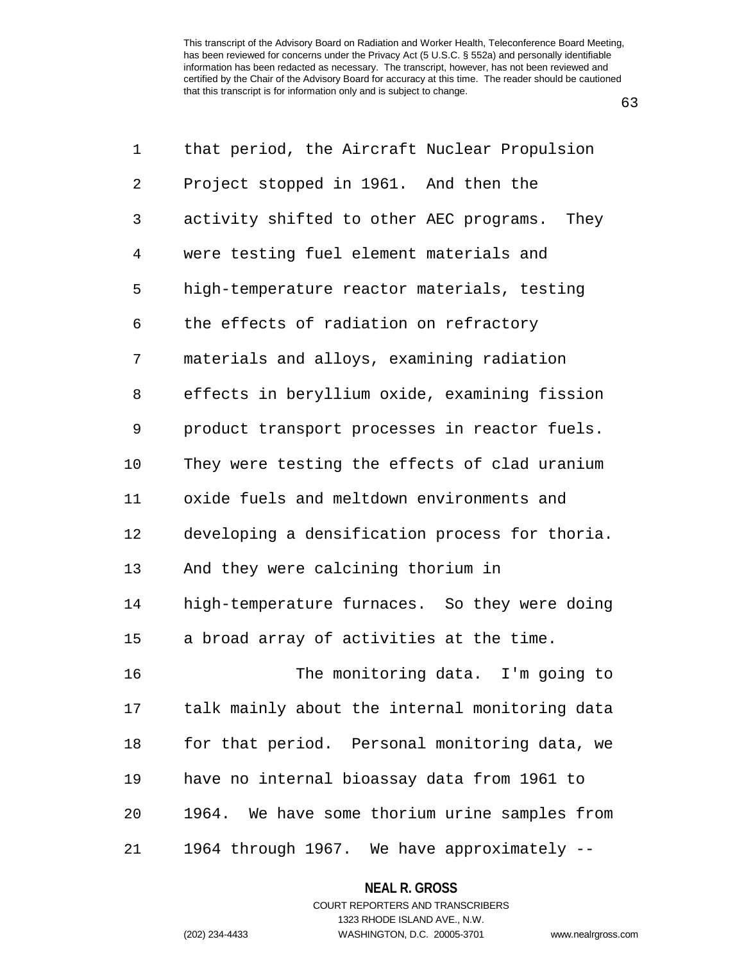63

| 1              | that period, the Aircraft Nuclear Propulsion   |
|----------------|------------------------------------------------|
| 2              | Project stopped in 1961. And then the          |
| 3              | activity shifted to other AEC programs. They   |
| $\overline{4}$ | were testing fuel element materials and        |
| 5              | high-temperature reactor materials, testing    |
| 6              | the effects of radiation on refractory         |
| 7              | materials and alloys, examining radiation      |
| 8              | effects in beryllium oxide, examining fission  |
| 9              | product transport processes in reactor fuels.  |
| 10             | They were testing the effects of clad uranium  |
| 11             | oxide fuels and meltdown environments and      |
| 12             | developing a densification process for thoria. |
| 13             | And they were calcining thorium in             |
| 14             | high-temperature furnaces. So they were doing  |
| 15             | a broad array of activities at the time.       |
| 16             | The monitoring data. I'm going to              |
| 17             | talk mainly about the internal monitoring data |
| 18             | for that period. Personal monitoring data, we  |
| 19             | have no internal bioassay data from 1961 to    |
| 20             | 1964. We have some thorium urine samples from  |
| 21             | 1964 through 1967. We have approximately --    |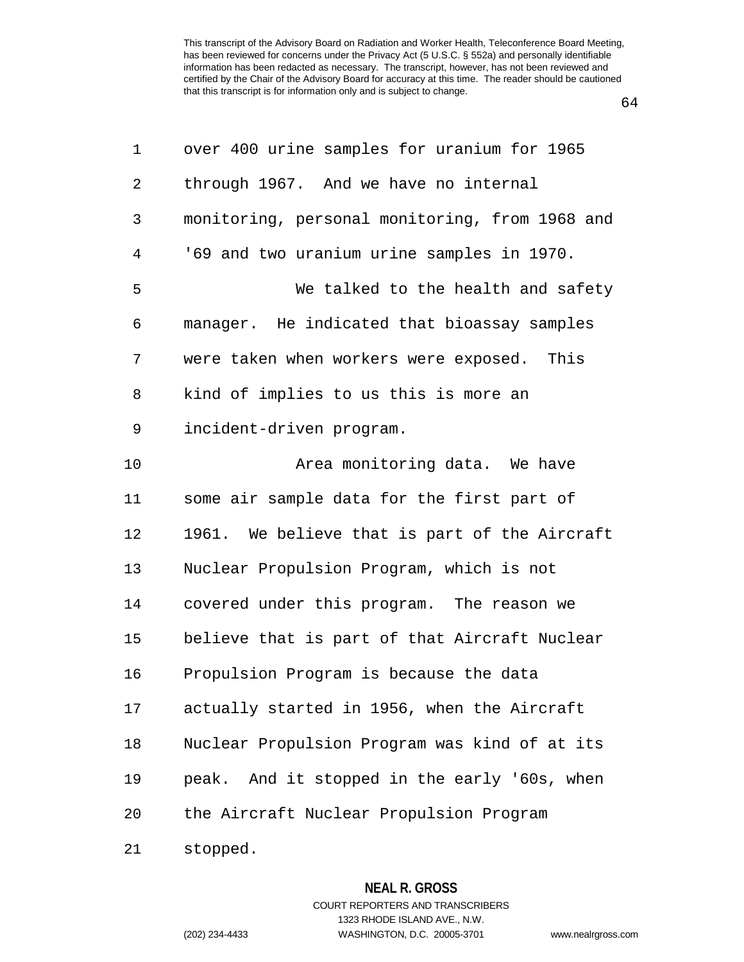64

| 1  | over 400 urine samples for uranium for 1965    |
|----|------------------------------------------------|
| 2  | through 1967. And we have no internal          |
| 3  | monitoring, personal monitoring, from 1968 and |
| 4  | '69 and two uranium urine samples in 1970.     |
| 5  | We talked to the health and safety             |
| 6  | manager. He indicated that bioassay samples    |
| 7  | were taken when workers were exposed. This     |
| 8  | kind of implies to us this is more an          |
| 9  | incident-driven program.                       |
| 10 | Area monitoring data. We have                  |
| 11 | some air sample data for the first part of     |
| 12 | 1961. We believe that is part of the Aircraft  |
| 13 | Nuclear Propulsion Program, which is not       |
| 14 | covered under this program. The reason we      |
| 15 | believe that is part of that Aircraft Nuclear  |
| 16 | Propulsion Program is because the data         |
| 17 | actually started in 1956, when the Aircraft    |
| 18 | Nuclear Propulsion Program was kind of at its  |
| 19 | peak. And it stopped in the early '60s, when   |
| 20 | the Aircraft Nuclear Propulsion Program        |
| 21 | stopped.                                       |

**NEAL R. GROSS**

COURT REPORTERS AND TRANSCRIBERS

1323 RHODE ISLAND AVE., N.W. (202) 234-4433 WASHINGTON, D.C. 20005-3701 www.nealrgross.com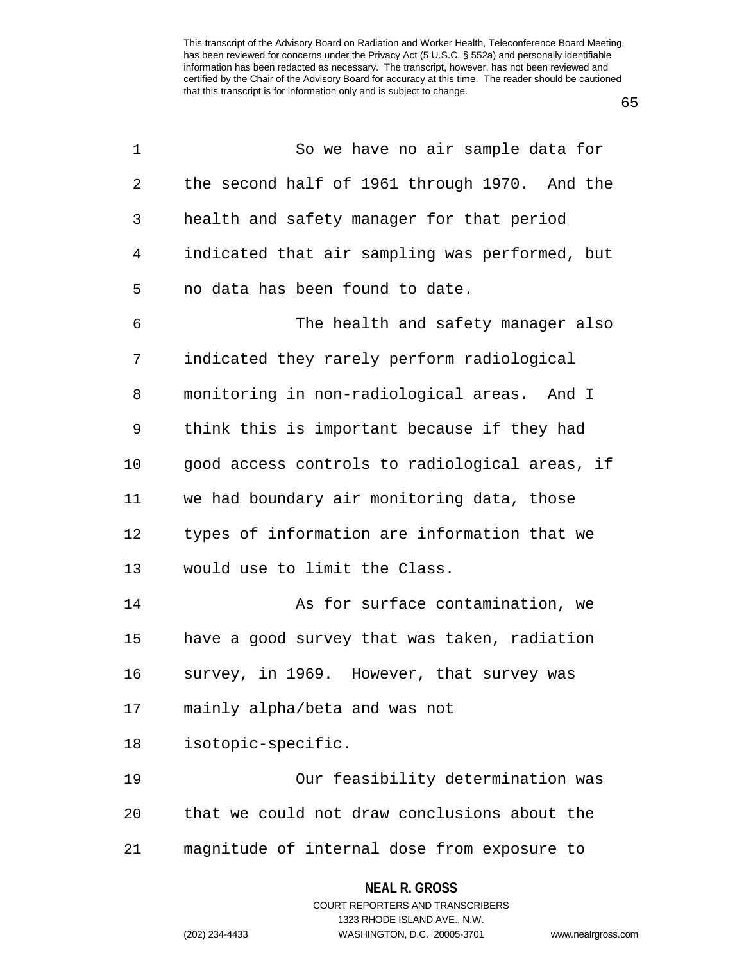65

| $\mathbf 1$ | So we have no air sample data for              |
|-------------|------------------------------------------------|
| 2           | the second half of 1961 through 1970. And the  |
| 3           | health and safety manager for that period      |
| 4           | indicated that air sampling was performed, but |
| 5           | no data has been found to date.                |
| 6           | The health and safety manager also             |
| 7           | indicated they rarely perform radiological     |
| 8           | monitoring in non-radiological areas. And I    |
| 9           | think this is important because if they had    |
| 10          | good access controls to radiological areas, if |
| 11          | we had boundary air monitoring data, those     |
| 12          | types of information are information that we   |
| 13          | would use to limit the Class.                  |
| 14          | As for surface contamination, we               |
| 15          | have a good survey that was taken, radiation   |
| 16          | survey, in 1969. However, that survey was      |
| 17          | mainly alpha/beta and was not                  |
| 18          | isotopic-specific.                             |
| 19          | Our feasibility determination was              |
| 20          | that we could not draw conclusions about the   |
| 21          | magnitude of internal dose from exposure to    |
|             |                                                |

### **NEAL R. GROSS** COURT REPORTERS AND TRANSCRIBERS

1323 RHODE ISLAND AVE., N.W. (202) 234-4433 WASHINGTON, D.C. 20005-3701 www.nealrgross.com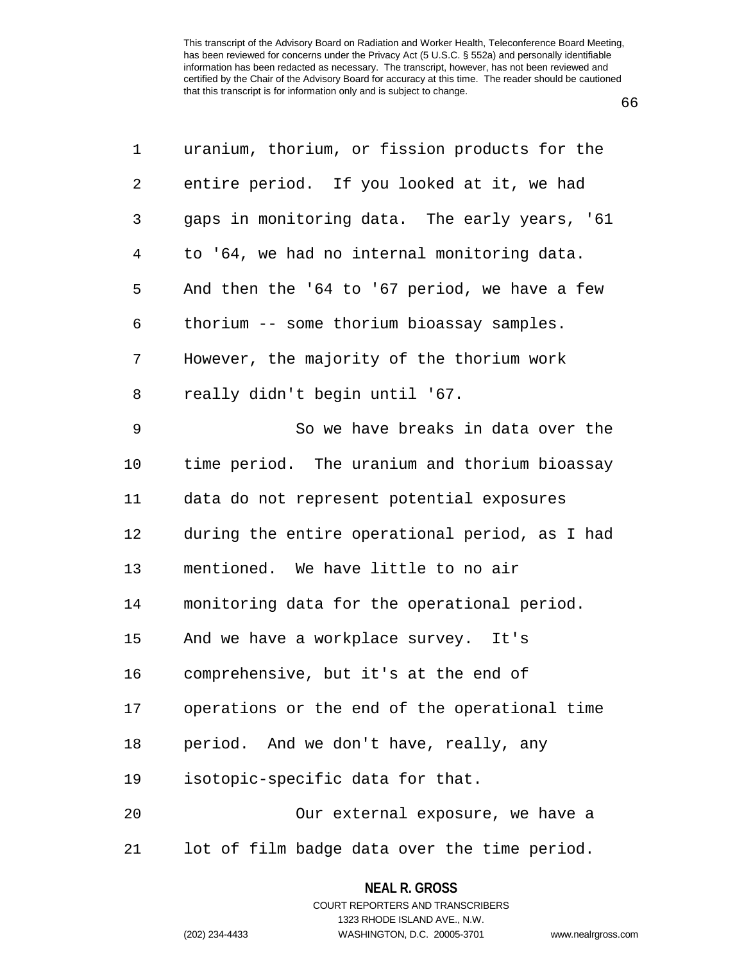66

| 1              | uranium, thorium, or fission products for the  |
|----------------|------------------------------------------------|
| 2              | entire period. If you looked at it, we had     |
| 3              | gaps in monitoring data. The early years, '61  |
| $\overline{4}$ | to '64, we had no internal monitoring data.    |
| 5              | And then the '64 to '67 period, we have a few  |
| 6              | thorium -- some thorium bioassay samples.      |
| 7              | However, the majority of the thorium work      |
| 8              | really didn't begin until '67.                 |
| 9              | So we have breaks in data over the             |
| 10             | time period. The uranium and thorium bioassay  |
| 11             | data do not represent potential exposures      |
| 12             | during the entire operational period, as I had |
| 13             | mentioned. We have little to no air            |
| 14             | monitoring data for the operational period.    |
| 15             | And we have a workplace survey. It's           |
| 16             | comprehensive, but it's at the end of          |
| 17             | operations or the end of the operational time  |
| 18             | period. And we don't have, really, any         |
| 19             | isotopic-specific data for that.               |
| 20             | Our external exposure, we have a               |
| 21             | lot of film badge data over the time period.   |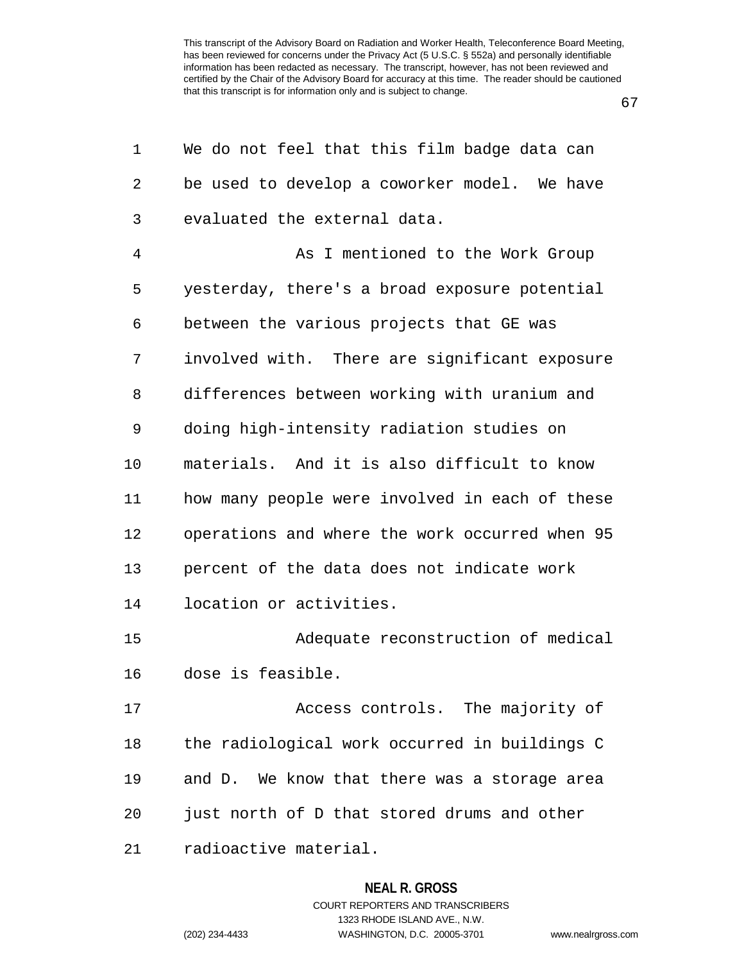67

| 1  | We do not feel that this film badge data can   |
|----|------------------------------------------------|
| 2  | be used to develop a coworker model. We have   |
| 3  | evaluated the external data.                   |
| 4  | As I mentioned to the Work Group               |
| 5  | yesterday, there's a broad exposure potential  |
| 6  | between the various projects that GE was       |
| 7  | involved with. There are significant exposure  |
| 8  | differences between working with uranium and   |
| 9  | doing high-intensity radiation studies on      |
| 10 | materials. And it is also difficult to know    |
| 11 | how many people were involved in each of these |
| 12 | operations and where the work occurred when 95 |
| 13 | percent of the data does not indicate work     |
| 14 | location or activities.                        |
| 15 | Adequate reconstruction of medical             |
| 16 | dose is feasible.                              |
| 17 | Access controls. The majority of               |
| 18 | the radiological work occurred in buildings C  |
| 19 | and D. We know that there was a storage area   |
| 20 | just north of D that stored drums and other    |
| 21 | radioactive material.                          |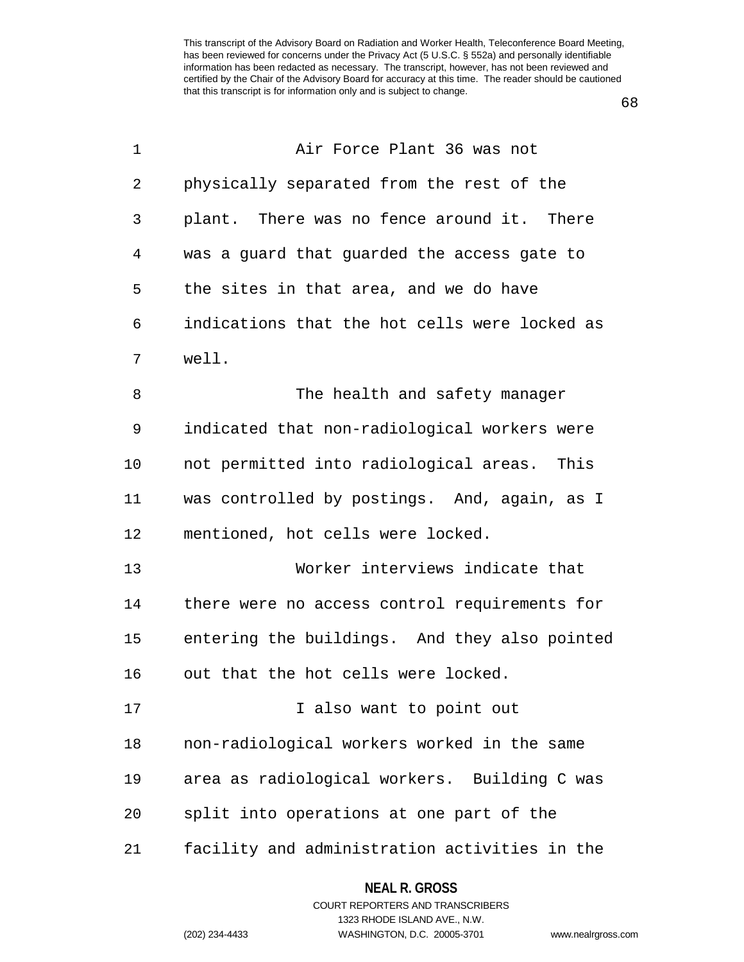68

| 1  | Air Force Plant 36 was not                    |
|----|-----------------------------------------------|
| 2  | physically separated from the rest of the     |
| 3  | plant. There was no fence around it. There    |
| 4  | was a guard that guarded the access gate to   |
| 5  | the sites in that area, and we do have        |
| 6  | indications that the hot cells were locked as |
| 7  | well.                                         |
| 8  | The health and safety manager                 |
| 9  | indicated that non-radiological workers were  |
| 10 | not permitted into radiological areas. This   |
| 11 | was controlled by postings. And, again, as I  |
| 12 | mentioned, hot cells were locked.             |
| 13 | Worker interviews indicate that               |
| 14 | there were no access control requirements for |
| 15 | entering the buildings. And they also pointed |
| 16 | out that the hot cells were locked.           |
| 17 | I also want to point out                      |
| 18 | non-radiological workers worked in the same   |
| 19 | area as radiological workers. Building C was  |
| 20 | split into operations at one part of the      |
| 21 | facility and administration activities in the |

#### **NEAL R. GROSS**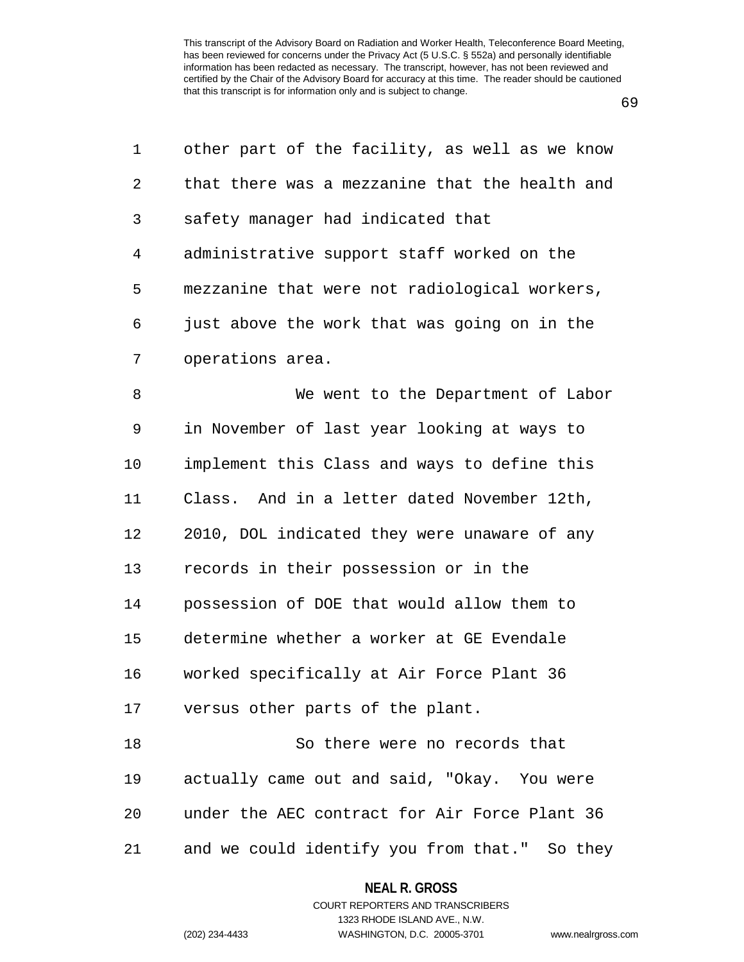69

| 1              | other part of the facility, as well as we know |
|----------------|------------------------------------------------|
| 2              | that there was a mezzanine that the health and |
| 3              | safety manager had indicated that              |
| $\overline{4}$ | administrative support staff worked on the     |
| 5              | mezzanine that were not radiological workers,  |
| 6              | just above the work that was going on in the   |
| 7              | operations area.                               |
| 8              | We went to the Department of Labor             |
| 9              | in November of last year looking at ways to    |
| 10             | implement this Class and ways to define this   |
| 11             | Class. And in a letter dated November 12th,    |
| 12             | 2010, DOL indicated they were unaware of any   |
| 13             | records in their possession or in the          |
| 14             | possession of DOE that would allow them to     |
| 15             | determine whether a worker at GE Evendale      |
| 16             | worked specifically at Air Force Plant 36      |
| 17             | versus other parts of the plant.               |
| 18             | So there were no records that                  |
| 19             | actually came out and said, "Okay. You were    |
| 20             | under the AEC contract for Air Force Plant 36  |
| 21             | and we could identify you from that." So they  |

### **NEAL R. GROSS**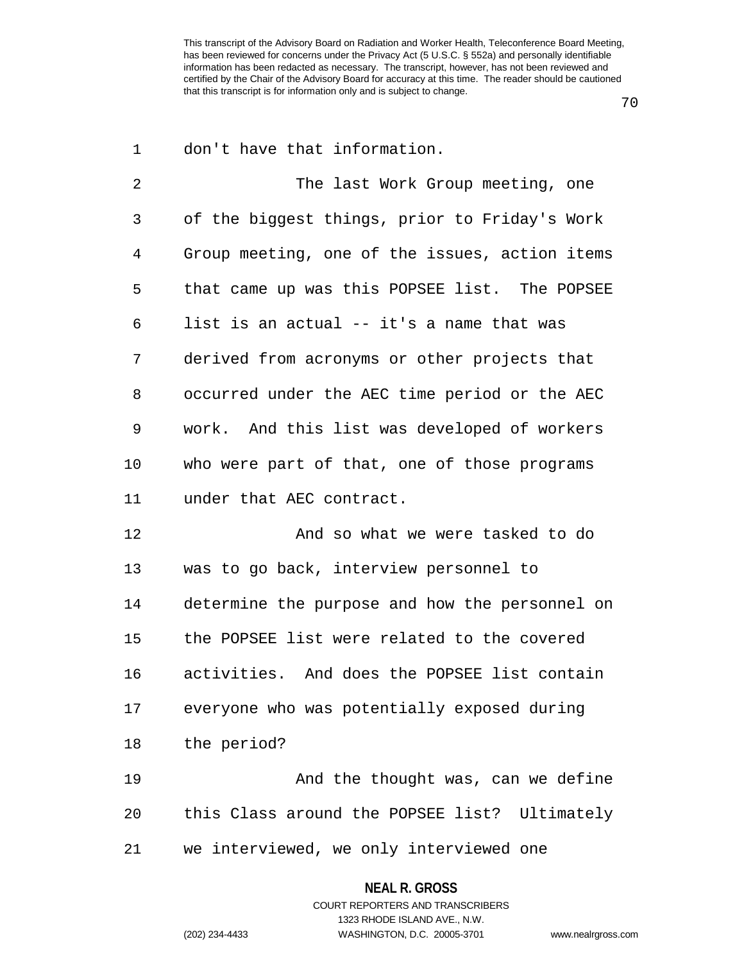70

| 1  | don't have that information.                   |
|----|------------------------------------------------|
| 2  | The last Work Group meeting, one               |
| 3  | of the biggest things, prior to Friday's Work  |
| 4  | Group meeting, one of the issues, action items |
| 5  | that came up was this POPSEE list. The POPSEE  |
| 6  | list is an actual -- it's a name that was      |
| 7  | derived from acronyms or other projects that   |
| 8  | occurred under the AEC time period or the AEC  |
| 9  | work. And this list was developed of workers   |
| 10 | who were part of that, one of those programs   |
| 11 | under that AEC contract.                       |
| 12 | And so what we were tasked to do               |
| 13 | was to go back, interview personnel to         |
| 14 | determine the purpose and how the personnel on |
| 15 | the POPSEE list were related to the covered    |
| 16 | activities. And does the POPSEE list contain   |
| 17 | everyone who was potentially exposed during    |
| 18 | the period?                                    |
| 19 | And the thought was, can we define             |
| 20 | this Class around the POPSEE list? Ultimately  |
| 21 | we interviewed, we only interviewed one        |

### **NEAL R. GROSS**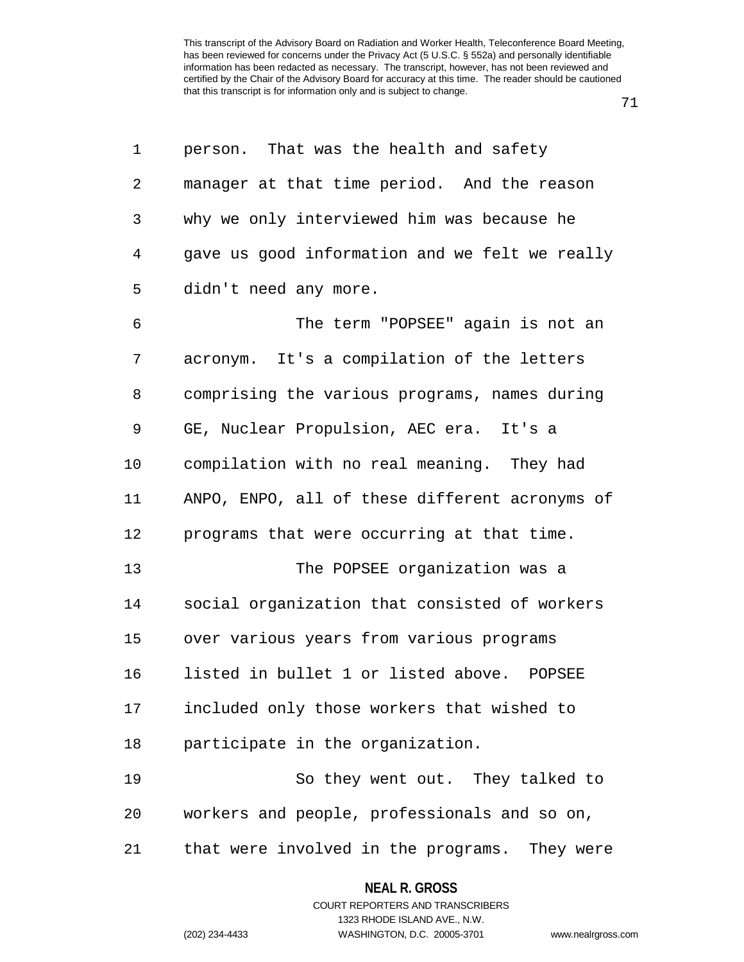| 1              | person. That was the health and safety         |
|----------------|------------------------------------------------|
| 2              | manager at that time period. And the reason    |
| 3              | why we only interviewed him was because he     |
| $\overline{4}$ | gave us good information and we felt we really |
| 5              | didn't need any more.                          |
| 6              | The term "POPSEE" again is not an              |
| 7              | acronym. It's a compilation of the letters     |
| 8              | comprising the various programs, names during  |
| 9              | GE, Nuclear Propulsion, AEC era. It's a        |
| 10             | compilation with no real meaning. They had     |
| 11             | ANPO, ENPO, all of these different acronyms of |
| 12             | programs that were occurring at that time.     |
| 13             | The POPSEE organization was a                  |
| 14             | social organization that consisted of workers  |
| 15             | over various years from various programs       |
| 16             | listed in bullet 1 or listed above. POPSEE     |
| 17             | included only those workers that wished to     |
| 18             | participate in the organization.               |
| 19             | So they went out. They talked to               |
| 20             | workers and people, professionals and so on,   |

21 that were involved in the programs. They were

**NEAL R. GROSS** COURT REPORTERS AND TRANSCRIBERS 1323 RHODE ISLAND AVE., N.W. (202) 234-4433 WASHINGTON, D.C. 20005-3701 www.nealrgross.com

71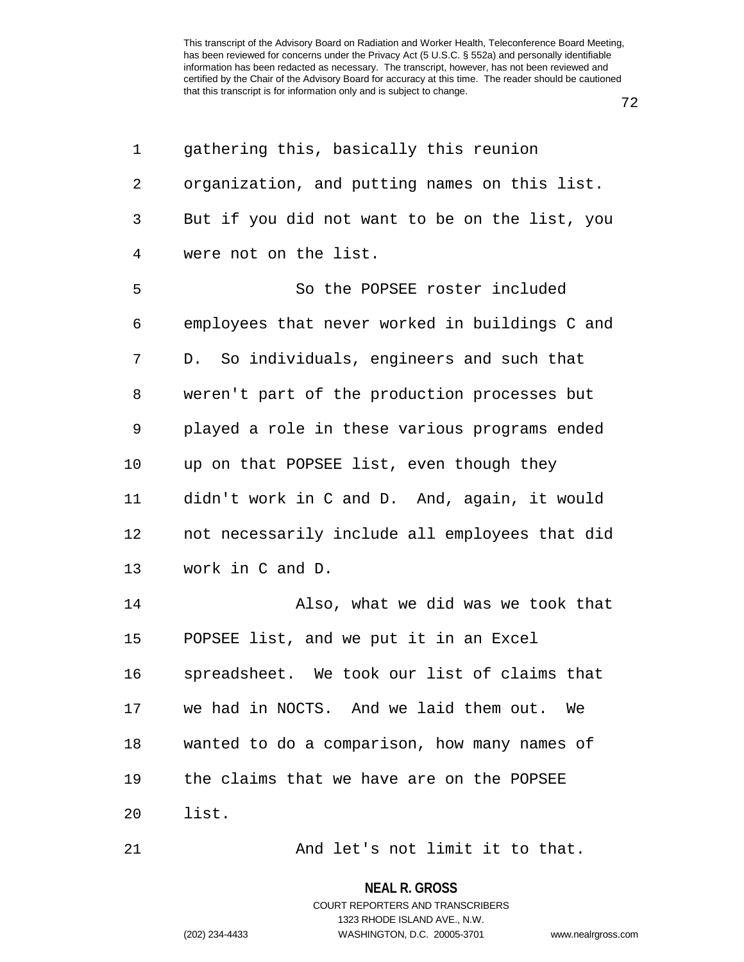| 1  | gathering this, basically this reunion         |
|----|------------------------------------------------|
| 2  | organization, and putting names on this list.  |
| 3  | But if you did not want to be on the list, you |
| 4  | were not on the list.                          |
| 5  | So the POPSEE roster included                  |
| 6  | employees that never worked in buildings C and |
| 7  | D. So individuals, engineers and such that     |
| 8  | weren't part of the production processes but   |
| 9  | played a role in these various programs ended  |
| 10 | up on that POPSEE list, even though they       |
| 11 | didn't work in C and D. And, again, it would   |
| 12 | not necessarily include all employees that did |
| 13 | work in C and D.                               |
| 14 | Also, what we did was we took that             |
| 15 | POPSEE list, and we put it in an Excel         |
| 16 | spreadsheet. We took our list of claims that   |
| 17 | we had in NOCTS. And we laid them out. We      |
| 18 | wanted to do a comparison, how many names of   |
| 19 | the claims that we have are on the POPSEE      |
| 20 | list.                                          |
|    |                                                |

21 And let's not limit it to that.

**NEAL R. GROSS**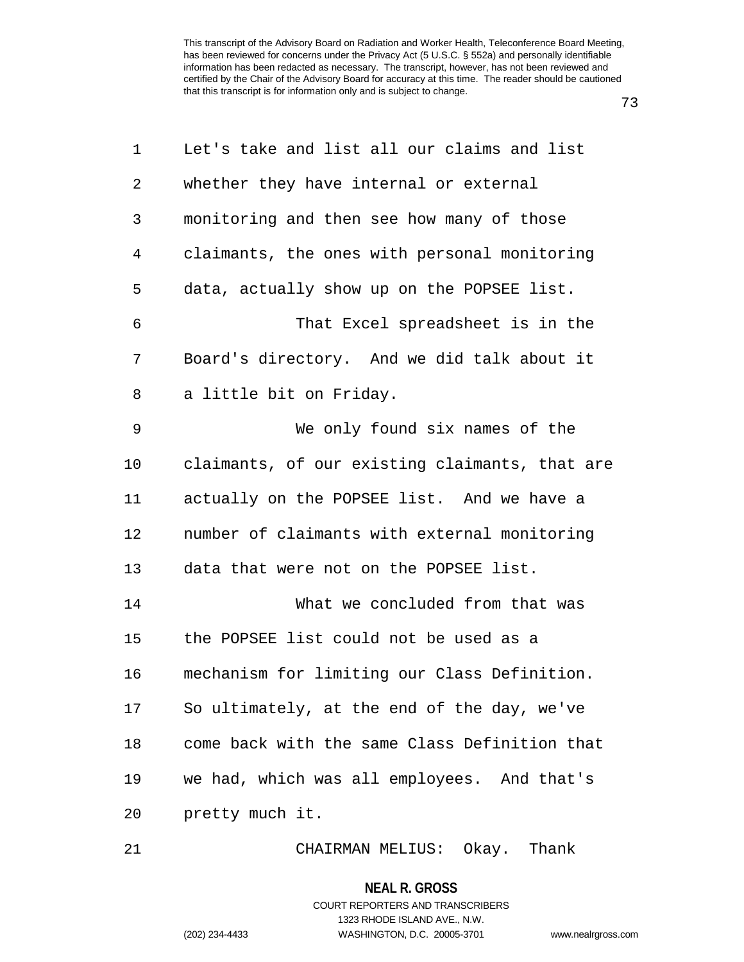| 1              | Let's take and list all our claims and list    |
|----------------|------------------------------------------------|
| $\overline{2}$ | whether they have internal or external         |
| 3              | monitoring and then see how many of those      |
| 4              | claimants, the ones with personal monitoring   |
| 5              | data, actually show up on the POPSEE list.     |
| 6              | That Excel spreadsheet is in the               |
| 7              | Board's directory. And we did talk about it    |
| 8              | a little bit on Friday.                        |
| 9              | We only found six names of the                 |
| 10             | claimants, of our existing claimants, that are |
| 11             | actually on the POPSEE list. And we have a     |
| 12             | number of claimants with external monitoring   |
| 13             | data that were not on the POPSEE list.         |
| 14             | What we concluded from that was                |
| 15             | the POPSEE list could not be used as a         |
| 16             | mechanism for limiting our Class Definition.   |
| 17             | So ultimately, at the end of the day, we've    |
| 18             | come back with the same Class Definition that  |
| 19             | we had, which was all employees. And that's    |
| 20             | pretty much it.                                |
|                |                                                |

21 CHAIRMAN MELIUS: Okay. Thank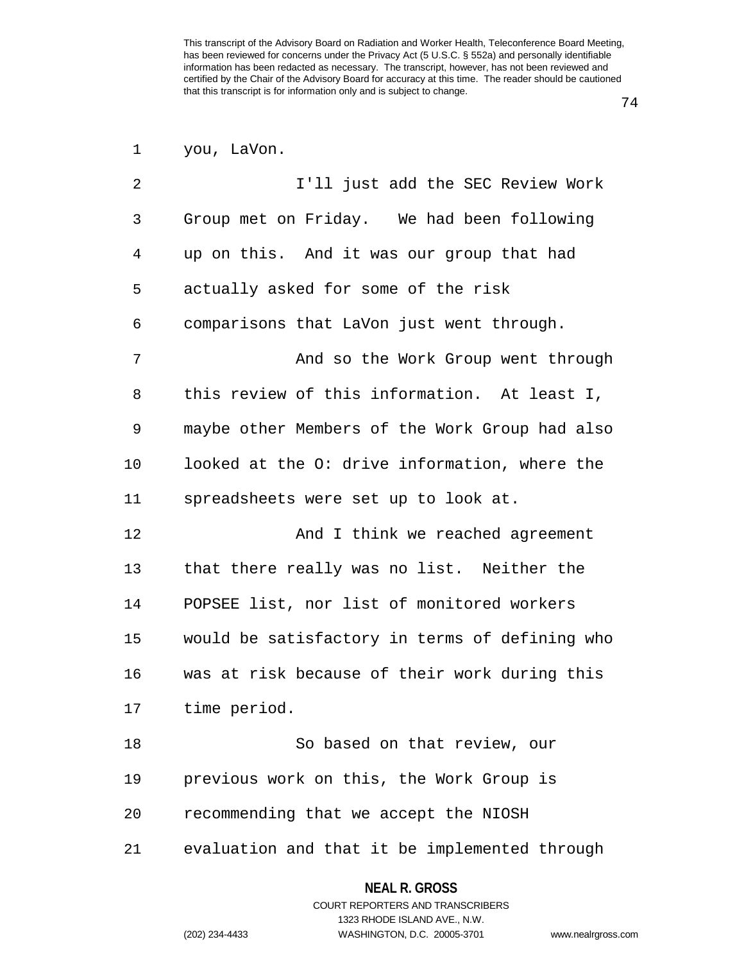74

| 1<br>you, | LaVon. |
|-----------|--------|
|-----------|--------|

| $\overline{2}$ | I'll just add the SEC Review Work              |
|----------------|------------------------------------------------|
| 3              | Group met on Friday. We had been following     |
| 4              | up on this. And it was our group that had      |
| 5              | actually asked for some of the risk            |
| 6              | comparisons that LaVon just went through.      |
| 7              | And so the Work Group went through             |
| 8              | this review of this information. At least I,   |
| 9              | maybe other Members of the Work Group had also |
| 10             | looked at the O: drive information, where the  |
| 11             | spreadsheets were set up to look at.           |
| 12             | And I think we reached agreement               |
| 13             | that there really was no list. Neither the     |
| 14             | POPSEE list, nor list of monitored workers     |
| 15             | would be satisfactory in terms of defining who |
| 16             | was at risk because of their work during this  |
| 17             | time period.                                   |
| 18             | So based on that review, our                   |
| 19             | previous work on this, the Work Group is       |
| 20             | recommending that we accept the NIOSH          |
|                |                                                |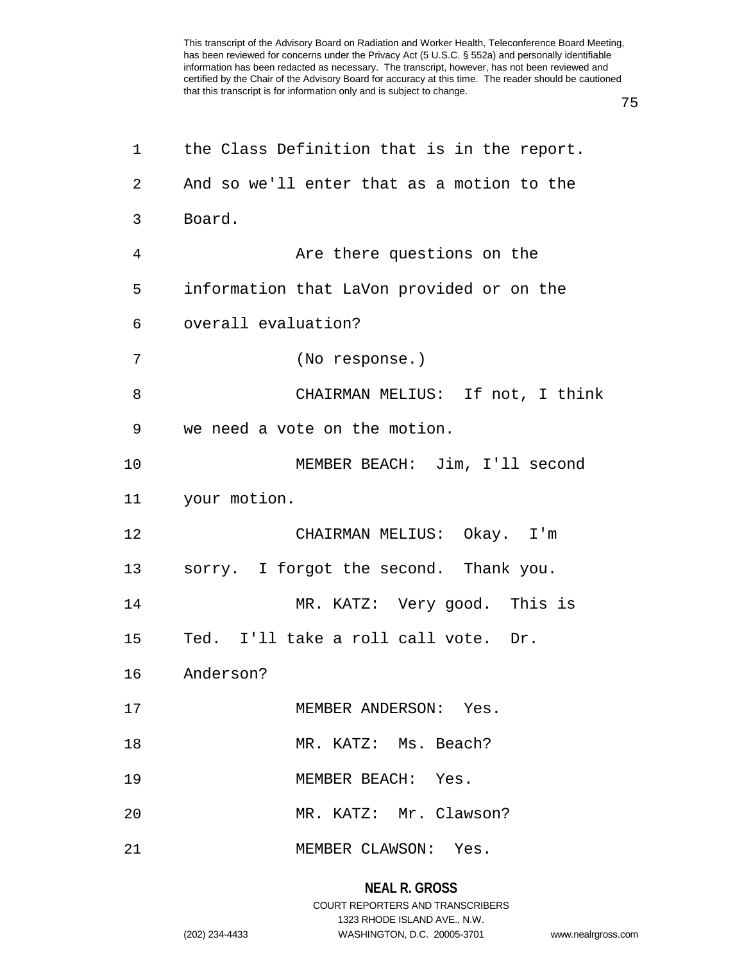75

| 1  | the Class Definition that is in the report. |
|----|---------------------------------------------|
| 2  | And so we'll enter that as a motion to the  |
| 3  | Board.                                      |
| 4  | Are there questions on the                  |
| 5  | information that LaVon provided or on the   |
| 6  | overall evaluation?                         |
| 7  | (No response.)                              |
| 8  | CHAIRMAN MELIUS: If not, I think            |
| 9  | we need a vote on the motion.               |
| 10 | MEMBER BEACH: Jim, I'll second              |
| 11 | your motion.                                |
| 12 | CHAIRMAN MELIUS: Okay. I'm                  |
| 13 | sorry. I forgot the second. Thank you.      |
| 14 | MR. KATZ: Very good. This is                |
| 15 | Ted. I'll take a roll call vote. Dr.        |
| 16 | Anderson?                                   |
| 17 | MEMBER ANDERSON: Yes.                       |
| 18 | MR. KATZ: Ms. Beach?                        |
| 19 | MEMBER BEACH: Yes.                          |
| 20 | MR. KATZ: Mr. Clawson?                      |
| 21 | MEMBER CLAWSON: Yes.                        |

### **NEAL R. GROSS**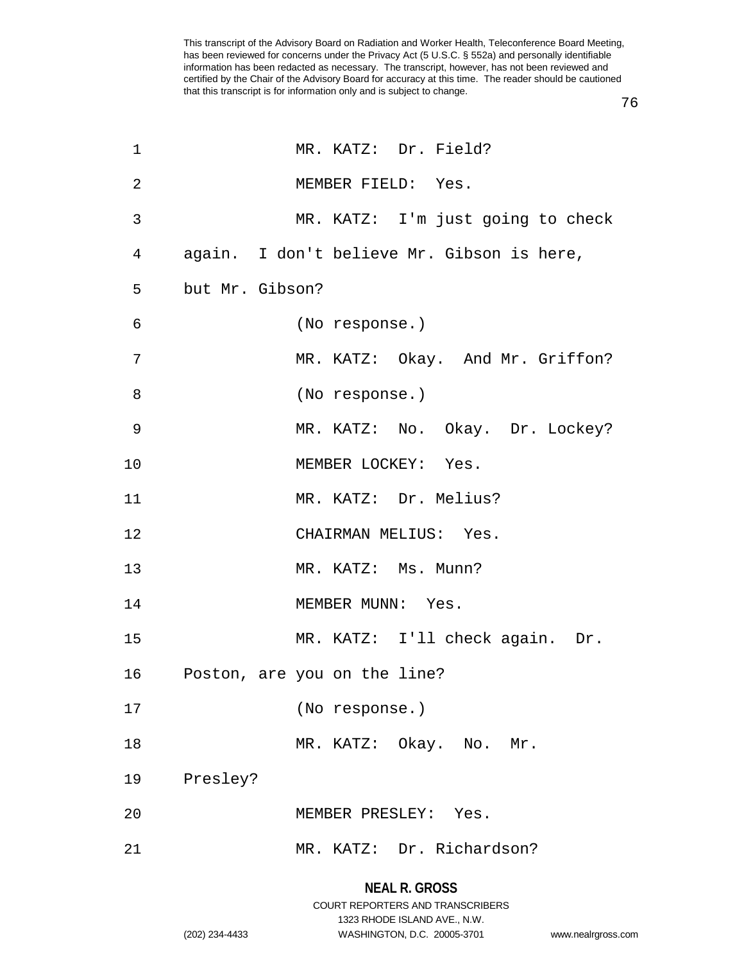76

| $\mathbf 1$    |                 | MR. KATZ: Dr. Field?                       |
|----------------|-----------------|--------------------------------------------|
| $\overline{2}$ |                 | MEMBER FIELD: Yes.                         |
| 3              |                 | MR. KATZ: I'm just going to check          |
| 4              |                 | again. I don't believe Mr. Gibson is here, |
| 5              | but Mr. Gibson? |                                            |
| $\epsilon$     |                 | (No response.)                             |
| 7              |                 | MR. KATZ: Okay. And Mr. Griffon?           |
| 8              |                 | (No response.)                             |
| $\overline{9}$ |                 | MR. KATZ: No. Okay. Dr. Lockey?            |
| 10             |                 | MEMBER LOCKEY: Yes.                        |
| 11             |                 | MR. KATZ: Dr. Melius?                      |
| 12             |                 | CHAIRMAN MELIUS: Yes.                      |
| 13             |                 | MR. KATZ: Ms. Munn?                        |
| 14             |                 | MEMBER MUNN: Yes.                          |
| 15             |                 | MR. KATZ: I'll check again. Dr.            |
| 16             |                 | Poston, are you on the line?               |
| 17             |                 | (No response.)                             |
| 18             |                 | MR. KATZ: Okay. No. Mr.                    |
| 19             | Presley?        |                                            |
| 20             |                 | MEMBER PRESLEY: Yes.                       |
| 21             |                 | MR. KATZ: Dr. Richardson?                  |
|                |                 |                                            |

#### **NEAL R. GROSS**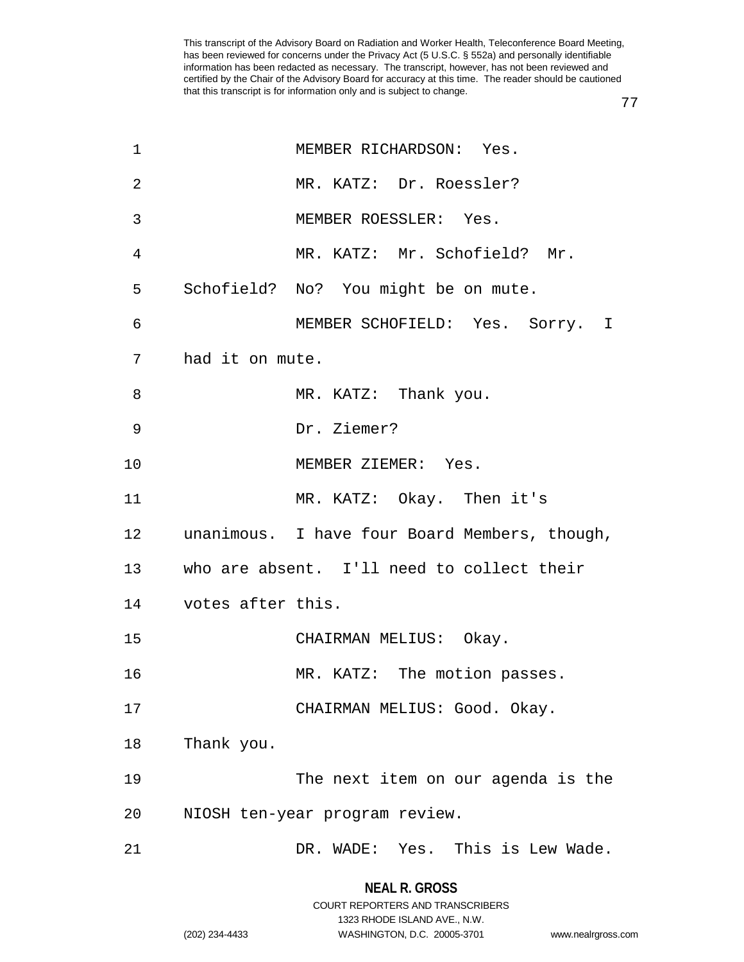77

| 1               |                   | MEMBER RICHARDSON: Yes.                       |
|-----------------|-------------------|-----------------------------------------------|
| $\overline{2}$  |                   | MR. KATZ: Dr. Roessler?                       |
| 3               |                   | MEMBER ROESSLER: Yes.                         |
| 4               |                   | MR. KATZ: Mr. Schofield? Mr.                  |
| 5               |                   | Schofield? No? You might be on mute.          |
| 6               |                   | MEMBER SCHOFIELD: Yes. Sorry. I               |
| 7               | had it on mute.   |                                               |
| 8               |                   | MR. KATZ: Thank you.                          |
| 9               |                   | Dr. Ziemer?                                   |
| 10              |                   | MEMBER ZIEMER: Yes.                           |
| 11              |                   | MR. KATZ: Okay. Then it's                     |
| 12 <sub>1</sub> |                   | unanimous. I have four Board Members, though, |
| 13              |                   | who are absent. I'll need to collect their    |
| 14              | votes after this. |                                               |
| 15              |                   | CHAIRMAN MELIUS: Okay.                        |
| 16              |                   | MR. KATZ: The motion passes.                  |
| 17              |                   | CHAIRMAN MELIUS: Good. Okay.                  |
| 18              | Thank you.        |                                               |
| 19              |                   | The next item on our agenda is the            |
| 20              |                   | NIOSH ten-year program review.                |
| 21              |                   | DR. WADE: Yes. This is Lew Wade.              |

#### **NEAL R. GROSS**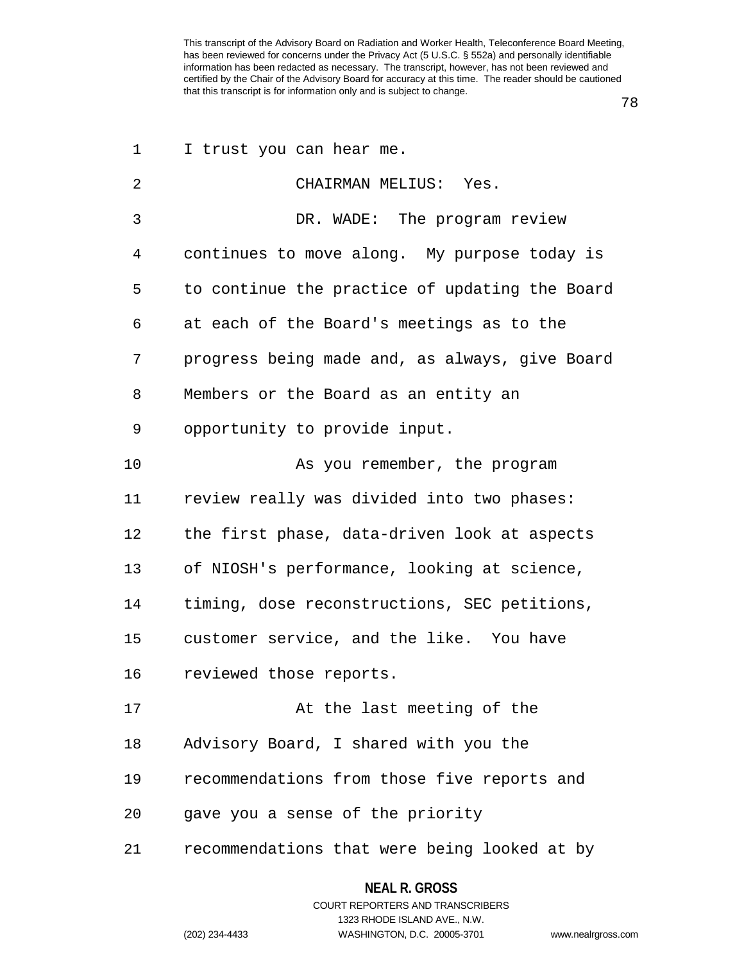78

| 1  | I trust you can hear me.                       |
|----|------------------------------------------------|
| 2  | CHAIRMAN MELIUS: Yes.                          |
| 3  | DR. WADE: The program review                   |
| 4  | continues to move along. My purpose today is   |
| 5  | to continue the practice of updating the Board |
| 6  | at each of the Board's meetings as to the      |
| 7  | progress being made and, as always, give Board |
| 8  | Members or the Board as an entity an           |
| 9  | opportunity to provide input.                  |
| 10 | As you remember, the program                   |
| 11 | review really was divided into two phases:     |
| 12 | the first phase, data-driven look at aspects   |
| 13 | of NIOSH's performance, looking at science,    |
| 14 | timing, dose reconstructions, SEC petitions,   |
| 15 | customer service, and the like. You have       |
| 16 | reviewed those reports.                        |
| 17 | At the last meeting of the                     |
| 18 | Advisory Board, I shared with you the          |
| 19 | recommendations from those five reports and    |
| 20 | gave you a sense of the priority               |
| 21 | recommendations that were being looked at by   |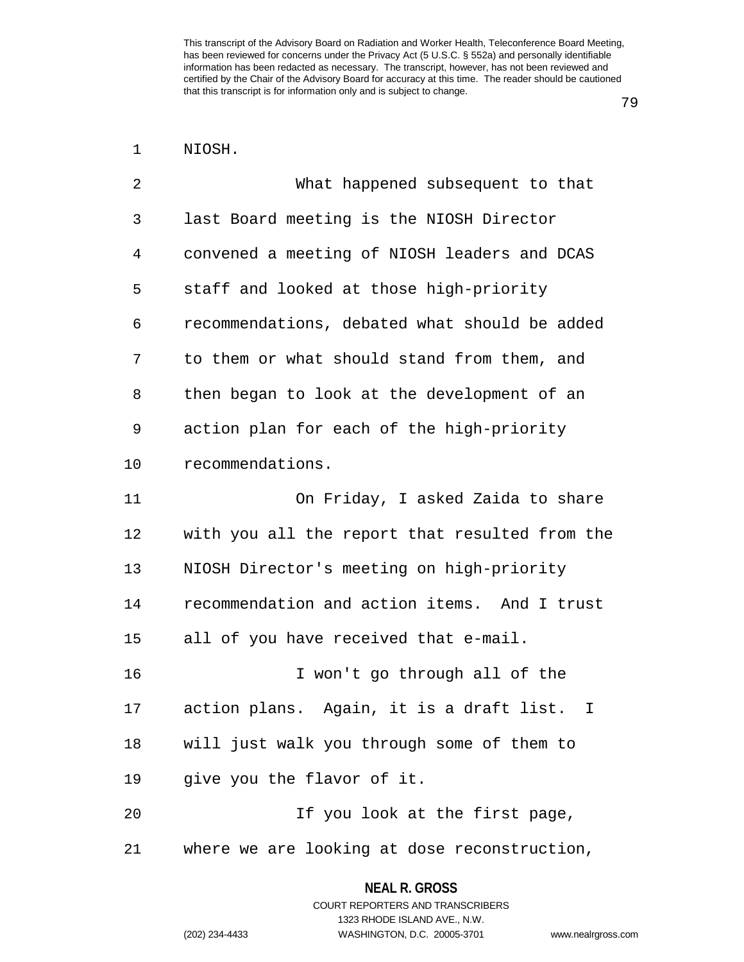79

| NIOSH. |
|--------|
|        |

| 2              | What happened subsequent to that                         |
|----------------|----------------------------------------------------------|
| 3              | last Board meeting is the NIOSH Director                 |
| $\overline{4}$ | convened a meeting of NIOSH leaders and DCAS             |
| 5              | staff and looked at those high-priority                  |
| 6              | recommendations, debated what should be added            |
| 7              | to them or what should stand from them, and              |
| 8              | then began to look at the development of an              |
| 9              | action plan for each of the high-priority                |
| 10             | recommendations.                                         |
| 11             | On Friday, I asked Zaida to share                        |
| 12             | with you all the report that resulted from the           |
| 13             | NIOSH Director's meeting on high-priority                |
| 14             | recommendation and action items. And I trust             |
| 15             | all of you have received that e-mail.                    |
| 16             | I won't go through all of the                            |
| 17             | action plans. Again, it is a draft list.<br>$\mathbb{I}$ |
| 18             | will just walk you through some of them to               |
| 19             | give you the flavor of it.                               |
| 20             | If you look at the first page,                           |
| 21             | where we are looking at dose reconstruction,             |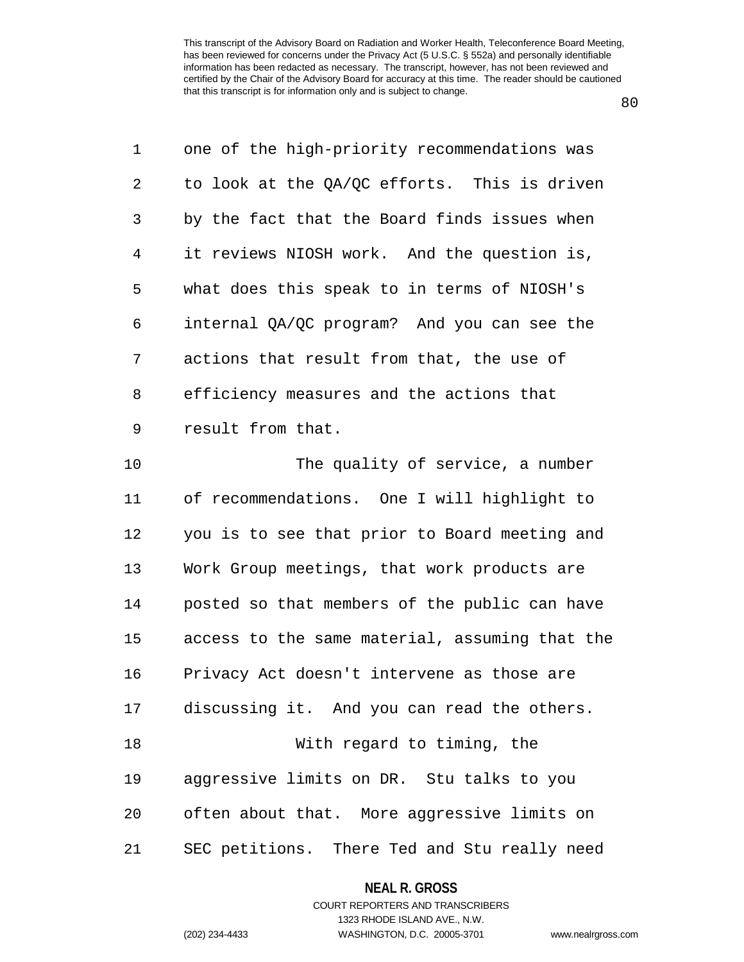80

| 1  | one of the high-priority recommendations was   |
|----|------------------------------------------------|
| 2  | to look at the QA/QC efforts. This is driven   |
| 3  | by the fact that the Board finds issues when   |
| 4  | it reviews NIOSH work. And the question is,    |
| 5  | what does this speak to in terms of NIOSH's    |
| 6  | internal QA/QC program? And you can see the    |
| 7  | actions that result from that, the use of      |
| 8  | efficiency measures and the actions that       |
| 9  | result from that.                              |
| 10 | The quality of service, a number               |
| 11 | of recommendations. One I will highlight to    |
| 12 | you is to see that prior to Board meeting and  |
| 13 | Work Group meetings, that work products are    |
| 14 | posted so that members of the public can have  |
| 15 | access to the same material, assuming that the |
| 16 | Privacy Act doesn't intervene as those are     |
| 17 | discussing it. And you can read the others.    |
| 18 | With regard to timing, the                     |
| 19 | aggressive limits on DR. Stu talks to you      |
| 20 | often about that. More aggressive limits on    |
| 21 | SEC petitions. There Ted and Stu really need   |

## **NEAL R. GROSS**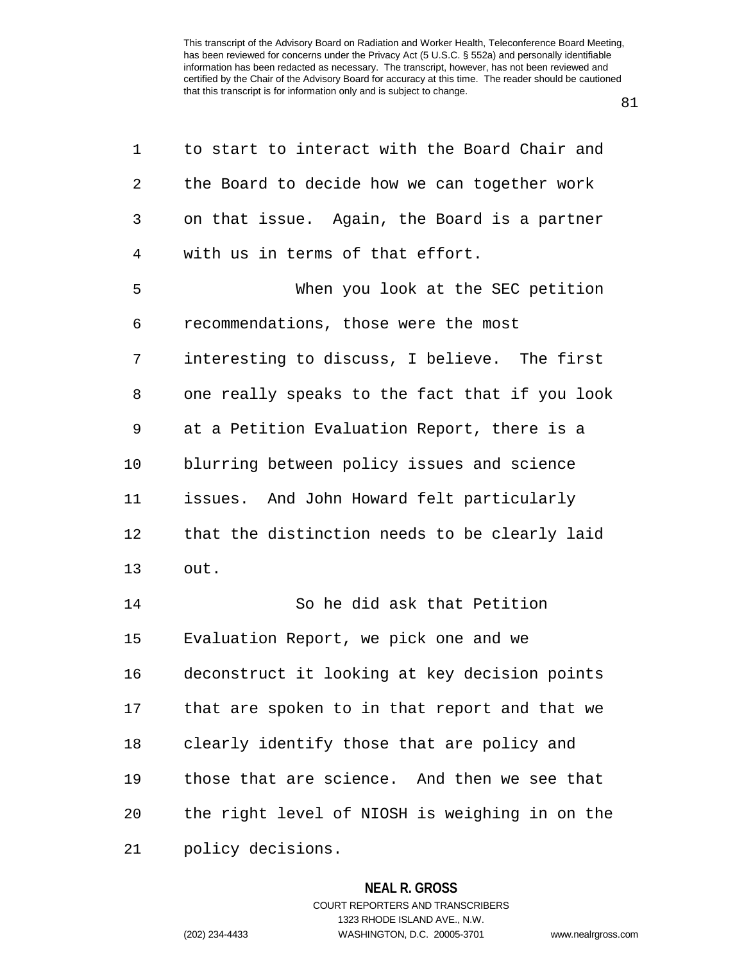81

| 1  | to start to interact with the Board Chair and  |
|----|------------------------------------------------|
| 2  | the Board to decide how we can together work   |
| 3  | on that issue. Again, the Board is a partner   |
| 4  | with us in terms of that effort.               |
| 5  | When you look at the SEC petition              |
| 6  | recommendations, those were the most           |
| 7  | interesting to discuss, I believe. The first   |
| 8  | one really speaks to the fact that if you look |
| 9  | at a Petition Evaluation Report, there is a    |
| 10 | blurring between policy issues and science     |
| 11 | issues. And John Howard felt particularly      |
| 12 | that the distinction needs to be clearly laid  |
| 13 | out.                                           |
| 14 | So he did ask that Petition                    |
| 15 | Evaluation Report, we pick one and we          |
| 16 | deconstruct it looking at key decision points  |
| 17 | that are spoken to in that report and that we  |
| 18 | clearly identify those that are policy and     |
| 19 | those that are science. And then we see that   |
| 20 | the right level of NIOSH is weighing in on the |
| 21 | policy decisions.                              |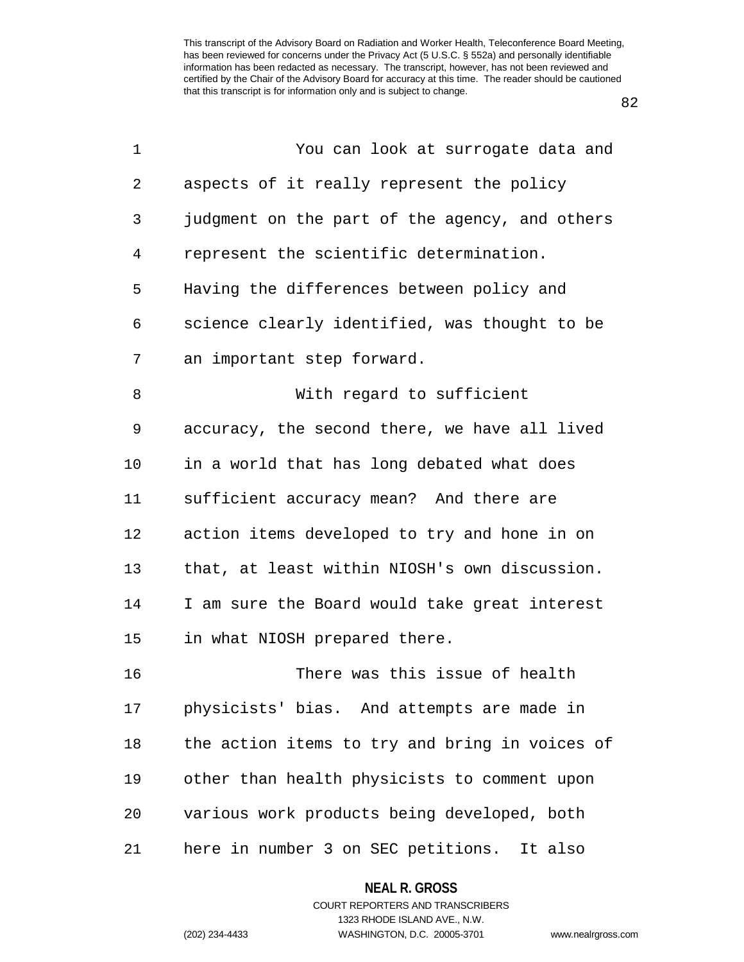82

| $\mathbf 1$    | You can look at surrogate data and             |
|----------------|------------------------------------------------|
| $\overline{2}$ | aspects of it really represent the policy      |
| 3              | judgment on the part of the agency, and others |
| 4              | represent the scientific determination.        |
| 5              | Having the differences between policy and      |
| 6              | science clearly identified, was thought to be  |
| 7              | an important step forward.                     |
| 8              | With regard to sufficient                      |
| 9              | accuracy, the second there, we have all lived  |
| 10             | in a world that has long debated what does     |
| 11             | sufficient accuracy mean? And there are        |
| 12             | action items developed to try and hone in on   |
| 13             | that, at least within NIOSH's own discussion.  |
| 14             | I am sure the Board would take great interest  |
| 15             | in what NIOSH prepared there.                  |
| 16             | There was this issue of health                 |
| 17             | physicists' bias. And attempts are made in     |
| 18             | the action items to try and bring in voices of |
| 19             | other than health physicists to comment upon   |
| 20             | various work products being developed, both    |
| 21             | here in number 3 on SEC petitions. It also     |

**NEAL R. GROSS** COURT REPORTERS AND TRANSCRIBERS

1323 RHODE ISLAND AVE., N.W.

(202) 234-4433 WASHINGTON, D.C. 20005-3701 www.nealrgross.com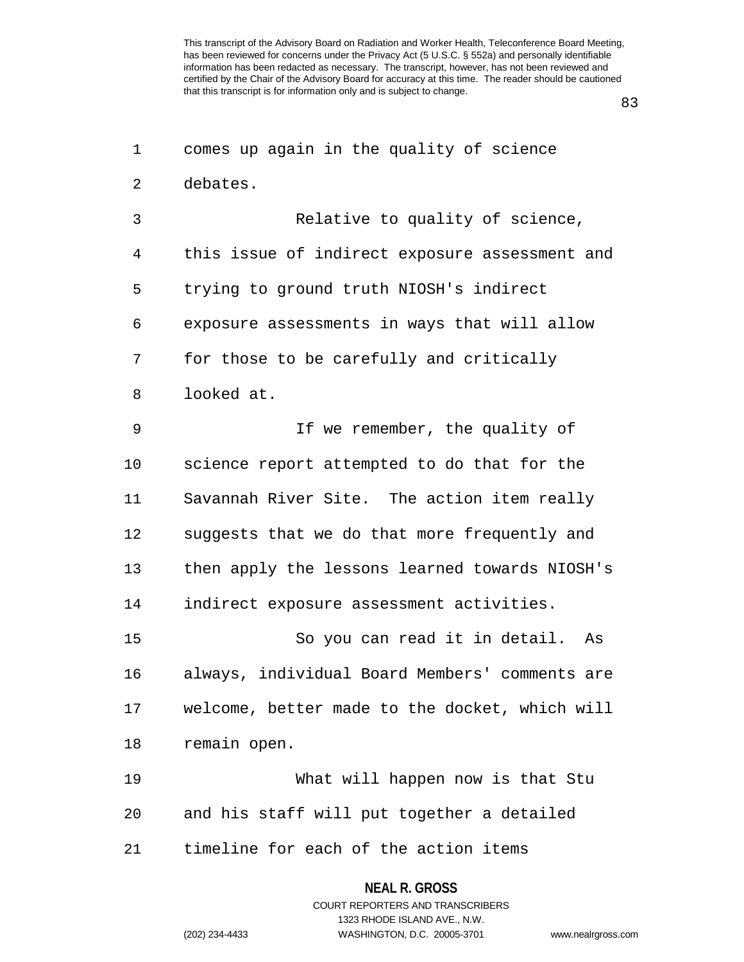83

| 1              | comes up again in the quality of science       |
|----------------|------------------------------------------------|
| 2              | debates.                                       |
| 3              | Relative to quality of science,                |
| $\overline{4}$ | this issue of indirect exposure assessment and |
| 5              | trying to ground truth NIOSH's indirect        |
| 6              | exposure assessments in ways that will allow   |
| 7              | for those to be carefully and critically       |
| 8              | looked at.                                     |
| 9              | If we remember, the quality of                 |
| 10             | science report attempted to do that for the    |
| 11             | Savannah River Site. The action item really    |
| 12             | suggests that we do that more frequently and   |
| 13             | then apply the lessons learned towards NIOSH's |
| 14             | indirect exposure assessment activities.       |
| 15             | So you can read it in detail. As               |
| 16             | always, individual Board Members' comments are |
| 17             | welcome, better made to the docket, which will |
| 18             | remain open.                                   |
| 19             | What will happen now is that Stu               |
| 20             | and his staff will put together a detailed     |
| 21             | timeline for each of the action items          |
|                |                                                |

## COURT REPORTERS AND TRANSCRIBERS 1323 RHODE ISLAND AVE., N.W. (202) 234-4433 WASHINGTON, D.C. 20005-3701 www.nealrgross.com

**NEAL R. GROSS**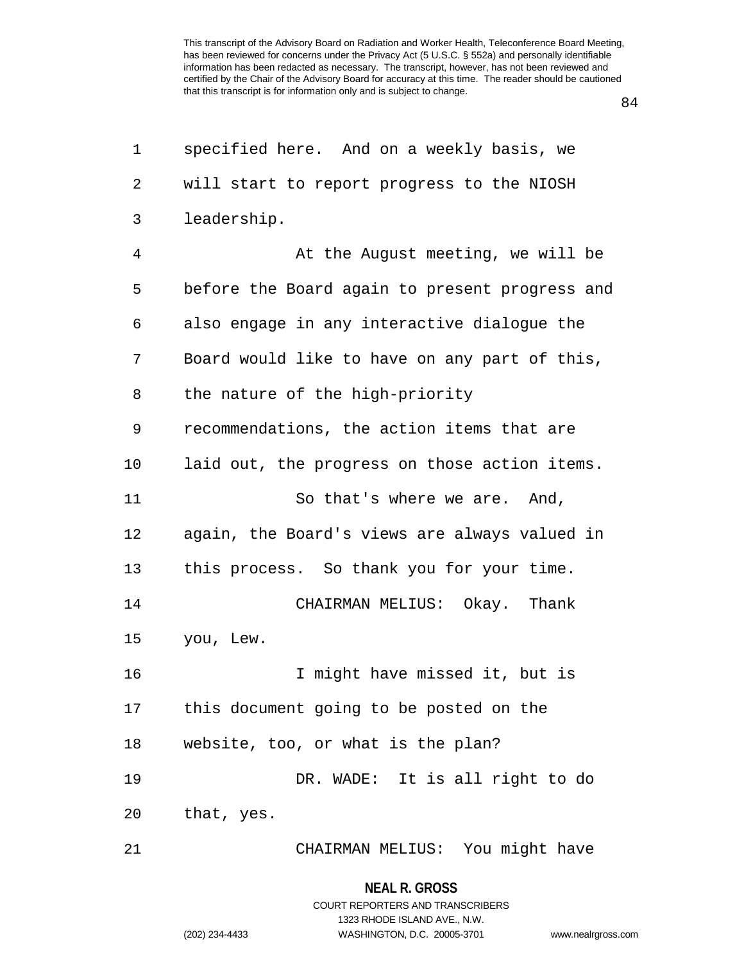84

| 1  | specified here. And on a weekly basis, we      |
|----|------------------------------------------------|
| 2  | will start to report progress to the NIOSH     |
| 3  | leadership.                                    |
| 4  | At the August meeting, we will be              |
| 5  | before the Board again to present progress and |
| 6  | also engage in any interactive dialogue the    |
| 7  | Board would like to have on any part of this,  |
| 8  | the nature of the high-priority                |
| 9  | recommendations, the action items that are     |
| 10 | laid out, the progress on those action items.  |
| 11 | So that's where we are. And,                   |
| 12 | again, the Board's views are always valued in  |
| 13 | this process. So thank you for your time.      |
| 14 | CHAIRMAN MELIUS: Okay. Thank                   |
| 15 | you, Lew.                                      |
| 16 | I might have missed it, but is                 |
| 17 | this document going to be posted on the        |
| 18 | website, too, or what is the plan?             |
| 19 | DR. WADE: It is all right to do                |
| 20 | that, yes.                                     |
| 21 | CHAIRMAN MELIUS: You might have                |

**NEAL R. GROSS** COURT REPORTERS AND TRANSCRIBERS

1323 RHODE ISLAND AVE., N.W.

(202) 234-4433 WASHINGTON, D.C. 20005-3701 www.nealrgross.com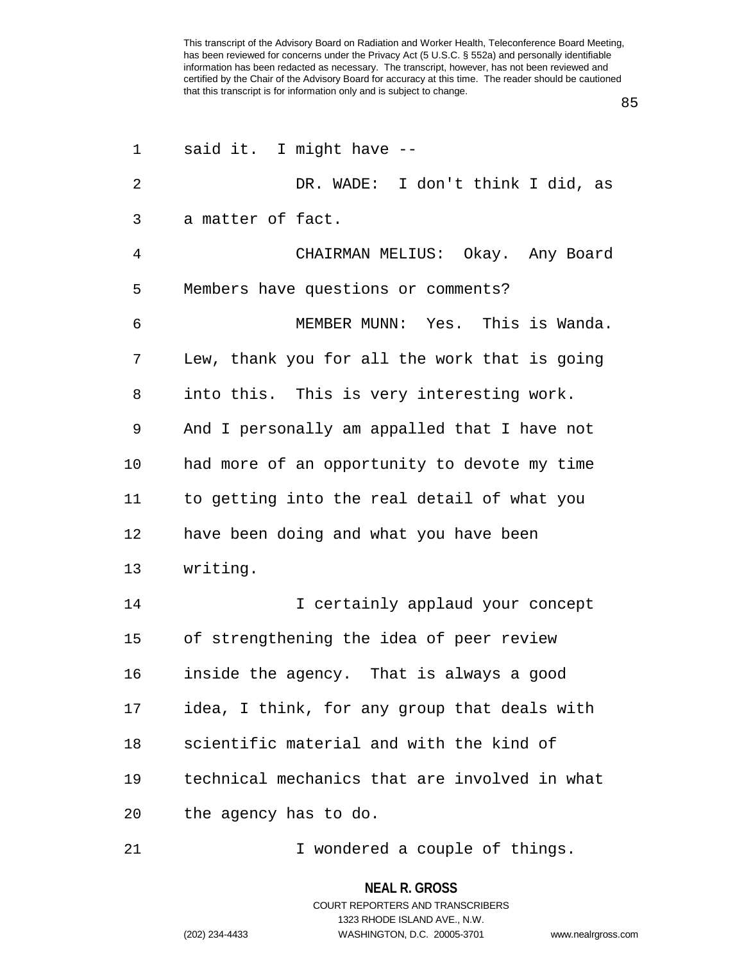85

| 1              | said it. I might have --                      |
|----------------|-----------------------------------------------|
| $\overline{2}$ | DR. WADE: I don't think I did, as             |
| 3              | a matter of fact.                             |
| 4              | CHAIRMAN MELIUS: Okay. Any Board              |
| 5              | Members have questions or comments?           |
| 6              | MEMBER MUNN: Yes. This is Wanda.              |
| 7              | Lew, thank you for all the work that is going |
| 8              | into this. This is very interesting work.     |
| 9              | And I personally am appalled that I have not  |
| 10             | had more of an opportunity to devote my time  |
| 11             | to getting into the real detail of what you   |
| 12             | have been doing and what you have been        |
| 13             | writing.                                      |
| 14             | I certainly applaud your concept              |
| 15             | of strengthening the idea of peer review      |
| 16             | inside the agency. That is always a good      |
| 17             | idea, I think, for any group that deals with  |
| 18             | scientific material and with the kind of      |
| 19             | technical mechanics that are involved in what |
| 20             | the agency has to do.                         |
| 21             | I wondered a couple of things.                |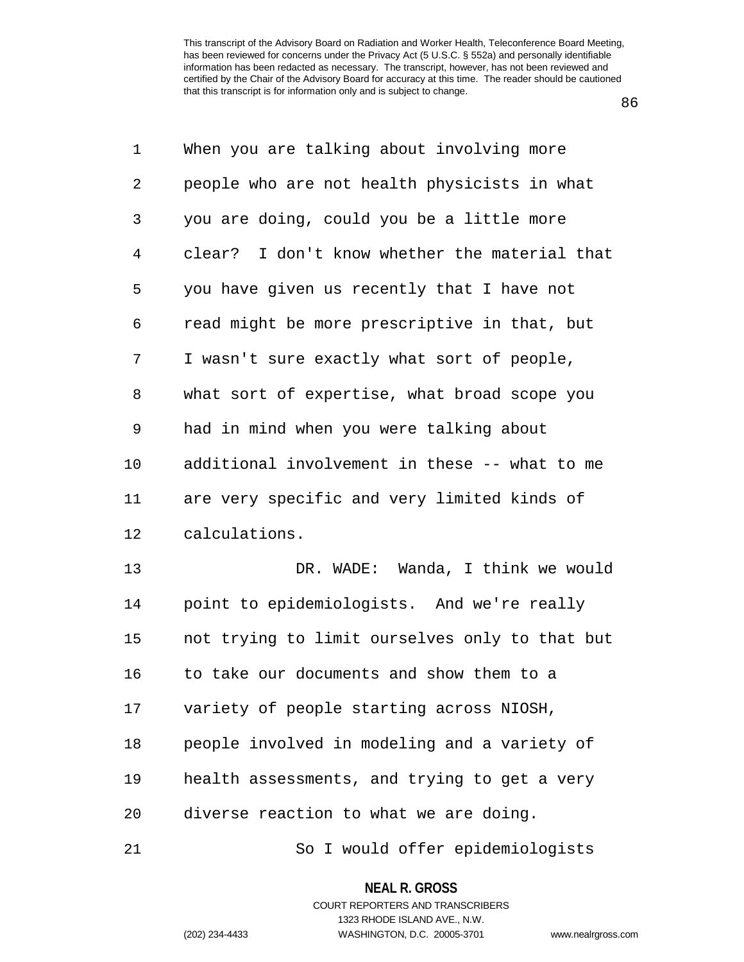86

| 1  | When you are talking about involving more      |
|----|------------------------------------------------|
| 2  | people who are not health physicists in what   |
| 3  | you are doing, could you be a little more      |
| 4  | clear? I don't know whether the material that  |
| 5  | you have given us recently that I have not     |
| 6  | read might be more prescriptive in that, but   |
| 7  | I wasn't sure exactly what sort of people,     |
| 8  | what sort of expertise, what broad scope you   |
| 9  | had in mind when you were talking about        |
| 10 | additional involvement in these -- what to me  |
| 11 | are very specific and very limited kinds of    |
| 12 | calculations.                                  |
| 13 | DR. WADE: Wanda, I think we would              |
| 14 | point to epidemiologists. And we're really     |
| 15 | not trying to limit ourselves only to that but |
| 16 | to take our documents and show them to a       |
| 17 | variety of people starting across NIOSH,       |
| 18 | people involved in modeling and a variety of   |
| 19 | health assessments, and trying to get a very   |
| 20 | diverse reaction to what we are doing.         |
| 21 | So I would offer epidemiologists               |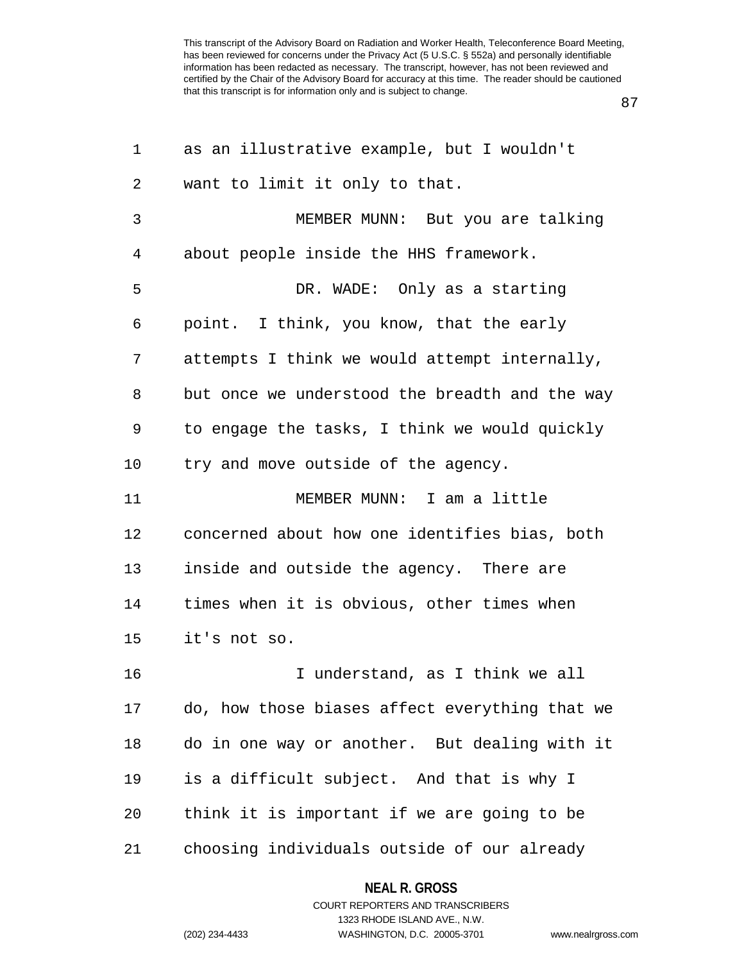87

| 1  | as an illustrative example, but I wouldn't     |
|----|------------------------------------------------|
| 2  | want to limit it only to that.                 |
| 3  | MEMBER MUNN: But you are talking               |
| 4  | about people inside the HHS framework.         |
| 5  | DR. WADE: Only as a starting                   |
| 6  | point. I think, you know, that the early       |
| 7  | attempts I think we would attempt internally,  |
| 8  | but once we understood the breadth and the way |
| 9  | to engage the tasks, I think we would quickly  |
| 10 | try and move outside of the agency.            |
| 11 | MEMBER MUNN: I am a little                     |
| 12 | concerned about how one identifies bias, both  |
| 13 | inside and outside the agency. There are       |
| 14 | times when it is obvious, other times when     |
| 15 | it's not so.                                   |
| 16 | I understand, as I think we all                |
| 17 | do, how those biases affect everything that we |
| 18 | do in one way or another. But dealing with it  |
| 19 | is a difficult subject. And that is why I      |
| 20 | think it is important if we are going to be    |
| 21 | choosing individuals outside of our already    |

**NEAL R. GROSS** COURT REPORTERS AND TRANSCRIBERS

1323 RHODE ISLAND AVE., N.W.

(202) 234-4433 WASHINGTON, D.C. 20005-3701 www.nealrgross.com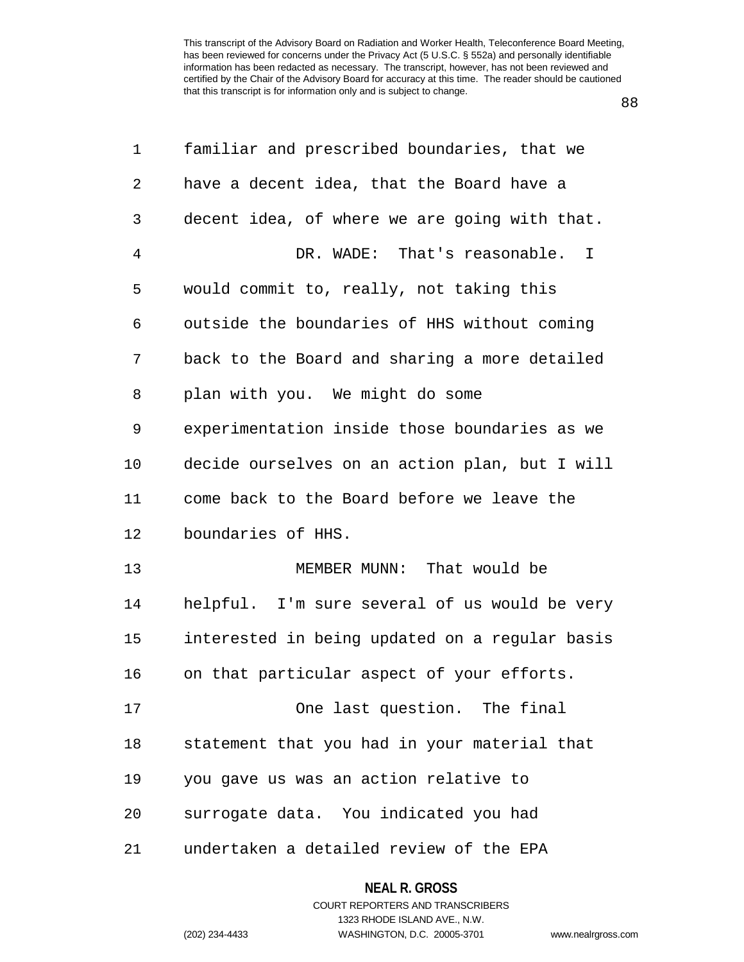88

| 1  | familiar and prescribed boundaries, that we    |
|----|------------------------------------------------|
| 2  | have a decent idea, that the Board have a      |
| 3  | decent idea, of where we are going with that.  |
| 4  | DR. WADE: That's reasonable. I                 |
| 5  | would commit to, really, not taking this       |
| 6  | outside the boundaries of HHS without coming   |
| 7  | back to the Board and sharing a more detailed  |
| 8  | plan with you. We might do some                |
| 9  | experimentation inside those boundaries as we  |
| 10 | decide ourselves on an action plan, but I will |
| 11 | come back to the Board before we leave the     |
| 12 | boundaries of HHS.                             |
| 13 | MEMBER MUNN: That would be                     |
| 14 | helpful. I'm sure several of us would be very  |
| 15 | interested in being updated on a regular basis |
| 16 | on that particular aspect of your efforts.     |
| 17 | One last question. The final                   |
| 18 | statement that you had in your material that   |
| 19 | you gave us was an action relative to          |
| 20 | surrogate data. You indicated you had          |
| 21 | undertaken a detailed review of the EPA        |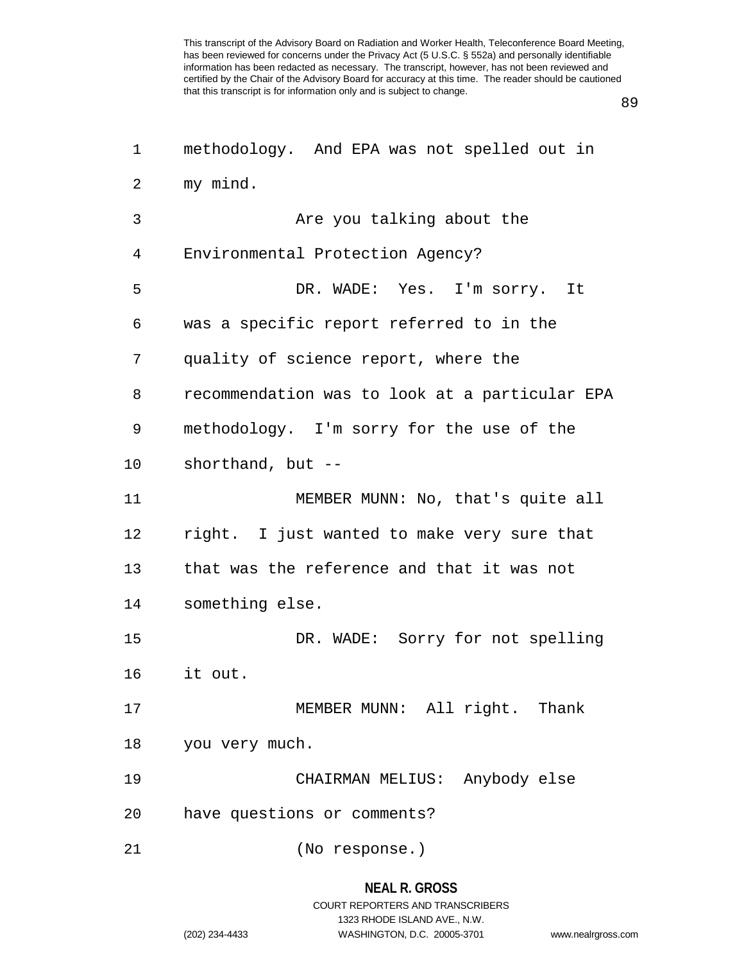89

| 1  | methodology. And EPA was not spelled out in    |
|----|------------------------------------------------|
| 2  | my mind.                                       |
| 3  | Are you talking about the                      |
| 4  | Environmental Protection Agency?               |
| 5  | DR. WADE: Yes. I'm sorry. It                   |
| 6  | was a specific report referred to in the       |
| 7  | quality of science report, where the           |
| 8  | recommendation was to look at a particular EPA |
| 9  | methodology. I'm sorry for the use of the      |
| 10 | shorthand, but $-$                             |
| 11 | MEMBER MUNN: No, that's quite all              |
| 12 | right. I just wanted to make very sure that    |
| 13 | that was the reference and that it was not     |
| 14 | something else.                                |
| 15 | DR. WADE: Sorry for not spelling               |
| 16 | it out.                                        |
| 17 | MEMBER MUNN: All right. Thank                  |
| 18 | you very much.                                 |
| 19 | CHAIRMAN MELIUS: Anybody else                  |
| 20 | have questions or comments?                    |
| 21 | (No response.)                                 |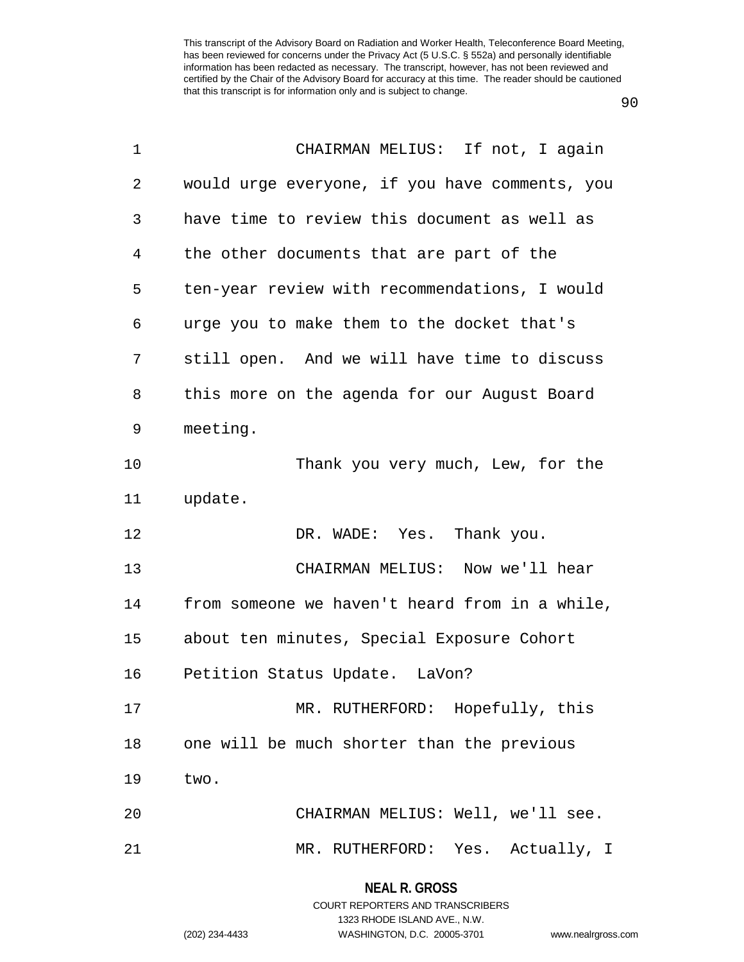90

| $\mathbf{1}$ | CHAIRMAN MELIUS: If not, I again               |
|--------------|------------------------------------------------|
| 2            | would urge everyone, if you have comments, you |
| 3            | have time to review this document as well as   |
| 4            | the other documents that are part of the       |
| 5            | ten-year review with recommendations, I would  |
| 6            | urge you to make them to the docket that's     |
| 7            | still open. And we will have time to discuss   |
| 8            | this more on the agenda for our August Board   |
| 9            | meeting.                                       |
| 10           | Thank you very much, Lew, for the              |
| 11           | update.                                        |
| 12           | DR. WADE: Yes. Thank you.                      |
| 13           | CHAIRMAN MELIUS: Now we'll hear                |
| 14           | from someone we haven't heard from in a while, |
| 15           | about ten minutes, Special Exposure Cohort     |
| 16           | Petition Status Update. LaVon?                 |
| 17           | MR. RUTHERFORD: Hopefully, this                |
| 18           | one will be much shorter than the previous     |
| 19           | two.                                           |
| 20           | CHAIRMAN MELIUS: Well, we'll see.              |
| 21           | MR. RUTHERFORD: Yes. Actually, I               |

## **NEAL R. GROSS**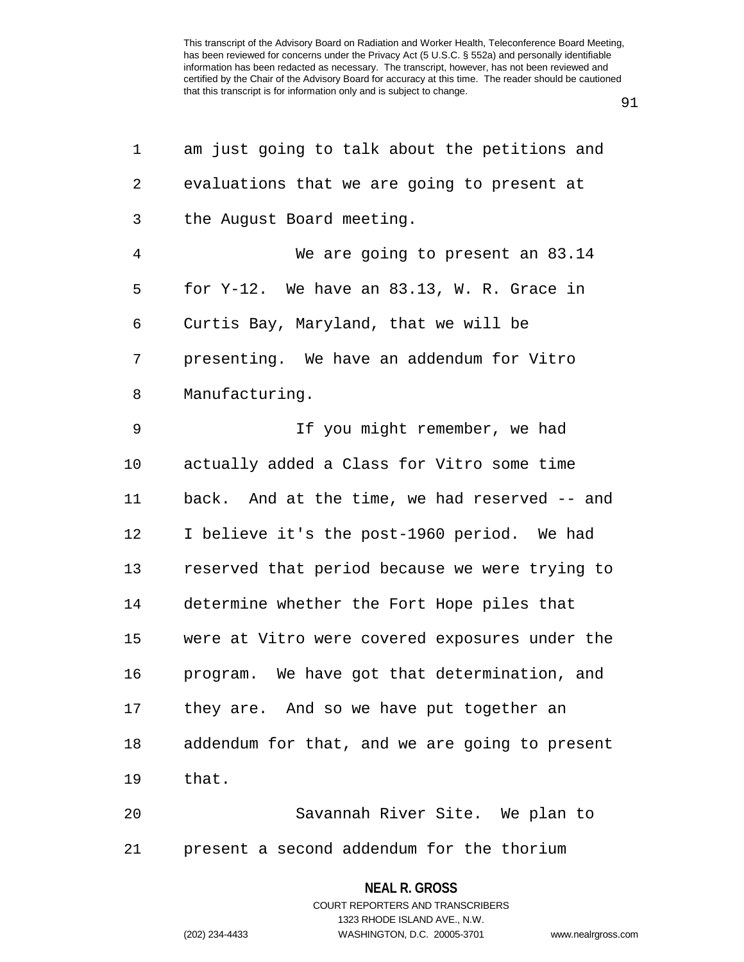91

| 1              | am just going to talk about the petitions and  |
|----------------|------------------------------------------------|
| 2              | evaluations that we are going to present at    |
| 3              | the August Board meeting.                      |
| $\overline{4}$ | We are going to present an 83.14               |
| 5              | for $Y-12$ . We have an 83.13, W. R. Grace in  |
| 6              | Curtis Bay, Maryland, that we will be          |
| 7              | presenting. We have an addendum for Vitro      |
| 8              | Manufacturing.                                 |
| 9              | If you might remember, we had                  |
| 10             | actually added a Class for Vitro some time     |
| 11             | back. And at the time, we had reserved -- and  |
| 12             | I believe it's the post-1960 period. We had    |
| 13             | reserved that period because we were trying to |
| 14             | determine whether the Fort Hope piles that     |
| 15             | were at Vitro were covered exposures under the |
| 16             | program. We have got that determination, and   |
| 17             | they are. And so we have put together an       |
| 18             | addendum for that, and we are going to present |
| 19             | that.                                          |
| 20             | Savannah River Site. We plan to                |
|                |                                                |

21 present a second addendum for the thorium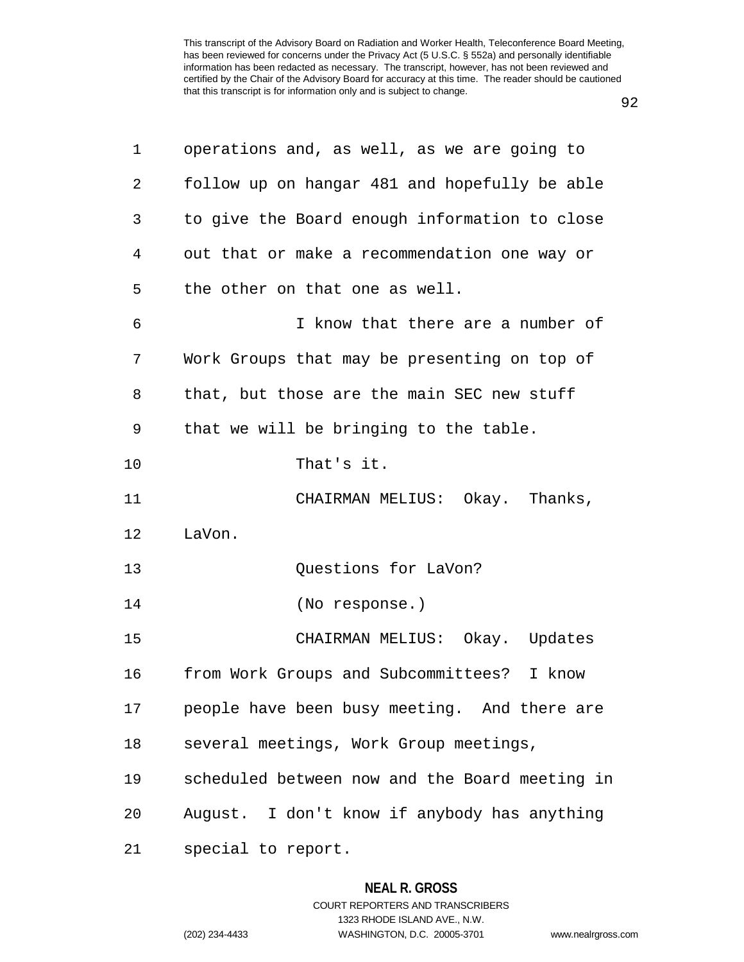92

| 1  | operations and, as well, as we are going to    |
|----|------------------------------------------------|
| 2  | follow up on hangar 481 and hopefully be able  |
| 3  | to give the Board enough information to close  |
| 4  | out that or make a recommendation one way or   |
| 5  | the other on that one as well.                 |
| 6  | I know that there are a number of              |
| 7  | Work Groups that may be presenting on top of   |
| 8  | that, but those are the main SEC new stuff     |
| 9  | that we will be bringing to the table.         |
| 10 | That's it.                                     |
| 11 | CHAIRMAN MELIUS: Okay. Thanks,                 |
| 12 | LaVon.                                         |
| 13 | Questions for LaVon?                           |
| 14 | (No response.)                                 |
| 15 | CHAIRMAN MELIUS: Okay. Updates                 |
| 16 | from Work Groups and Subcommittees? I know     |
| 17 | people have been busy meeting. And there are   |
| 18 | several meetings, Work Group meetings,         |
| 19 | scheduled between now and the Board meeting in |
| 20 | August. I don't know if anybody has anything   |
| 21 | special to report.                             |

# **NEAL R. GROSS**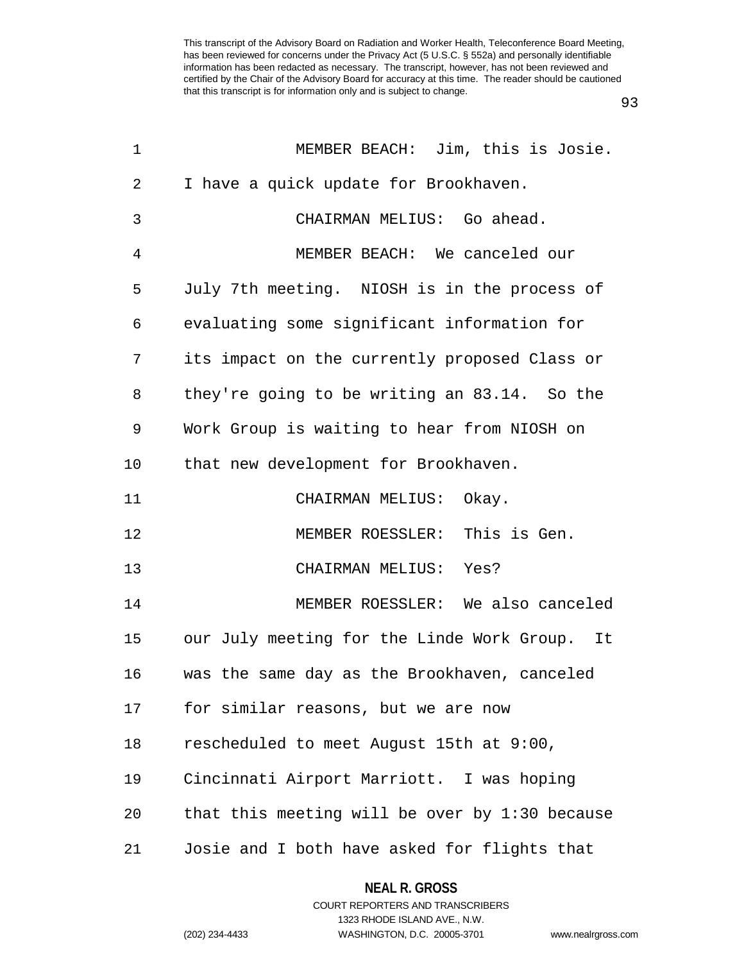93

| 1  | MEMBER BEACH: Jim, this is Josie.                |
|----|--------------------------------------------------|
| 2  | I have a quick update for Brookhaven.            |
| 3  | CHAIRMAN MELIUS: Go ahead.                       |
| 4  | MEMBER BEACH: We canceled our                    |
| 5  | July 7th meeting. NIOSH is in the process of     |
| 6  | evaluating some significant information for      |
| 7  | its impact on the currently proposed Class or    |
| 8  | they're going to be writing an 83.14. So the     |
| 9  | Work Group is waiting to hear from NIOSH on      |
| 10 | that new development for Brookhaven.             |
| 11 | CHAIRMAN MELIUS:<br>Okay.                        |
| 12 | MEMBER ROESSLER: This is Gen.                    |
| 13 | CHAIRMAN MELIUS: Yes?                            |
| 14 | MEMBER ROESSLER: We also canceled                |
| 15 | our July meeting for the Linde Work Group. It    |
| 16 | was the same day as the Brookhaven, canceled     |
| 17 | for similar reasons, but we are now              |
| 18 | rescheduled to meet August 15th at 9:00,         |
| 19 | Cincinnati Airport Marriott. I was hoping        |
| 20 | that this meeting will be over by $1:30$ because |
| 21 | Josie and I both have asked for flights that     |

**NEAL R. GROSS** COURT REPORTERS AND TRANSCRIBERS

1323 RHODE ISLAND AVE., N.W. (202) 234-4433 WASHINGTON, D.C. 20005-3701 www.nealrgross.com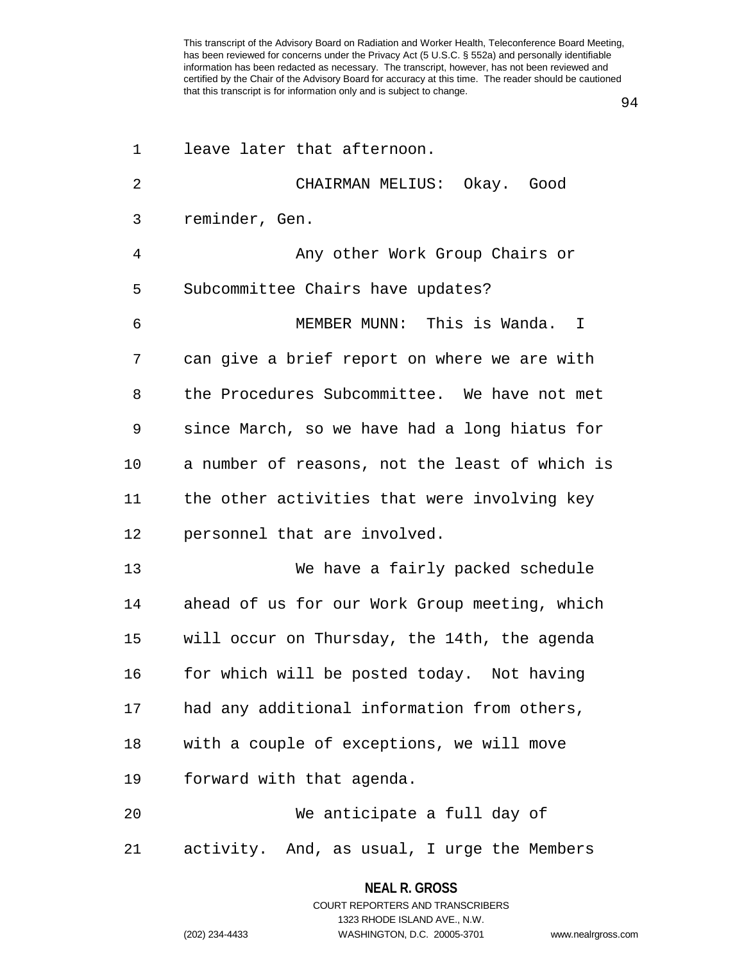94

| 1  | leave later that afternoon.                    |
|----|------------------------------------------------|
| 2  | CHAIRMAN MELIUS: Okay. Good                    |
| 3  | reminder, Gen.                                 |
| 4  | Any other Work Group Chairs or                 |
| 5  | Subcommittee Chairs have updates?              |
| 6  | MEMBER MUNN: This is Wanda. I                  |
| 7  | can give a brief report on where we are with   |
| 8  | the Procedures Subcommittee. We have not met   |
| 9  | since March, so we have had a long hiatus for  |
| 10 | a number of reasons, not the least of which is |
| 11 | the other activities that were involving key   |
| 12 | personnel that are involved.                   |
| 13 | We have a fairly packed schedule               |
| 14 | ahead of us for our Work Group meeting, which  |
| 15 | will occur on Thursday, the 14th, the agenda   |
| 16 | for which will be posted today. Not having     |
| 17 | had any additional information from others,    |
| 18 | with a couple of exceptions, we will move      |
| 19 | forward with that agenda.                      |
| 20 | We anticipate a full day of                    |
| 21 | activity. And, as usual, I urge the Members    |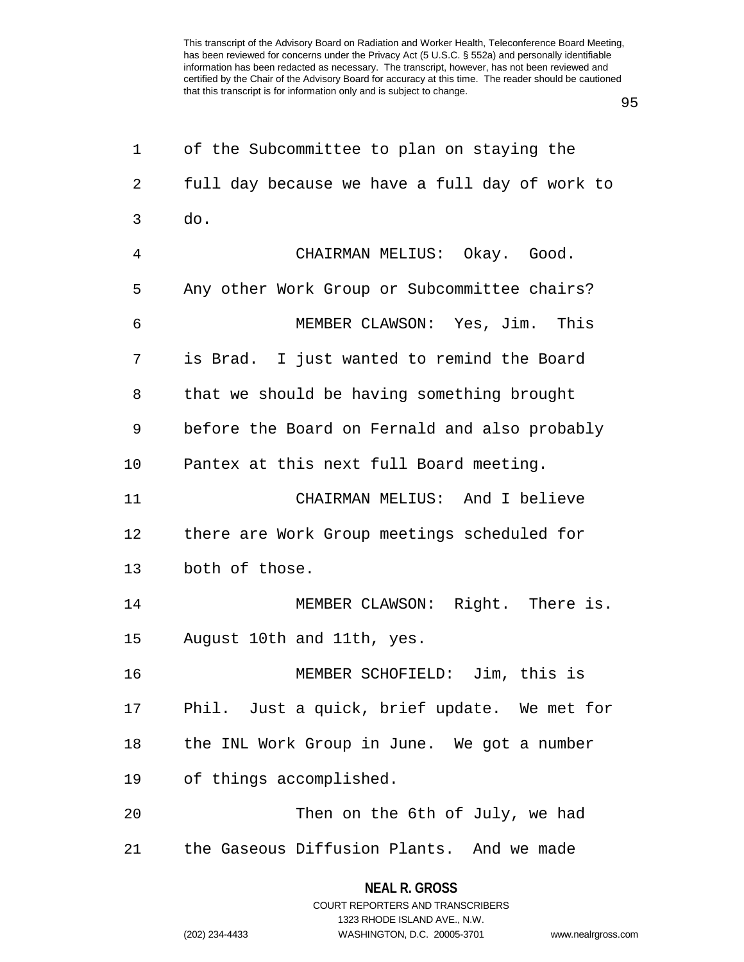95

| $\mathbf 1$    | of the Subcommittee to plan on staying the     |
|----------------|------------------------------------------------|
| $\overline{2}$ | full day because we have a full day of work to |
| 3              | do.                                            |
| 4              | CHAIRMAN MELIUS: Okay. Good.                   |
| 5              | Any other Work Group or Subcommittee chairs?   |
| 6              | MEMBER CLAWSON: Yes, Jim. This                 |
| 7              | is Brad. I just wanted to remind the Board     |
| 8              | that we should be having something brought     |
| 9              | before the Board on Fernald and also probably  |
| 10             | Pantex at this next full Board meeting.        |
| 11             | CHAIRMAN MELIUS: And I believe                 |
| 12             | there are Work Group meetings scheduled for    |
| 13             | both of those.                                 |
| 14             | MEMBER CLAWSON: Right. There is.               |
| 15             | August 10th and 11th, yes.                     |
| 16             | MEMBER SCHOFIELD: Jim, this is                 |
| 17             | Phil. Just a quick, brief update. We met for   |
| 18             | the INL Work Group in June. We got a number    |
| 19             | of things accomplished.                        |
| 20             | Then on the 6th of July, we had                |
| 21             | the Gaseous Diffusion Plants. And we made      |
|                |                                                |

1323 RHODE ISLAND AVE., N.W. (202) 234-4433 WASHINGTON, D.C. 20005-3701 www.nealrgross.com

**NEAL R. GROSS** COURT REPORTERS AND TRANSCRIBERS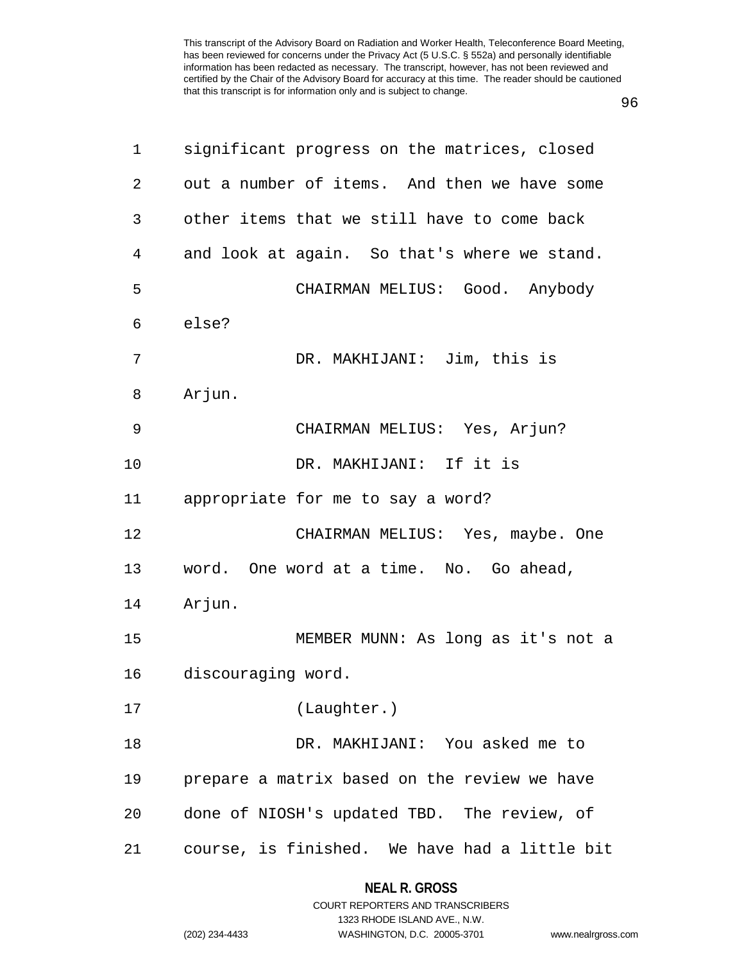96

| 1              | significant progress on the matrices, closed  |
|----------------|-----------------------------------------------|
| $\overline{2}$ | out a number of items. And then we have some  |
| 3              | other items that we still have to come back   |
| 4              | and look at again. So that's where we stand.  |
| 5              | CHAIRMAN MELIUS: Good. Anybody                |
| 6              | else?                                         |
| 7              | DR. MAKHIJANI: Jim, this is                   |
| 8              | Arjun.                                        |
| 9              | CHAIRMAN MELIUS: Yes, Arjun?                  |
| 10             | DR. MAKHIJANI: If it is                       |
| 11             | appropriate for me to say a word?             |
| 12             | CHAIRMAN MELIUS: Yes, maybe. One              |
| 13             | word. One word at a time. No. Go ahead,       |
| 14             | Arjun.                                        |
| 15             | MEMBER MUNN: As long as it's not a            |
| 16             | discouraging word.                            |
| 17             | (Laughter.)                                   |
| 18             | DR. MAKHIJANI: You asked me to                |
| 19             | prepare a matrix based on the review we have  |
| 20             | done of NIOSH's updated TBD. The review, of   |
| 21             | course, is finished. We have had a little bit |

#### **NEAL R. GROSS**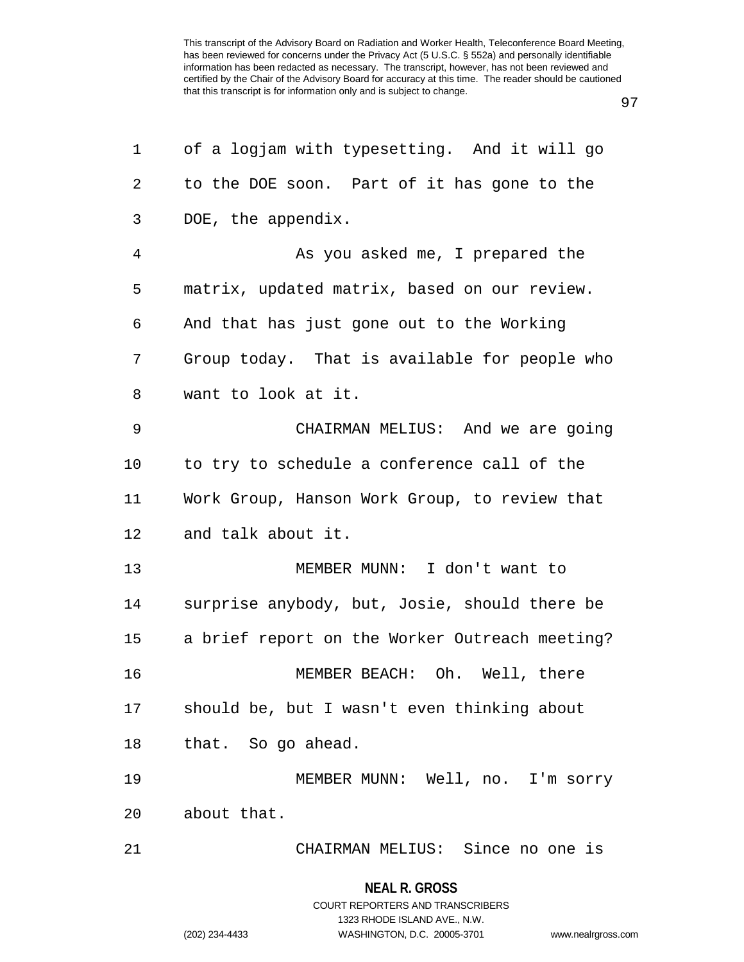97

| 1  | of a logjam with typesetting. And it will go   |
|----|------------------------------------------------|
| 2  | to the DOE soon. Part of it has gone to the    |
| 3  | DOE, the appendix.                             |
| 4  | As you asked me, I prepared the                |
| 5  | matrix, updated matrix, based on our review.   |
| 6  | And that has just gone out to the Working      |
| 7  | Group today. That is available for people who  |
| 8  | want to look at it.                            |
| 9  | CHAIRMAN MELIUS: And we are going              |
| 10 | to try to schedule a conference call of the    |
| 11 | Work Group, Hanson Work Group, to review that  |
| 12 | and talk about it.                             |
| 13 | MEMBER MUNN: I don't want to                   |
| 14 | surprise anybody, but, Josie, should there be  |
| 15 | a brief report on the Worker Outreach meeting? |
| 16 | MEMBER BEACH: Oh. Well, there                  |
| 17 | should be, but I wasn't even thinking about    |
| 18 | that. So go ahead.                             |
| 19 | MEMBER MUNN: Well, no. I'm sorry               |
| 20 | about that.                                    |
| 21 | CHAIRMAN MELIUS: Since no one is               |
|    |                                                |

#### **NEAL R. GROSS**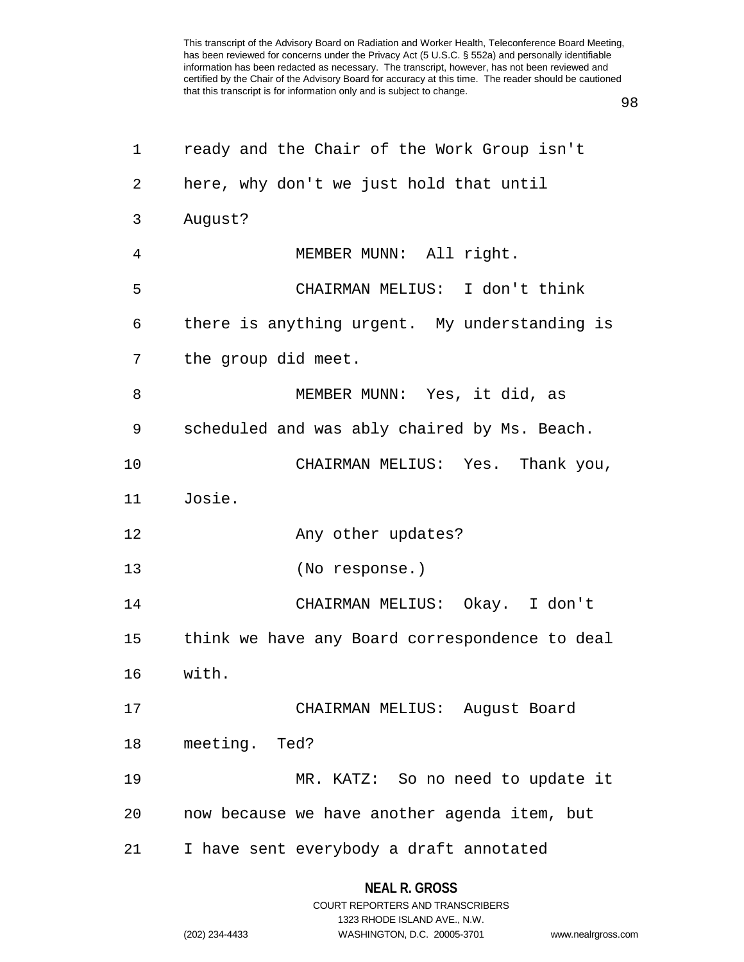98

| 1              | ready and the Chair of the Work Group isn't    |
|----------------|------------------------------------------------|
| $\overline{2}$ | here, why don't we just hold that until        |
| 3              | August?                                        |
| 4              | MEMBER MUNN: All right.                        |
| 5              | CHAIRMAN MELIUS: I don't think                 |
| 6              | there is anything urgent. My understanding is  |
| 7              | the group did meet.                            |
| 8              | MEMBER MUNN: Yes, it did, as                   |
| 9              | scheduled and was ably chaired by Ms. Beach.   |
| 10             | CHAIRMAN MELIUS: Yes. Thank you,               |
| 11             | Josie.                                         |
| 12             | Any other updates?                             |
| 13             | (No response.)                                 |
| 14             | CHAIRMAN MELIUS: Okay. I don't                 |
| 15             | think we have any Board correspondence to deal |
| 16             | with.                                          |
| 17             | CHAIRMAN MELIUS: August Board                  |
| 18             | meeting. Ted?                                  |
| 19             | MR. KATZ: So no need to update it              |
| 20             | now because we have another agenda item, but   |
| 21             | I have sent everybody a draft annotated        |

#### **NEAL R. GROSS**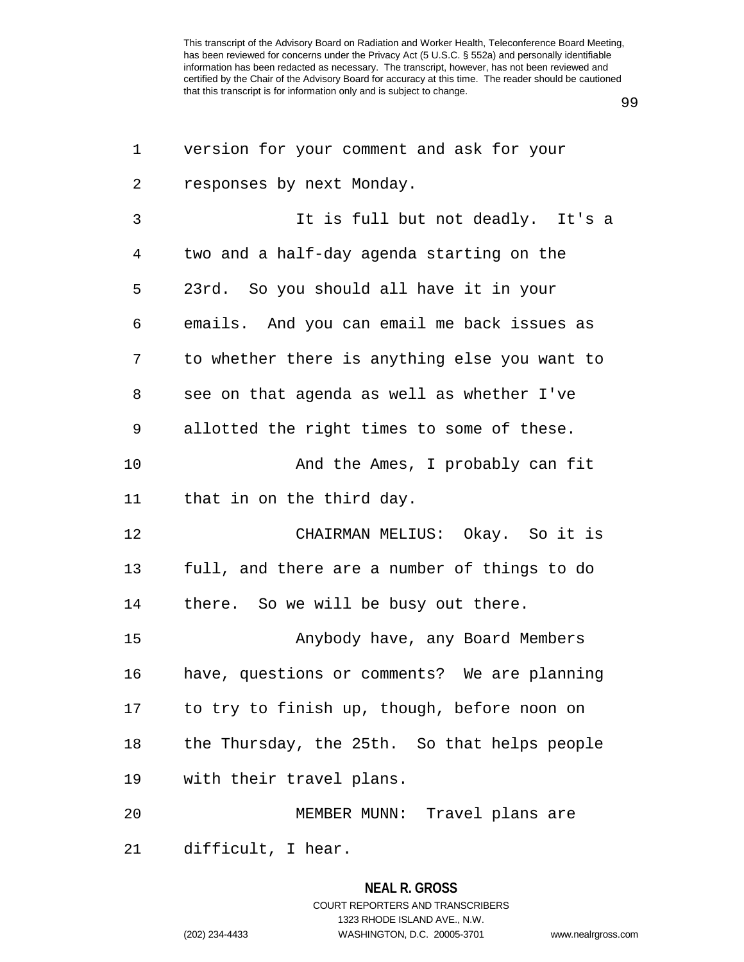99

| 1  | version for your comment and ask for your     |
|----|-----------------------------------------------|
| 2  | responses by next Monday.                     |
| 3  | It is full but not deadly. It's a             |
| 4  | two and a half-day agenda starting on the     |
| 5  | 23rd. So you should all have it in your       |
| 6  | emails. And you can email me back issues as   |
| 7  | to whether there is anything else you want to |
| 8  | see on that agenda as well as whether I've    |
| 9  | allotted the right times to some of these.    |
| 10 | And the Ames, I probably can fit              |
| 11 | that in on the third day.                     |
| 12 | CHAIRMAN MELIUS: Okay. So it is               |
| 13 | full, and there are a number of things to do  |
| 14 | there. So we will be busy out there.          |
| 15 | Anybody have, any Board Members               |
| 16 | have, questions or comments? We are planning  |
| 17 | to try to finish up, though, before noon on   |
| 18 | the Thursday, the 25th. So that helps people  |
| 19 | with their travel plans.                      |
| 20 | MEMBER MUNN: Travel plans are                 |
| 21 | difficult, I hear.                            |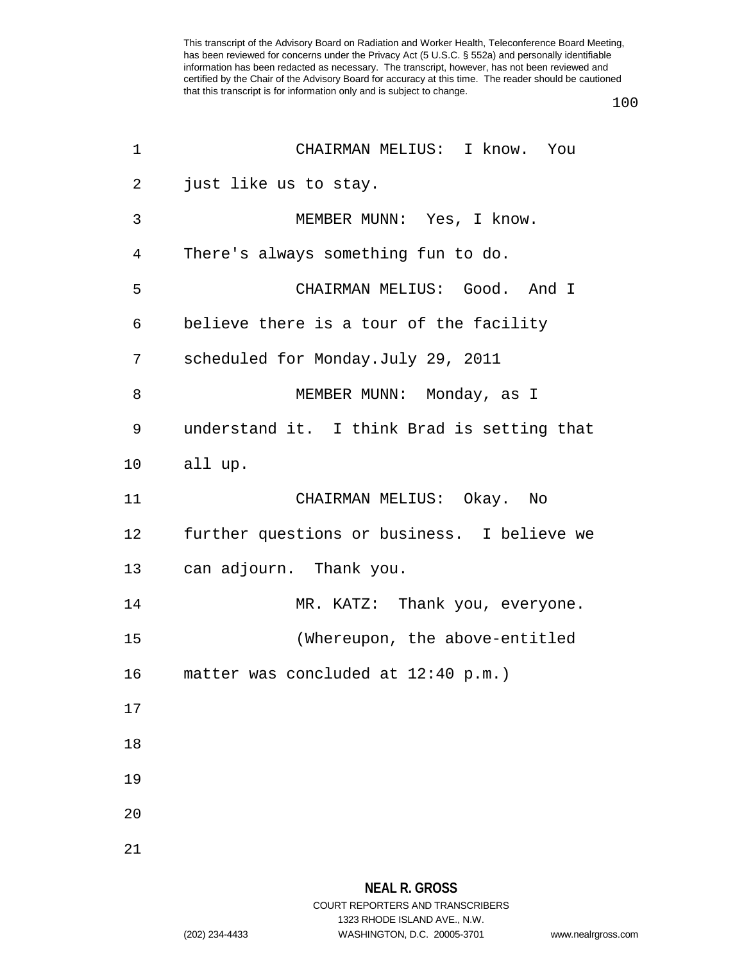100

| $\mathbf 1$ | CHAIRMAN MELIUS: I know. You                |
|-------------|---------------------------------------------|
| 2           | just like us to stay.                       |
| 3           | MEMBER MUNN: Yes, I know.                   |
| 4           | There's always something fun to do.         |
| 5           | CHAIRMAN MELIUS: Good. And I                |
| 6           | believe there is a tour of the facility     |
| 7           | scheduled for Monday.July 29, 2011          |
| 8           | MEMBER MUNN: Monday, as I                   |
| 9           | understand it. I think Brad is setting that |
| 10          | all up.                                     |
| 11          | CHAIRMAN MELIUS: Okay. No                   |
| 12          | further questions or business. I believe we |
| 13          | can adjourn. Thank you.                     |
| 14          | MR. KATZ: Thank you, everyone.              |
| 15          | (Whereupon, the above-entitled              |
| 16          | matter was concluded at 12:40 p.m.)         |
| 17          |                                             |
| 18          |                                             |
| 19          |                                             |
| 20          |                                             |
| 21          |                                             |